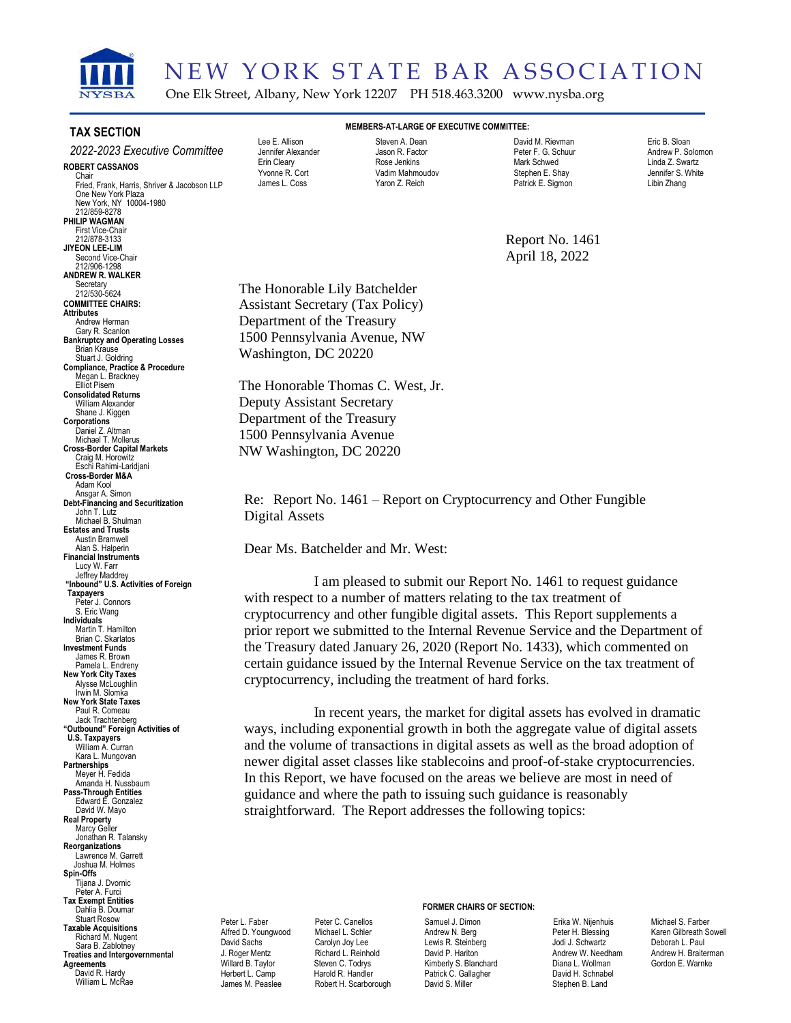

# NEW YORK STATE BAR ASSOCIATION

One Elk Street, Albany, New York 12207 PH 518.463.3200 www.nysba.org

#### **TAX SECTION**

#### **ROBERT CASSANOS** Chair Fried, Frank, Harris, Shriver & Jacobson LLP One New York Plaza New York, NY 10004-1980 212/859-8278 **PHILIP WAGMAN** First Vice-Chair 212/878-3133 **JIYEON LEE-LIM** Second Vice-Chair 212/906-1298 **ANDREW R. WALKER** Secretary 212/530-5624 **COMMITTEE CHAIRS: Attributes** Andrew Herman Gary R. Scanlon **Bankruptcy and Operating Losses** Brian Krause Stuart J. Goldring **Compliance, Practice & Procedure** Megan L. Brackney Elliot Pisem **Consolidated Returns** William Alexander Shane J. Kiggen **Corporations** Daniel Z. Altman Michael T. Mollerus **Cross-Border Capital Markets** Craig M. Horowitz Eschi Rahimi-Laridjani **Cross-Border M&A** Adam Kool Ansgar A. Simon **Debt-Financing and Securitization** John T. Lutz Michael B. Shulman **Estates and Trusts** Austin Bramwell Alan S. Halperin **Financial Instruments** Lucy W. Farr Jeffrey Maddrey **"Inbound" U.S. Activities of Foreign Taxpayers** Peter J. Connors S. Eric Wang **Individuals** Martin T. Hamilton Brian C. Skarlatos **Investment Funds** James R. Brown Pamela L. Endreny **New York City Taxes** Alysse McLoughlin Irwin M. Slomka **New York State Taxes** Paul R. Comeau Jack Trachtenberg **"Outbound" Foreign Activities of U.S. Taxpayers** William A. Curran Kara L. Mungovan **Partnerships** Meyer H. Fedida Amanda H. Nussbaum **Pass-Through Entities** Edward E. Gonzalez David W. Mayo **Real Property** Marcy Geller Jonathan R. Talansky **Reorganizations** Lawrence M. Garrett Joshua M. Holmes **Spin-Offs** Tijana J. Dvornic Peter A. Furci **Tax Exempt Entities** Dahlia B. Doumar Stuart Rosow **Taxable Acquisitions** Richard M. Nugent Sara B. Zablotney **Treaties and Intergovernmental** *2022-2023 Executive Committee*

**Agreements** David R. Hardy William L. McRae

#### Lee E. Allison Jennifer Alexander Erin Cleary Yvonne R. Cort James L. Coss

**MEMBERS-AT-LARGE OF EXECUTIVE COMMITTEE:** Steven A. Dean Jason R. Factor Rose Jenkins Vadim Mahmoudov Yaron Z. Reich

David M. Rievman Peter F. G. Schuur Mark Schwed Stephen E. Shay Patrick E. Sigmon

Eric B. Sloan Andrew P. Solomon Linda Z. Swartz Jennifer S. White Libin Zhang

Report No. 1461 April 18, 2022

The Honorable Lily Batchelder Assistant Secretary (Tax Policy) Department of the Treasury 1500 Pennsylvania Avenue, NW Washington, DC 20220

The Honorable Thomas C. West, Jr. Deputy Assistant Secretary Department of the Treasury 1500 Pennsylvania Avenue NW Washington, DC 20220

Re: Report No. 1461 – Report on Cryptocurrency and Other Fungible Digital Assets

Dear Ms. Batchelder and Mr. West:

I am pleased to submit our Report No. 1461 to request guidance with respect to a number of matters relating to the tax treatment of cryptocurrency and other fungible digital assets. This Report supplements a prior report we submitted to the Internal Revenue Service and the Department of the Treasury dated January 26, 2020 (Report No. 1433), which commented on certain guidance issued by the Internal Revenue Service on the tax treatment of cryptocurrency, including the treatment of hard forks.

In recent years, the market for digital assets has evolved in dramatic ways, including exponential growth in both the aggregate value of digital assets and the volume of transactions in digital assets as well as the broad adoption of newer digital asset classes like stablecoins and proof-of-stake cryptocurrencies. In this Report, we have focused on the areas we believe are most in need of guidance and where the path to issuing such guidance is reasonably straightforward. The Report addresses the following topics:

Peter L. Faber Alfred D. Youngwood David Sachs J. Roger Mentz Willard B. Taylor Herhert L. Camp James M. Peaslee

Peter C. Canellos Michael L. Schler Carolyn Joy Lee Richard L. Reinhold Steven C. Todrys Harold R. Handler Robert H. Scarborough

#### **FORMER CHAIRS OF SECTION:**

Samuel J. Dimon Andrew N. Berg Lewis R. Steinberg David P. Hariton Kimberly S. Blanchard Patrick C. Gallagher David S. Miller

Erika W. Nijenhuis Peter H. Blessing Jodi J. Schwartz Andrew W. Needham Diana L. Wollman David H. Schnabel Stephen B. Land

Michael S. Farber Karen Gilbreath Sowell Deborah L. Paul Andrew H. Braiterman Gordon E. Warnke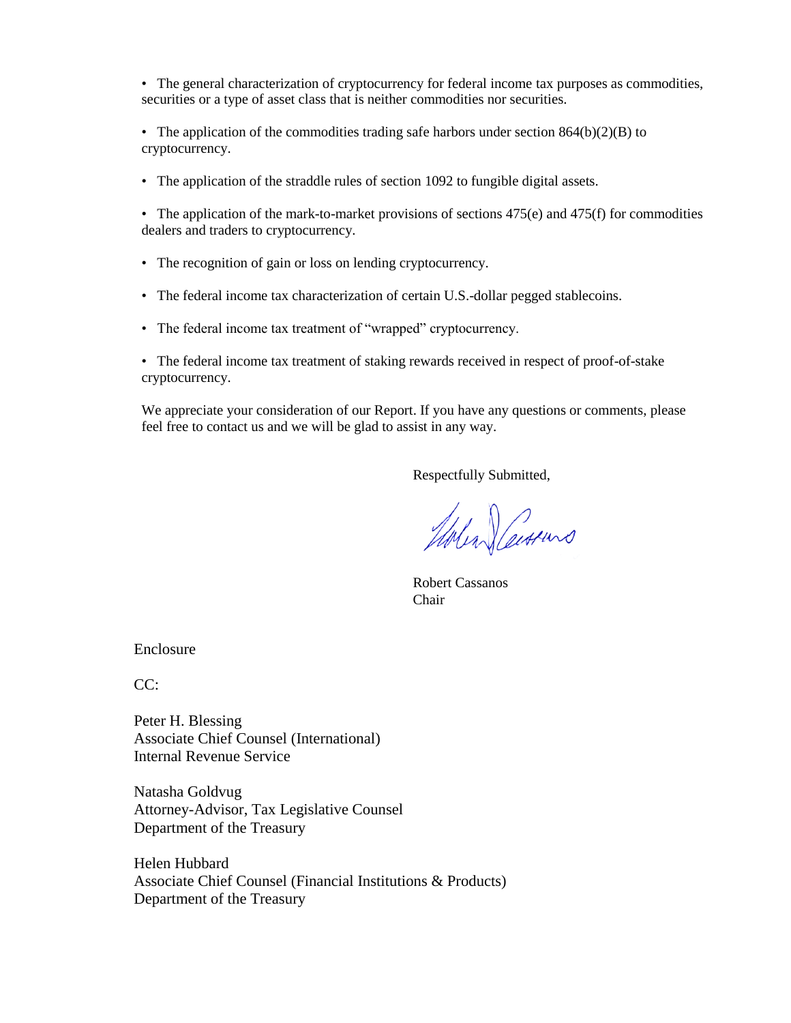• The general characterization of cryptocurrency for federal income tax purposes as commodities, securities or a type of asset class that is neither commodities nor securities.

• The application of the commodities trading safe harbors under section  $864(b)(2)(B)$  to cryptocurrency.

• The application of the straddle rules of section 1092 to fungible digital assets.

• The application of the mark-to-market provisions of sections  $475(e)$  and  $475(f)$  for commodities dealers and traders to cryptocurrency.

- The recognition of gain or loss on lending cryptocurrency.
- The federal income tax characterization of certain U.S.-dollar pegged stablecoins.
- The federal income tax treatment of "wrapped" cryptocurrency.

• The federal income tax treatment of staking rewards received in respect of proof-of-stake cryptocurrency.

We appreciate your consideration of our Report. If you have any questions or comments, please feel free to contact us and we will be glad to assist in any way.

Respectfully Submitted,

Molen Certuro

Robert Cassanos Chair

Enclosure

 $CC:$ 

Peter H. Blessing Associate Chief Counsel (International) Internal Revenue Service

Natasha Goldvug Attorney-Advisor, Tax Legislative Counsel Department of the Treasury

Helen Hubbard Associate Chief Counsel (Financial Institutions & Products) Department of the Treasury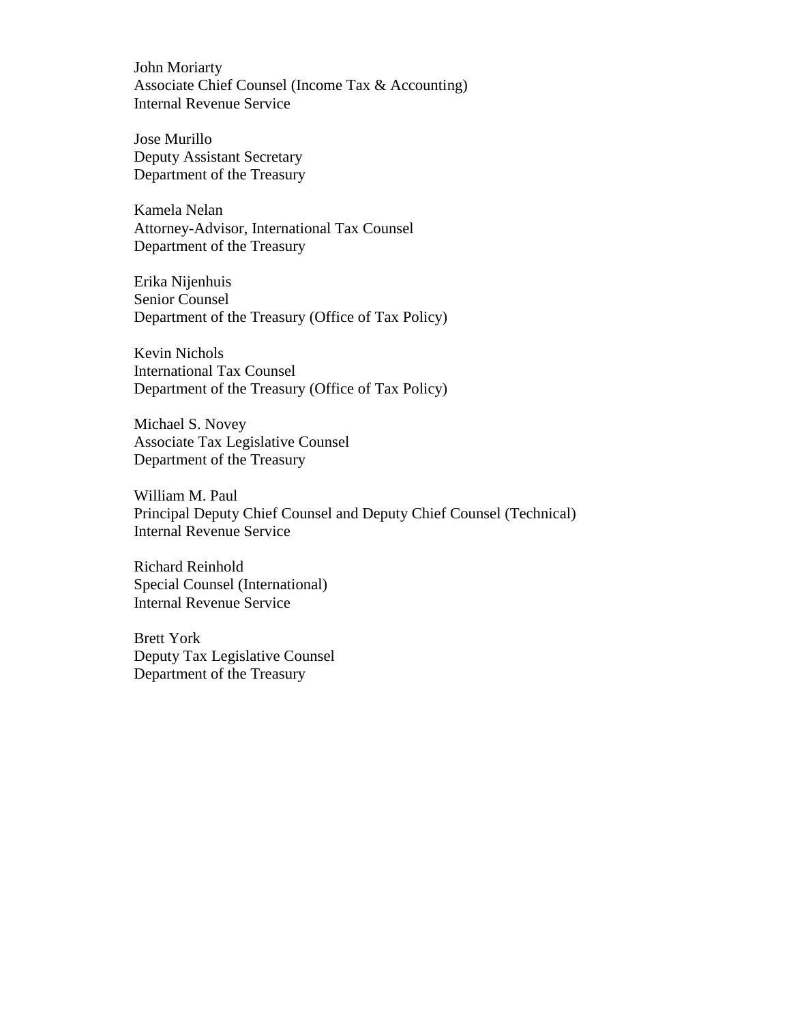John Moriarty Associate Chief Counsel (Income Tax & Accounting) Internal Revenue Service

Jose Murillo Deputy Assistant Secretary Department of the Treasury

Kamela Nelan Attorney-Advisor, International Tax Counsel Department of the Treasury

Erika Nijenhuis Senior Counsel Department of the Treasury (Office of Tax Policy)

Kevin Nichols International Tax Counsel Department of the Treasury (Office of Tax Policy)

Michael S. Novey Associate Tax Legislative Counsel Department of the Treasury

William M. Paul Principal Deputy Chief Counsel and Deputy Chief Counsel (Technical) Internal Revenue Service

Richard Reinhold Special Counsel (International) Internal Revenue Service

Brett York Deputy Tax Legislative Counsel Department of the Treasury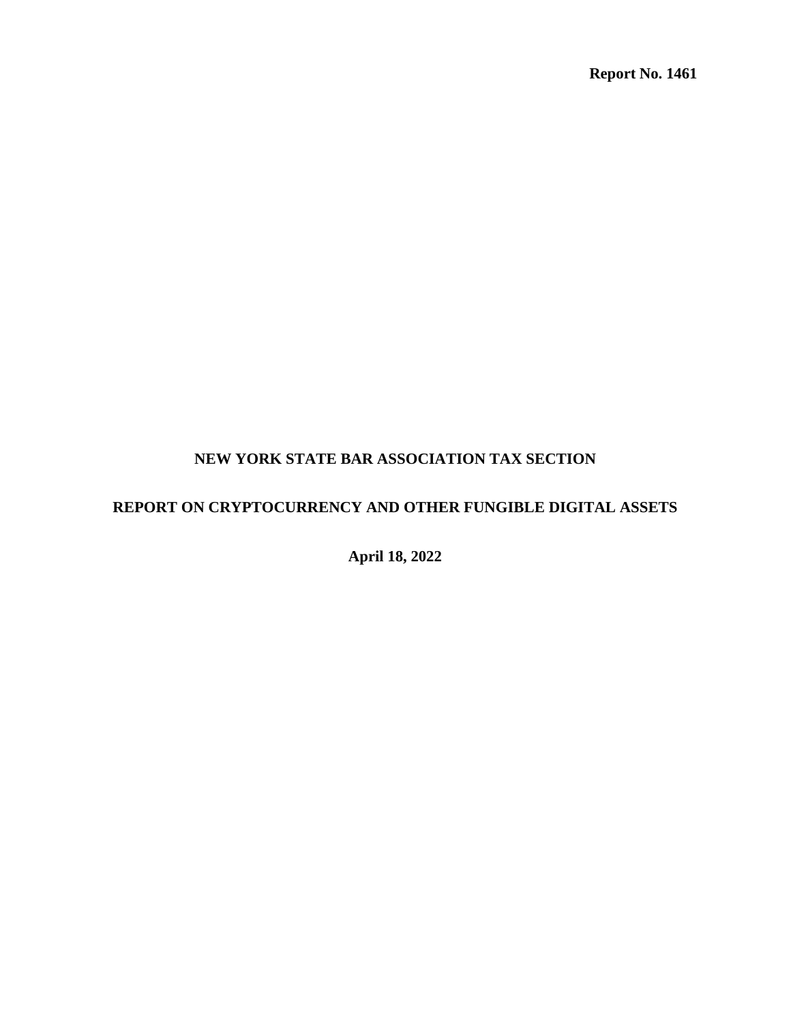**Report No. 1461** 

# **NEW YORK STATE BAR ASSOCIATION TAX SECTION**

# **REPORT ON CRYPTOCURRENCY AND OTHER FUNGIBLE DIGITAL ASSETS**

**April 18, 2022**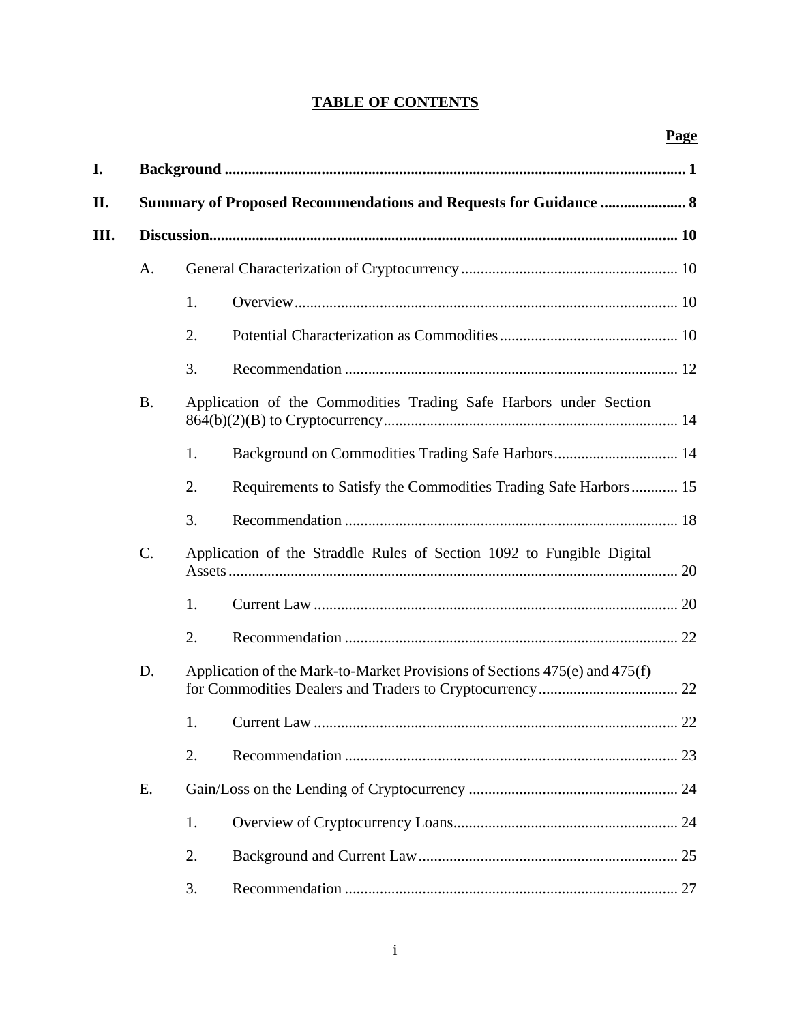# **TABLE OF CONTENTS**

| I.  | <b>Summary of Proposed Recommendations and Requests for Guidance  8</b>        |                                                                       |                                                                            |  |  |  |
|-----|--------------------------------------------------------------------------------|-----------------------------------------------------------------------|----------------------------------------------------------------------------|--|--|--|
| II. |                                                                                |                                                                       |                                                                            |  |  |  |
| Ш.  |                                                                                |                                                                       |                                                                            |  |  |  |
|     | A.                                                                             |                                                                       |                                                                            |  |  |  |
|     |                                                                                | 1.                                                                    |                                                                            |  |  |  |
|     |                                                                                | 2.                                                                    |                                                                            |  |  |  |
|     |                                                                                | 3.                                                                    |                                                                            |  |  |  |
|     | <b>B.</b><br>Application of the Commodities Trading Safe Harbors under Section |                                                                       |                                                                            |  |  |  |
|     |                                                                                | 1.                                                                    |                                                                            |  |  |  |
|     |                                                                                | 2.                                                                    | Requirements to Satisfy the Commodities Trading Safe Harbors 15            |  |  |  |
|     |                                                                                | 3.                                                                    |                                                                            |  |  |  |
|     | C.                                                                             | Application of the Straddle Rules of Section 1092 to Fungible Digital |                                                                            |  |  |  |
|     |                                                                                | 1.                                                                    |                                                                            |  |  |  |
|     |                                                                                | 2.                                                                    |                                                                            |  |  |  |
|     | D.                                                                             |                                                                       | Application of the Mark-to-Market Provisions of Sections 475(e) and 475(f) |  |  |  |
|     |                                                                                | 1.                                                                    |                                                                            |  |  |  |
|     |                                                                                | 2.                                                                    |                                                                            |  |  |  |
|     | Ε.                                                                             |                                                                       |                                                                            |  |  |  |
|     |                                                                                | 1.                                                                    |                                                                            |  |  |  |
|     |                                                                                | 2.                                                                    |                                                                            |  |  |  |
|     |                                                                                | 3.                                                                    |                                                                            |  |  |  |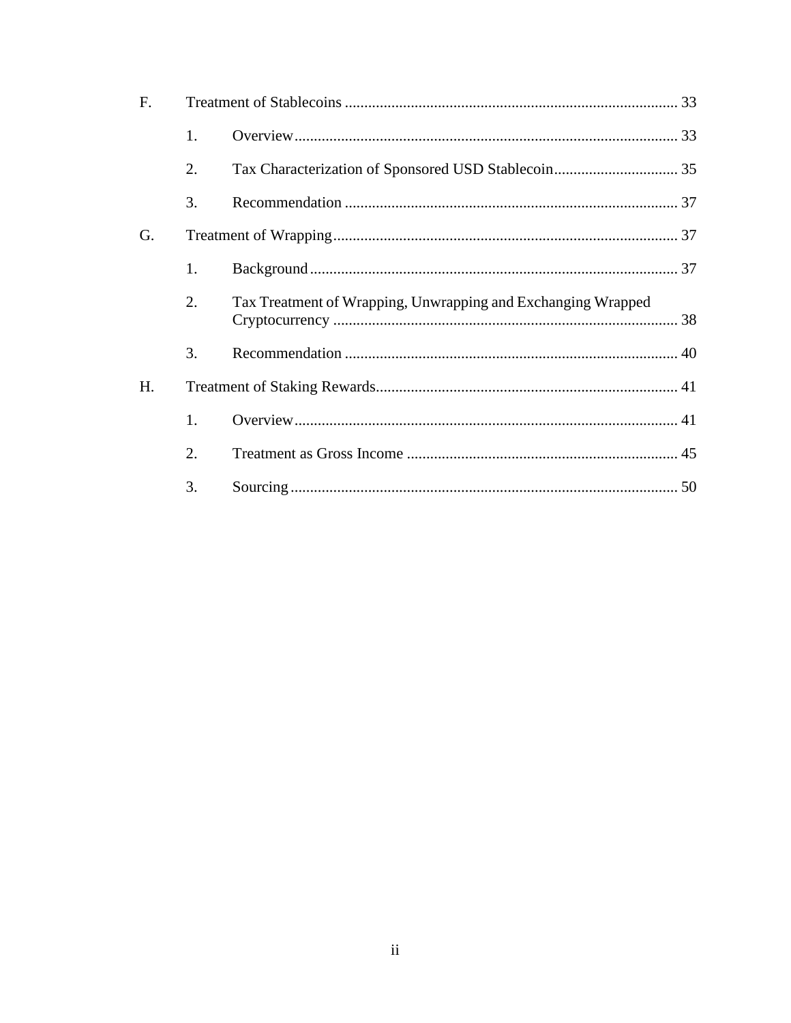| F. |    |                                                              |  |  |
|----|----|--------------------------------------------------------------|--|--|
|    | 1. |                                                              |  |  |
|    | 2. |                                                              |  |  |
|    | 3. |                                                              |  |  |
| G. |    |                                                              |  |  |
|    | 1. |                                                              |  |  |
|    | 2. | Tax Treatment of Wrapping, Unwrapping and Exchanging Wrapped |  |  |
|    | 3. |                                                              |  |  |
| H. |    |                                                              |  |  |
|    | 1. |                                                              |  |  |
|    | 2. |                                                              |  |  |
|    | 3. |                                                              |  |  |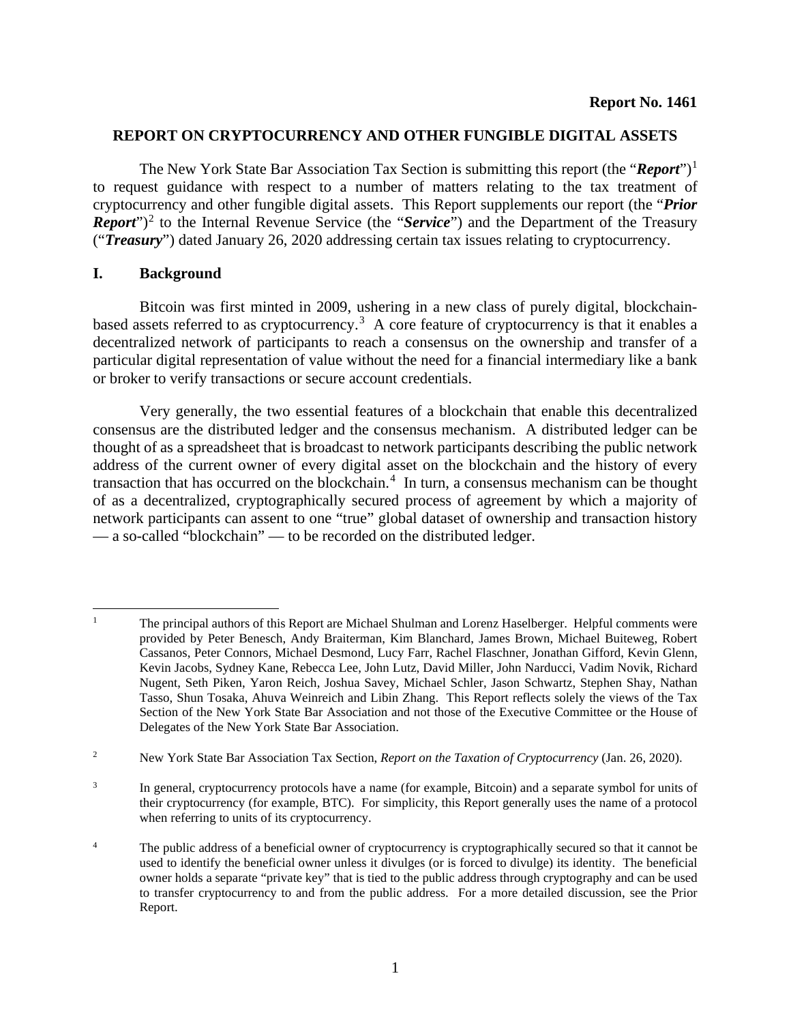#### **REPORT ON CRYPTOCURRENCY AND OTHER FUNGIBLE DIGITAL ASSETS**

The New York State Bar Association Tax Section is submitting this report (the "*Report*")<sup>[1](#page-6-1)</sup> to request guidance with respect to a number of matters relating to the tax treatment of cryptocurrency and other fungible digital assets. This Report supplements our report (the "*Prior Report*")<sup>[2](#page-6-2)</sup> to the Internal Revenue Service (the "*Service*") and the Department of the Treasury ("*Treasury*") dated January 26, 2020 addressing certain tax issues relating to cryptocurrency.

#### <span id="page-6-0"></span>**I. Background**

Bitcoin was first minted in 2009, ushering in a new class of purely digital, blockchain-based assets referred to as cryptocurrency.<sup>[3](#page-6-3)</sup> A core feature of cryptocurrency is that it enables a decentralized network of participants to reach a consensus on the ownership and transfer of a particular digital representation of value without the need for a financial intermediary like a bank or broker to verify transactions or secure account credentials.

Very generally, the two essential features of a blockchain that enable this decentralized consensus are the distributed ledger and the consensus mechanism. A distributed ledger can be thought of as a spreadsheet that is broadcast to network participants describing the public network address of the current owner of every digital asset on the blockchain and the history of every transaction that has occurred on the blockchain.<sup>[4](#page-6-4)</sup> In turn, a consensus mechanism can be thought of as a decentralized, cryptographically secured process of agreement by which a majority of network participants can assent to one "true" global dataset of ownership and transaction history — a so-called "blockchain" — to be recorded on the distributed ledger.

<span id="page-6-3"></span>3 In general, cryptocurrency protocols have a name (for example, Bitcoin) and a separate symbol for units of their cryptocurrency (for example, BTC). For simplicity, this Report generally uses the name of a protocol when referring to units of its cryptocurrency.

<span id="page-6-1"></span><sup>1</sup> The principal authors of this Report are Michael Shulman and Lorenz Haselberger. Helpful comments were provided by Peter Benesch, Andy Braiterman, Kim Blanchard, James Brown, Michael Buiteweg, Robert Cassanos, Peter Connors, Michael Desmond, Lucy Farr, Rachel Flaschner, Jonathan Gifford, Kevin Glenn, Kevin Jacobs, Sydney Kane, Rebecca Lee, John Lutz, David Miller, John Narducci, Vadim Novik, Richard Nugent, Seth Piken, Yaron Reich, Joshua Savey, Michael Schler, Jason Schwartz, Stephen Shay, Nathan Tasso, Shun Tosaka, Ahuva Weinreich and Libin Zhang. This Report reflects solely the views of the Tax Section of the New York State Bar Association and not those of the Executive Committee or the House of Delegates of the New York State Bar Association.

<span id="page-6-2"></span><sup>2</sup> New York State Bar Association Tax Section, *Report on the Taxation of Cryptocurrency* (Jan. 26, 2020).

<span id="page-6-4"></span><sup>4</sup> The public address of a beneficial owner of cryptocurrency is cryptographically secured so that it cannot be used to identify the beneficial owner unless it divulges (or is forced to divulge) its identity. The beneficial owner holds a separate "private key" that is tied to the public address through cryptography and can be used to transfer cryptocurrency to and from the public address. For a more detailed discussion, see the Prior Report.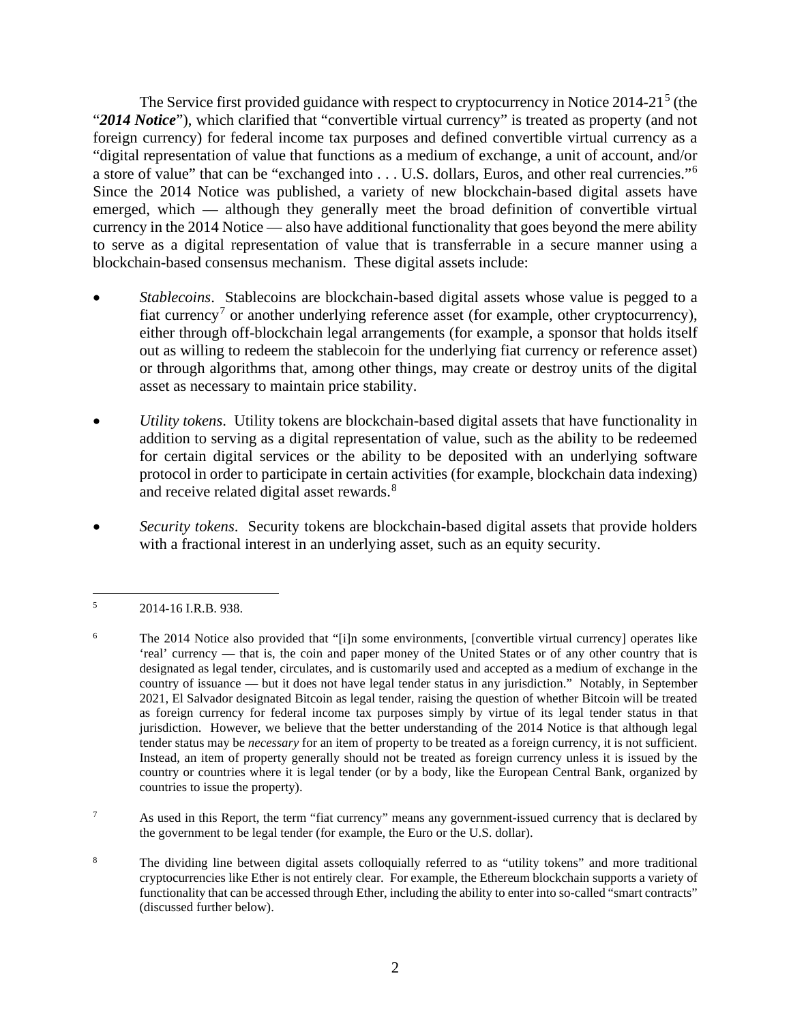The Service first provided guidance with respect to cryptocurrency in Notice 2014-21<sup>[5](#page-7-0)</sup> (the "*2014 Notice*"), which clarified that "convertible virtual currency" is treated as property (and not foreign currency) for federal income tax purposes and defined convertible virtual currency as a "digital representation of value that functions as a medium of exchange, a unit of account, and/or a store of value" that can be "exchanged into . . . U.S. dollars, Euros, and other real currencies."[6](#page-7-1) Since the 2014 Notice was published, a variety of new blockchain-based digital assets have emerged, which — although they generally meet the broad definition of convertible virtual currency in the 2014 Notice — also have additional functionality that goes beyond the mere ability to serve as a digital representation of value that is transferrable in a secure manner using a blockchain-based consensus mechanism. These digital assets include:

- *Stablecoins*. Stablecoins are blockchain-based digital assets whose value is pegged to a fiat currency<sup>[7](#page-7-2)</sup> or another underlying reference asset (for example, other cryptocurrency), either through off-blockchain legal arrangements (for example, a sponsor that holds itself out as willing to redeem the stablecoin for the underlying fiat currency or reference asset) or through algorithms that, among other things, may create or destroy units of the digital asset as necessary to maintain price stability.
- *Utility tokens*. Utility tokens are blockchain-based digital assets that have functionality in addition to serving as a digital representation of value, such as the ability to be redeemed for certain digital services or the ability to be deposited with an underlying software protocol in order to participate in certain activities (for example, blockchain data indexing) and receive related digital asset rewards.<sup>[8](#page-7-3)</sup>
- *Security tokens*. Security tokens are blockchain-based digital assets that provide holders with a fractional interest in an underlying asset, such as an equity security.

<span id="page-7-2"></span>7 As used in this Report, the term "fiat currency" means any government-issued currency that is declared by the government to be legal tender (for example, the Euro or the U.S. dollar).

<span id="page-7-3"></span>8 The dividing line between digital assets colloquially referred to as "utility tokens" and more traditional cryptocurrencies like Ether is not entirely clear. For example, the Ethereum blockchain supports a variety of functionality that can be accessed through Ether, including the ability to enter into so-called "smart contracts" (discussed further below).

<span id="page-7-0"></span><sup>5</sup> 2014-16 I.R.B. 938.

<span id="page-7-1"></span><sup>6</sup> The 2014 Notice also provided that "[i]n some environments, [convertible virtual currency] operates like 'real' currency — that is, the coin and paper money of the United States or of any other country that is designated as legal tender, circulates, and is customarily used and accepted as a medium of exchange in the country of issuance — but it does not have legal tender status in any jurisdiction." Notably, in September 2021, El Salvador designated Bitcoin as legal tender, raising the question of whether Bitcoin will be treated as foreign currency for federal income tax purposes simply by virtue of its legal tender status in that jurisdiction. However, we believe that the better understanding of the 2014 Notice is that although legal tender status may be *necessary* for an item of property to be treated as a foreign currency, it is not sufficient. Instead, an item of property generally should not be treated as foreign currency unless it is issued by the country or countries where it is legal tender (or by a body, like the European Central Bank, organized by countries to issue the property).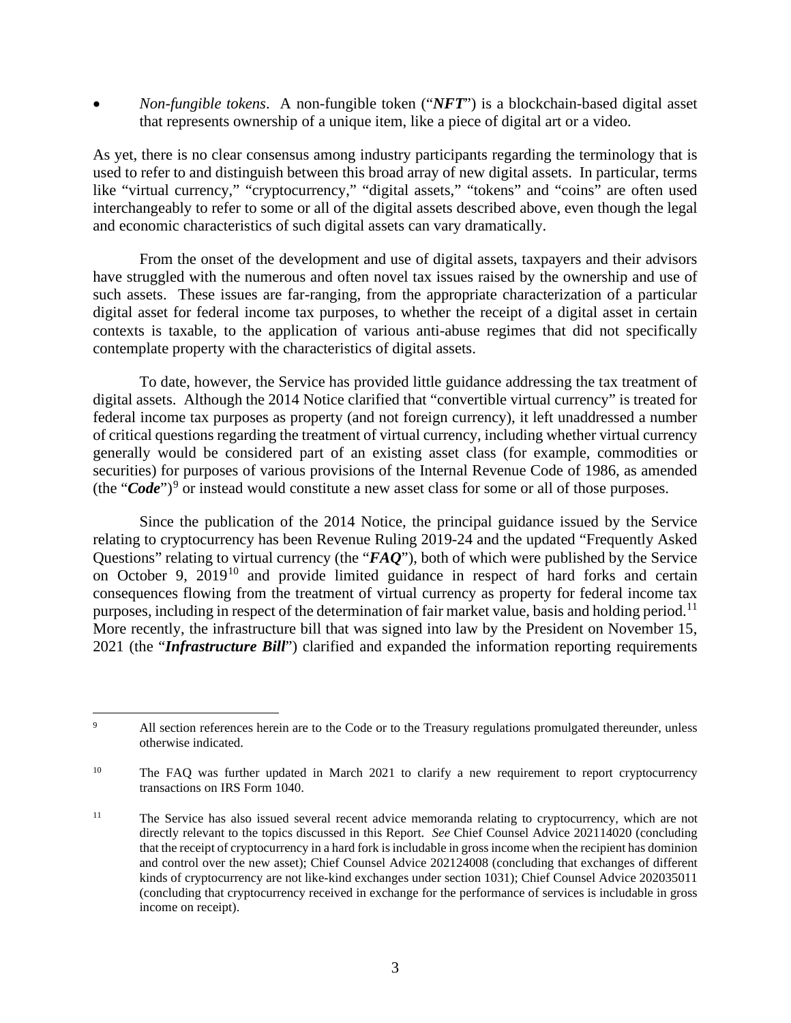• *Non-fungible tokens*. A non-fungible token ("*NFT*") is a blockchain-based digital asset that represents ownership of a unique item, like a piece of digital art or a video.

As yet, there is no clear consensus among industry participants regarding the terminology that is used to refer to and distinguish between this broad array of new digital assets. In particular, terms like "virtual currency," "cryptocurrency," "digital assets," "tokens" and "coins" are often used interchangeably to refer to some or all of the digital assets described above, even though the legal and economic characteristics of such digital assets can vary dramatically.

From the onset of the development and use of digital assets, taxpayers and their advisors have struggled with the numerous and often novel tax issues raised by the ownership and use of such assets. These issues are far-ranging, from the appropriate characterization of a particular digital asset for federal income tax purposes, to whether the receipt of a digital asset in certain contexts is taxable, to the application of various anti-abuse regimes that did not specifically contemplate property with the characteristics of digital assets.

To date, however, the Service has provided little guidance addressing the tax treatment of digital assets. Although the 2014 Notice clarified that "convertible virtual currency" is treated for federal income tax purposes as property (and not foreign currency), it left unaddressed a number of critical questions regarding the treatment of virtual currency, including whether virtual currency generally would be considered part of an existing asset class (for example, commodities or securities) for purposes of various provisions of the Internal Revenue Code of 1986, as amended (the "Code")<sup>[9](#page-8-0)</sup> or instead would constitute a new asset class for some or all of those purposes.

Since the publication of the 2014 Notice, the principal guidance issued by the Service relating to cryptocurrency has been Revenue Ruling 2019-24 and the updated "Frequently Asked Questions" relating to virtual currency (the "*FAQ*"), both of which were published by the Service on October 9, 2019<sup>[10](#page-8-1)</sup> and provide limited guidance in respect of hard forks and certain consequences flowing from the treatment of virtual currency as property for federal income tax purposes, including in respect of the determination of fair market value, basis and holding period.<sup>[11](#page-8-2)</sup> More recently, the infrastructure bill that was signed into law by the President on November 15, 2021 (the "*Infrastructure Bill*") clarified and expanded the information reporting requirements

<span id="page-8-0"></span><sup>9</sup> All section references herein are to the Code or to the Treasury regulations promulgated thereunder, unless otherwise indicated.

<span id="page-8-1"></span><sup>&</sup>lt;sup>10</sup> The FAQ was further updated in March 2021 to clarify a new requirement to report cryptocurrency transactions on IRS Form 1040.

<span id="page-8-2"></span><sup>&</sup>lt;sup>11</sup> The Service has also issued several recent advice memoranda relating to cryptocurrency, which are not directly relevant to the topics discussed in this Report. *See* Chief Counsel Advice 202114020 (concluding that the receipt of cryptocurrency in a hard fork is includable in gross income when the recipient has dominion and control over the new asset); Chief Counsel Advice 202124008 (concluding that exchanges of different kinds of cryptocurrency are not like-kind exchanges under section 1031); Chief Counsel Advice 202035011 (concluding that cryptocurrency received in exchange for the performance of services is includable in gross income on receipt).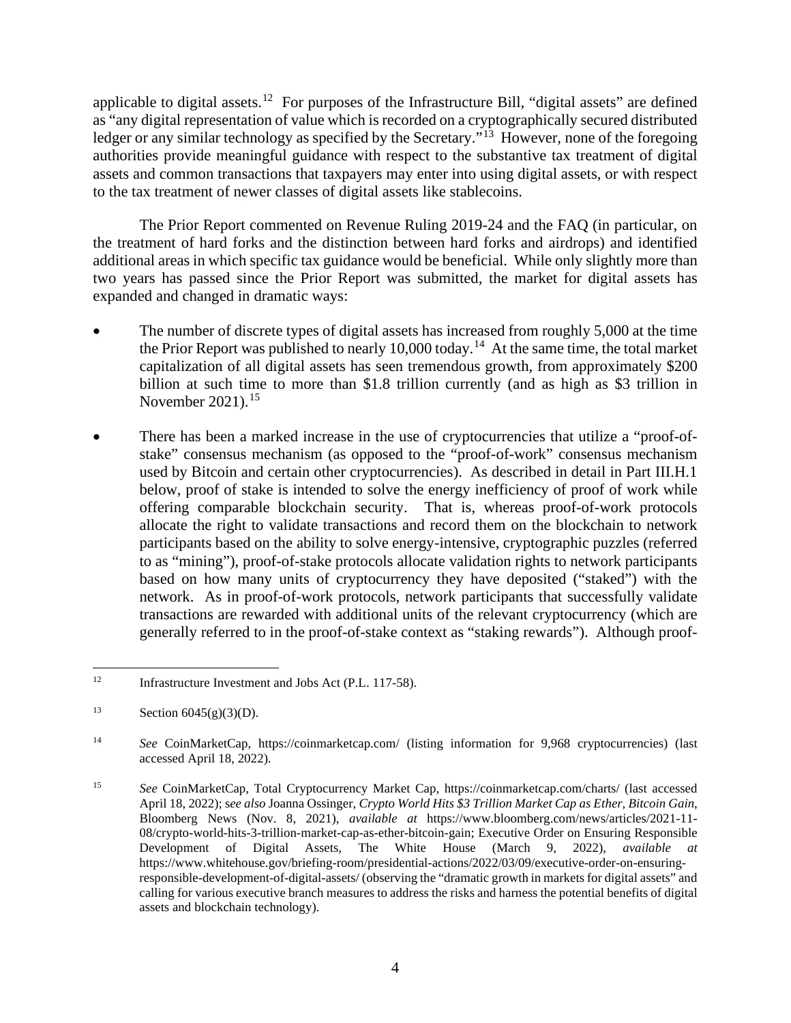applicable to digital assets.<sup>[12](#page-9-0)</sup> For purposes of the Infrastructure Bill, "digital assets" are defined as "any digital representation of value which is recorded on a cryptographically secured distributed ledger or any similar technology as specified by the Secretary.<sup>"[13](#page-9-1)</sup> However, none of the foregoing authorities provide meaningful guidance with respect to the substantive tax treatment of digital assets and common transactions that taxpayers may enter into using digital assets, or with respect to the tax treatment of newer classes of digital assets like stablecoins.

The Prior Report commented on Revenue Ruling 2019-24 and the FAQ (in particular, on the treatment of hard forks and the distinction between hard forks and airdrops) and identified additional areas in which specific tax guidance would be beneficial. While only slightly more than two years has passed since the Prior Report was submitted, the market for digital assets has expanded and changed in dramatic ways:

- The number of discrete types of digital assets has increased from roughly 5,000 at the time the Prior Report was published to nearly  $10,000$  today.<sup>[14](#page-9-2)</sup> At the same time, the total market capitalization of all digital assets has seen tremendous growth, from approximately \$200 billion at such time to more than \$1.8 trillion currently (and as high as \$3 trillion in November 2021).<sup>[15](#page-9-3)</sup>
- There has been a marked increase in the use of cryptocurrencies that utilize a "proof-ofstake" consensus mechanism (as opposed to the "proof-of-work" consensus mechanism used by Bitcoin and certain other cryptocurrencies). As described in detail in Part III.H.1 below, proof of stake is intended to solve the energy inefficiency of proof of work while offering comparable blockchain security. That is, whereas proof-of-work protocols allocate the right to validate transactions and record them on the blockchain to network participants based on the ability to solve energy-intensive, cryptographic puzzles (referred to as "mining"), proof-of-stake protocols allocate validation rights to network participants based on how many units of cryptocurrency they have deposited ("staked") with the network. As in proof-of-work protocols, network participants that successfully validate transactions are rewarded with additional units of the relevant cryptocurrency (which are generally referred to in the proof-of-stake context as "staking rewards"). Although proof-

<span id="page-9-0"></span><sup>&</sup>lt;sup>12</sup> [Infrastructure Investment and Jobs Act \(P.L. 117-58\).](https://www.congress.gov/bill/117th-congress/house-bill/3684)

<span id="page-9-1"></span><sup>13</sup> Section  $6045(g)(3)(D)$ .

<span id="page-9-2"></span><sup>14</sup> *See* CoinMarketCap, https://coinmarketcap.com/ (listing information for 9,968 cryptocurrencies) (last accessed April 18, 2022).

<span id="page-9-3"></span><sup>15</sup> *See* CoinMarketCap, Total Cryptocurrency Market Cap, https://coinmarketcap.com/charts/ (last accessed April 18, 2022); s*ee also* Joanna Ossinger, *Crypto World Hits \$3 Trillion Market Cap as Ether, Bitcoin Gain*, Bloomberg News (Nov. 8, 2021), *available at* https://www.bloomberg.com/news/articles/2021-11- 08/crypto-world-hits-3-trillion-market-cap-as-ether-bitcoin-gain; Executive Order on Ensuring Responsible Development of Digital Assets, The White House (March 9, 2022), *available at* https://www.whitehouse.gov/briefing-room/presidential-actions/2022/03/09/executive-order-on-ensuringresponsible-development-of-digital-assets/ (observing the "dramatic growth in markets for digital assets" and calling for various executive branch measures to address the risks and harness the potential benefits of digital assets and blockchain technology).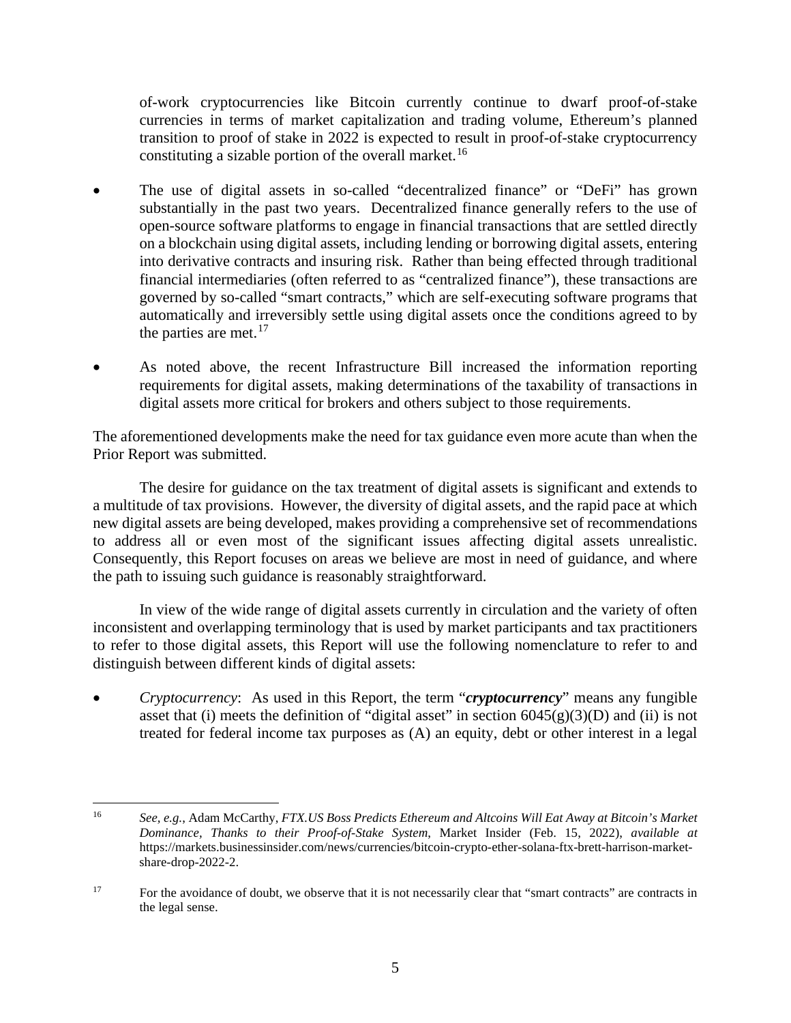of-work cryptocurrencies like Bitcoin currently continue to dwarf proof-of-stake currencies in terms of market capitalization and trading volume, Ethereum's planned transition to proof of stake in 2022 is expected to result in proof-of-stake cryptocurrency constituting a sizable portion of the overall market.<sup>[16](#page-10-0)</sup>

- The use of digital assets in so-called "decentralized finance" or "DeFi" has grown substantially in the past two years. Decentralized finance generally refers to the use of open-source software platforms to engage in financial transactions that are settled directly on a blockchain using digital assets, including lending or borrowing digital assets, entering into derivative contracts and insuring risk. Rather than being effected through traditional financial intermediaries (often referred to as "centralized finance"), these transactions are governed by so-called "smart contracts," which are self-executing software programs that automatically and irreversibly settle using digital assets once the conditions agreed to by the parties are met. $17$
- As noted above, the recent Infrastructure Bill increased the information reporting requirements for digital assets, making determinations of the taxability of transactions in digital assets more critical for brokers and others subject to those requirements.

The aforementioned developments make the need for tax guidance even more acute than when the Prior Report was submitted.

The desire for guidance on the tax treatment of digital assets is significant and extends to a multitude of tax provisions. However, the diversity of digital assets, and the rapid pace at which new digital assets are being developed, makes providing a comprehensive set of recommendations to address all or even most of the significant issues affecting digital assets unrealistic. Consequently, this Report focuses on areas we believe are most in need of guidance, and where the path to issuing such guidance is reasonably straightforward.

In view of the wide range of digital assets currently in circulation and the variety of often inconsistent and overlapping terminology that is used by market participants and tax practitioners to refer to those digital assets, this Report will use the following nomenclature to refer to and distinguish between different kinds of digital assets:

• *Cryptocurrency*: As used in this Report, the term "*cryptocurrency*" means any fungible asset that (i) meets the definition of "digital asset" in section  $6045(g)(3)(D)$  and (ii) is not treated for federal income tax purposes as (A) an equity, debt or other interest in a legal

<span id="page-10-0"></span><sup>16</sup> *See, e.g.*, Adam McCarthy, *FTX.US Boss Predicts Ethereum and Altcoins Will Eat Away at Bitcoin's Market Dominance, Thanks to their Proof-of-Stake System*, Market Insider (Feb. 15, 2022), *available at* https://markets.businessinsider.com/news/currencies/bitcoin-crypto-ether-solana-ftx-brett-harrison-marketshare-drop-2022-2.

<span id="page-10-1"></span><sup>&</sup>lt;sup>17</sup> For the avoidance of doubt, we observe that it is not necessarily clear that "smart contracts" are contracts in the legal sense.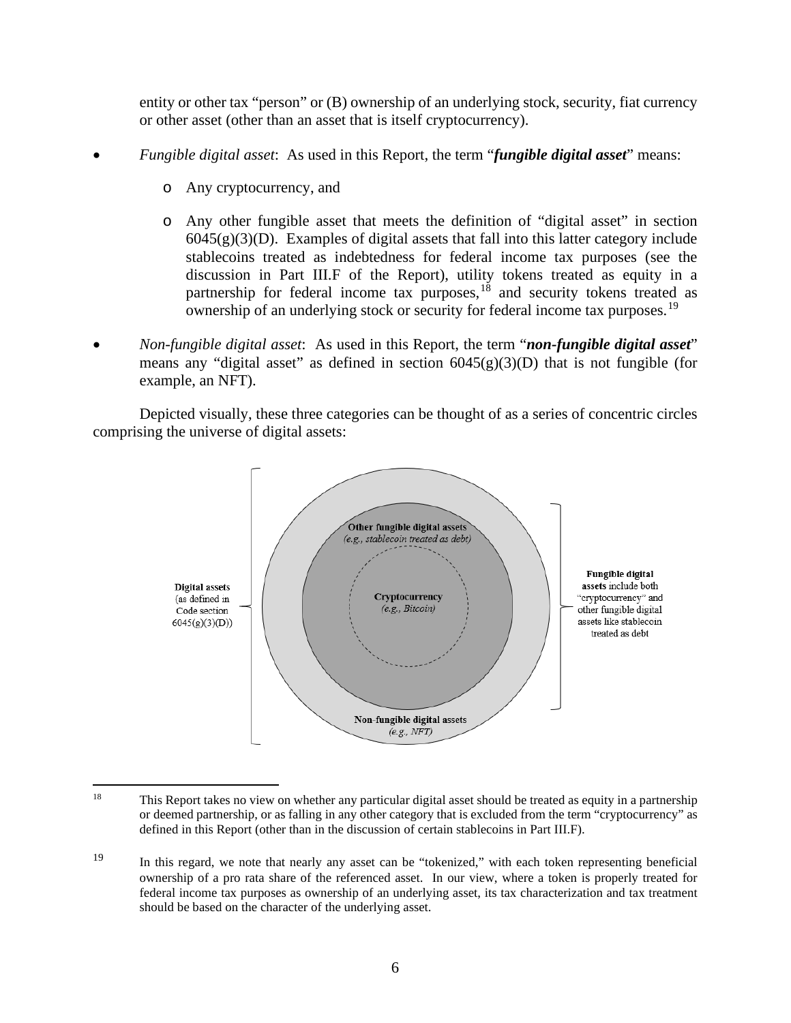entity or other tax "person" or (B) ownership of an underlying stock, security, fiat currency or other asset (other than an asset that is itself cryptocurrency).

- *Fungible digital asset*: As used in this Report, the term "*fungible digital asset*" means:
	- o Any cryptocurrency, and
	- o Any other fungible asset that meets the definition of "digital asset" in section  $6045(g)(3)(D)$ . Examples of digital assets that fall into this latter category include stablecoins treated as indebtedness for federal income tax purposes (see the discussion in Part III.F of the Report), utility tokens treated as equity in a partnership for federal income tax purposes,<sup>[18](#page-11-0)</sup> and security tokens treated as ownership of an underlying stock or security for federal income tax purposes.[19](#page-11-1)
- *Non-fungible digital asset*: As used in this Report, the term "*non-fungible digital asset*" means any "digital asset" as defined in section  $6045(g)(3)(D)$  that is not fungible (for example, an NFT).

Depicted visually, these three categories can be thought of as a series of concentric circles comprising the universe of digital assets:



<span id="page-11-0"></span><sup>&</sup>lt;sup>18</sup> This Report takes no view on whether any particular digital asset should be treated as equity in a partnership or deemed partnership, or as falling in any other category that is excluded from the term "cryptocurrency" as defined in this Report (other than in the discussion of certain stablecoins in Part III.F).

<span id="page-11-1"></span><sup>19</sup> In this regard, we note that nearly any asset can be "tokenized," with each token representing beneficial ownership of a pro rata share of the referenced asset. In our view, where a token is properly treated for federal income tax purposes as ownership of an underlying asset, its tax characterization and tax treatment should be based on the character of the underlying asset.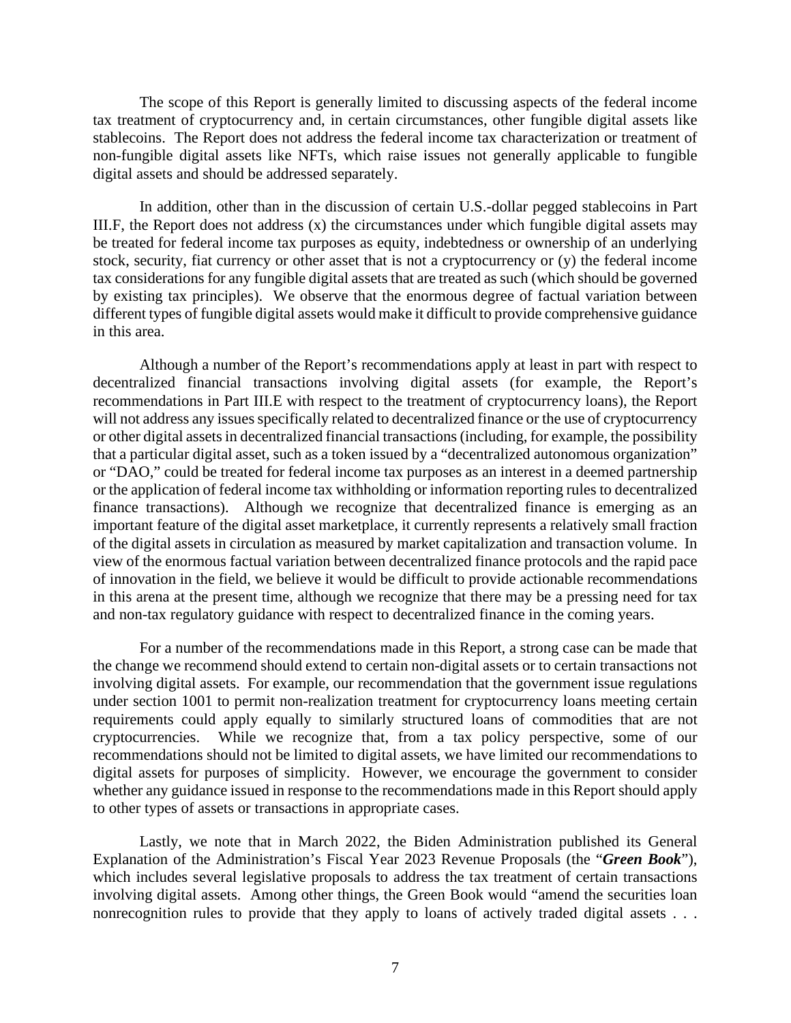The scope of this Report is generally limited to discussing aspects of the federal income tax treatment of cryptocurrency and, in certain circumstances, other fungible digital assets like stablecoins. The Report does not address the federal income tax characterization or treatment of non-fungible digital assets like NFTs, which raise issues not generally applicable to fungible digital assets and should be addressed separately.

In addition, other than in the discussion of certain U.S.-dollar pegged stablecoins in Part III.F, the Report does not address (x) the circumstances under which fungible digital assets may be treated for federal income tax purposes as equity, indebtedness or ownership of an underlying stock, security, fiat currency or other asset that is not a cryptocurrency or (y) the federal income tax considerations for any fungible digital assets that are treated as such (which should be governed by existing tax principles). We observe that the enormous degree of factual variation between different types of fungible digital assets would make it difficult to provide comprehensive guidance in this area.

Although a number of the Report's recommendations apply at least in part with respect to decentralized financial transactions involving digital assets (for example, the Report's recommendations in Part III.E with respect to the treatment of cryptocurrency loans), the Report will not address any issues specifically related to decentralized finance or the use of cryptocurrency or other digital assets in decentralized financial transactions(including, for example, the possibility that a particular digital asset, such as a token issued by a "decentralized autonomous organization" or "DAO," could be treated for federal income tax purposes as an interest in a deemed partnership or the application of federal income tax withholding or information reporting rules to decentralized finance transactions). Although we recognize that decentralized finance is emerging as an important feature of the digital asset marketplace, it currently represents a relatively small fraction of the digital assets in circulation as measured by market capitalization and transaction volume. In view of the enormous factual variation between decentralized finance protocols and the rapid pace of innovation in the field, we believe it would be difficult to provide actionable recommendations in this arena at the present time, although we recognize that there may be a pressing need for tax and non-tax regulatory guidance with respect to decentralized finance in the coming years.

 For a number of the recommendations made in this Report, a strong case can be made that the change we recommend should extend to certain non-digital assets or to certain transactions not involving digital assets. For example, our recommendation that the government issue regulations under section 1001 to permit non-realization treatment for cryptocurrency loans meeting certain requirements could apply equally to similarly structured loans of commodities that are not cryptocurrencies. While we recognize that, from a tax policy perspective, some of our recommendations should not be limited to digital assets, we have limited our recommendations to digital assets for purposes of simplicity. However, we encourage the government to consider whether any guidance issued in response to the recommendations made in this Report should apply to other types of assets or transactions in appropriate cases.

Lastly, we note that in March 2022, the Biden Administration published its General Explanation of the Administration's Fiscal Year 2023 Revenue Proposals (the "*Green Book*"), which includes several legislative proposals to address the tax treatment of certain transactions involving digital assets. Among other things, the Green Book would "amend the securities loan nonrecognition rules to provide that they apply to loans of actively traded digital assets . . .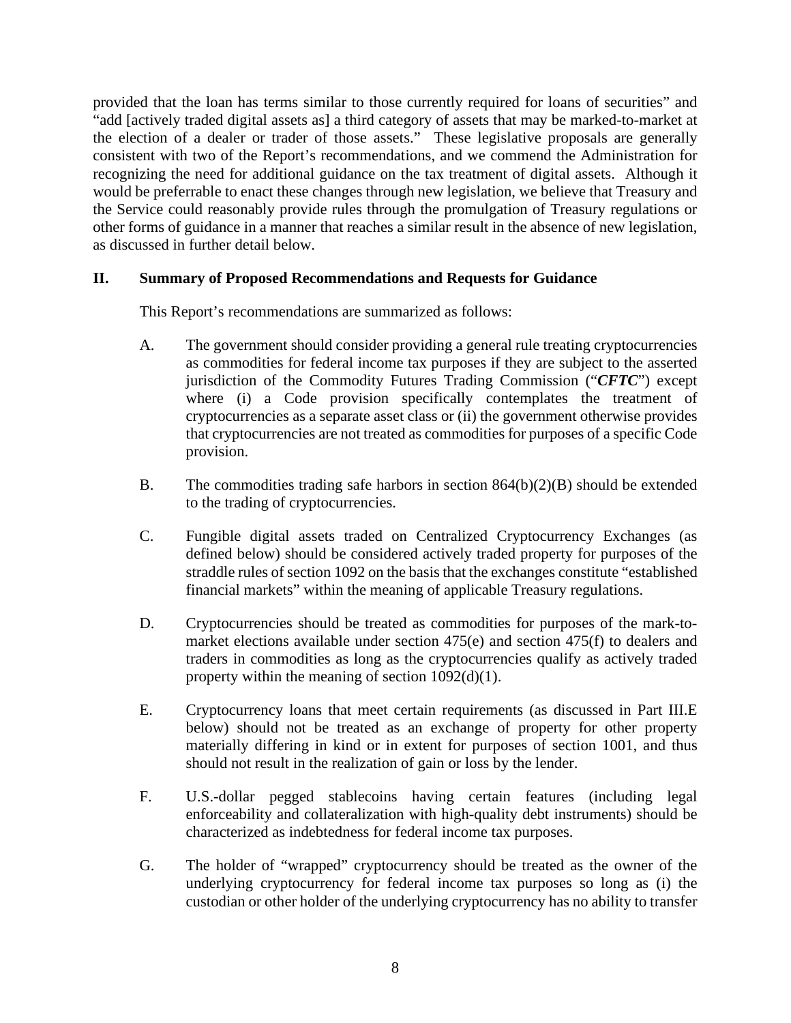provided that the loan has terms similar to those currently required for loans of securities" and "add [actively traded digital assets as] a third category of assets that may be marked-to-market at the election of a dealer or trader of those assets." These legislative proposals are generally consistent with two of the Report's recommendations, and we commend the Administration for recognizing the need for additional guidance on the tax treatment of digital assets. Although it would be preferrable to enact these changes through new legislation, we believe that Treasury and the Service could reasonably provide rules through the promulgation of Treasury regulations or other forms of guidance in a manner that reaches a similar result in the absence of new legislation, as discussed in further detail below.

# <span id="page-13-0"></span>**II. Summary of Proposed Recommendations and Requests for Guidance**

This Report's recommendations are summarized as follows:

- A. The government should consider providing a general rule treating cryptocurrencies as commodities for federal income tax purposes if they are subject to the asserted jurisdiction of the Commodity Futures Trading Commission ("*CFTC*") except where (i) a Code provision specifically contemplates the treatment of cryptocurrencies as a separate asset class or (ii) the government otherwise provides that cryptocurrencies are not treated as commodities for purposes of a specific Code provision.
- B. The commodities trading safe harbors in section 864(b)(2)(B) should be extended to the trading of cryptocurrencies.
- C. Fungible digital assets traded on Centralized Cryptocurrency Exchanges (as defined below) should be considered actively traded property for purposes of the straddle rules of section 1092 on the basis that the exchanges constitute "established financial markets" within the meaning of applicable Treasury regulations.
- D. Cryptocurrencies should be treated as commodities for purposes of the mark-tomarket elections available under section 475(e) and section 475(f) to dealers and traders in commodities as long as the cryptocurrencies qualify as actively traded property within the meaning of section 1092(d)(1).
- E. Cryptocurrency loans that meet certain requirements (as discussed in Part III.E below) should not be treated as an exchange of property for other property materially differing in kind or in extent for purposes of section 1001, and thus should not result in the realization of gain or loss by the lender.
- F. U.S.-dollar pegged stablecoins having certain features (including legal enforceability and collateralization with high-quality debt instruments) should be characterized as indebtedness for federal income tax purposes.
- G. The holder of "wrapped" cryptocurrency should be treated as the owner of the underlying cryptocurrency for federal income tax purposes so long as (i) the custodian or other holder of the underlying cryptocurrency has no ability to transfer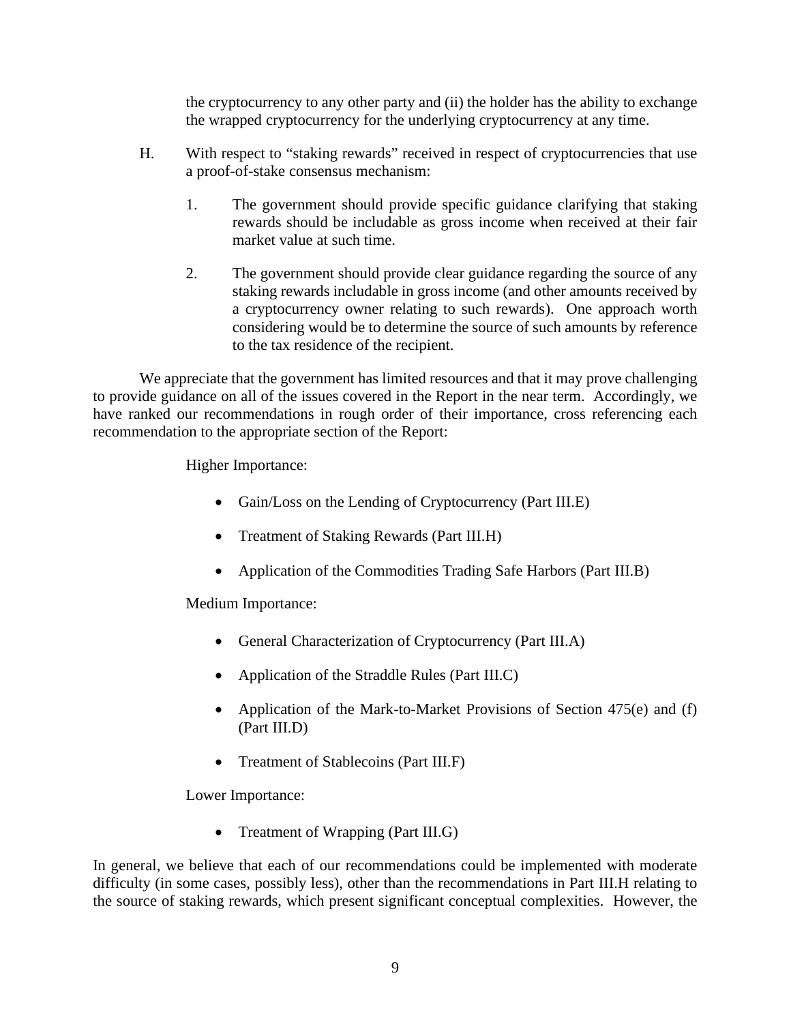the cryptocurrency to any other party and (ii) the holder has the ability to exchange the wrapped cryptocurrency for the underlying cryptocurrency at any time.

- H. With respect to "staking rewards" received in respect of cryptocurrencies that use a proof-of-stake consensus mechanism:
	- 1. The government should provide specific guidance clarifying that staking rewards should be includable as gross income when received at their fair market value at such time.
	- 2. The government should provide clear guidance regarding the source of any staking rewards includable in gross income (and other amounts received by a cryptocurrency owner relating to such rewards). One approach worth considering would be to determine the source of such amounts by reference to the tax residence of the recipient.

We appreciate that the government has limited resources and that it may prove challenging to provide guidance on all of the issues covered in the Report in the near term. Accordingly, we have ranked our recommendations in rough order of their importance, cross referencing each recommendation to the appropriate section of the Report:

Higher Importance:

- Gain/Loss on the Lending of Cryptocurrency (Part III.E)
- Treatment of Staking Rewards (Part III.H)
- Application of the Commodities Trading Safe Harbors (Part III.B)

Medium Importance:

- General Characterization of Cryptocurrency (Part III.A)
- Application of the Straddle Rules (Part III.C)
- Application of the Mark-to-Market Provisions of Section 475(e) and (f) (Part III.D)
- Treatment of Stablecoins (Part III.F)

Lower Importance:

• Treatment of Wrapping (Part III.G)

In general, we believe that each of our recommendations could be implemented with moderate difficulty (in some cases, possibly less), other than the recommendations in Part III.H relating to the source of staking rewards, which present significant conceptual complexities. However, the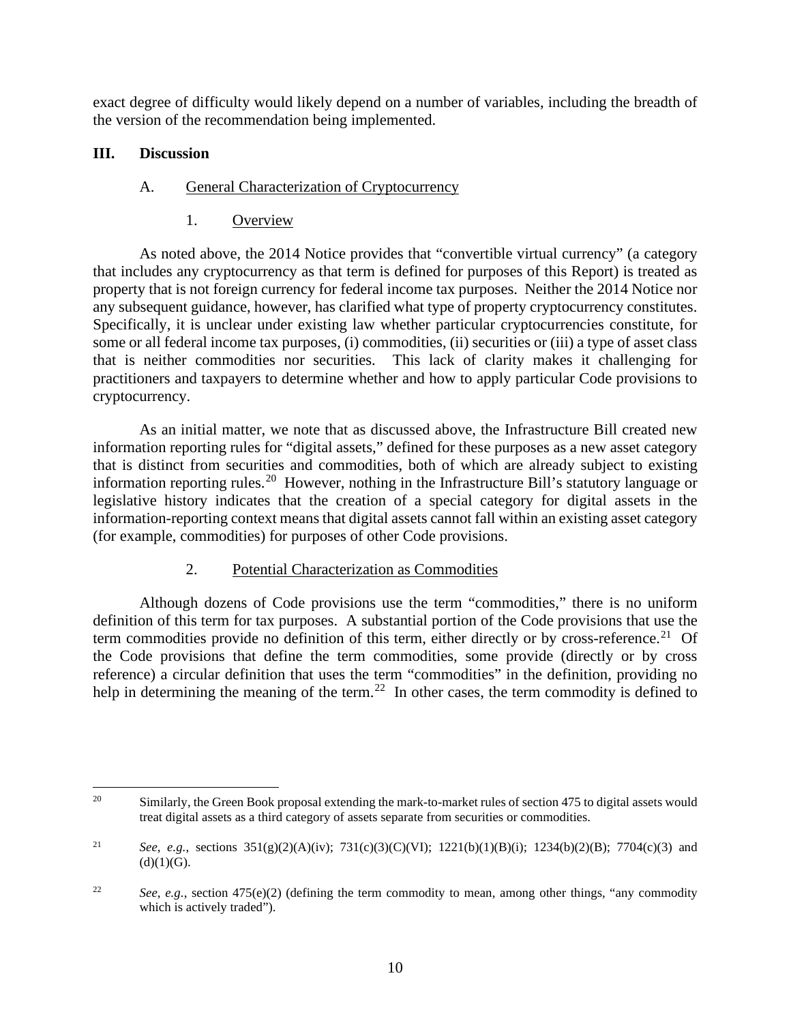exact degree of difficulty would likely depend on a number of variables, including the breadth of the version of the recommendation being implemented.

### <span id="page-15-1"></span><span id="page-15-0"></span>**III. Discussion**

### A. General Characterization of Cryptocurrency

1. Overview

<span id="page-15-2"></span>As noted above, the 2014 Notice provides that "convertible virtual currency" (a category that includes any cryptocurrency as that term is defined for purposes of this Report) is treated as property that is not foreign currency for federal income tax purposes. Neither the 2014 Notice nor any subsequent guidance, however, has clarified what type of property cryptocurrency constitutes. Specifically, it is unclear under existing law whether particular cryptocurrencies constitute, for some or all federal income tax purposes, (i) commodities, (ii) securities or (iii) a type of asset class that is neither commodities nor securities. This lack of clarity makes it challenging for practitioners and taxpayers to determine whether and how to apply particular Code provisions to cryptocurrency.

As an initial matter, we note that as discussed above, the Infrastructure Bill created new information reporting rules for "digital assets," defined for these purposes as a new asset category that is distinct from securities and commodities, both of which are already subject to existing information reporting rules.<sup>20</sup> However, nothing in the Infrastructure Bill's statutory language or legislative history indicates that the creation of a special category for digital assets in the information-reporting context means that digital assets cannot fall within an existing asset category (for example, commodities) for purposes of other Code provisions.

# 2. Potential Characterization as Commodities

<span id="page-15-3"></span>Although dozens of Code provisions use the term "commodities," there is no uniform definition of this term for tax purposes. A substantial portion of the Code provisions that use the term commodities provide no definition of this term, either directly or by cross-reference.<sup>21</sup> Of the Code provisions that define the term commodities, some provide (directly or by cross reference) a circular definition that uses the term "commodities" in the definition, providing no help in determining the meaning of the term.<sup>[22](#page-15-6)</sup> In other cases, the term commodity is defined to

<span id="page-15-4"></span><sup>&</sup>lt;sup>20</sup> Similarly, the Green Book proposal extending the mark-to-market rules of section 475 to digital assets would treat digital assets as a third category of assets separate from securities or commodities.

<span id="page-15-5"></span><sup>21</sup> *See*, *e.g.*, sections 351(g)(2)(A)(iv); 731(c)(3)(C)(VI); 1221(b)(1)(B)(i); 1234(b)(2)(B); 7704(c)(3) and  $(d)(1)(G).$ 

<span id="page-15-6"></span><sup>&</sup>lt;sup>22</sup> *See*, *e.g.*, section 475(e)(2) (defining the term commodity to mean, among other things, "any commodity" which is actively traded").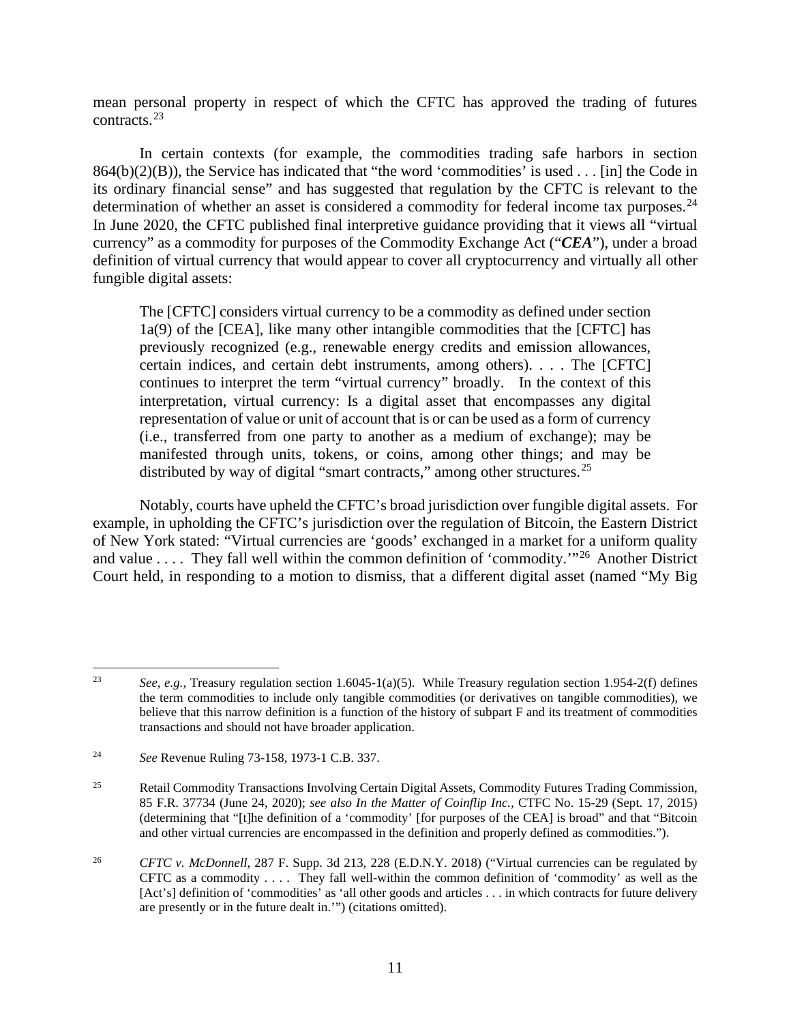mean personal property in respect of which the CFTC has approved the trading of futures contracts.[23](#page-16-0)

In certain contexts (for example, the commodities trading safe harbors in section  $864(b)(2)(B)$ , the Service has indicated that "the word 'commodities' is used . . . [in] the Code in its ordinary financial sense" and has suggested that regulation by the CFTC is relevant to the determination of whether an asset is considered a commodity for federal income tax purposes.<sup>[24](#page-16-1)</sup> In June 2020, the CFTC published final interpretive guidance providing that it views all "virtual currency" as a commodity for purposes of the Commodity Exchange Act ("*CEA*"), under a broad definition of virtual currency that would appear to cover all cryptocurrency and virtually all other fungible digital assets:

The [CFTC] considers virtual currency to be a commodity as defined under section 1a(9) of the [CEA], like many other intangible commodities that the [CFTC] has previously recognized (e.g., renewable energy credits and emission allowances, certain indices, and certain debt instruments, among others). . . . The [CFTC] continues to interpret the term "virtual currency" broadly. In the context of this interpretation, virtual currency: Is a digital asset that encompasses any digital representation of value or unit of account that is or can be used as a form of currency (i.e., transferred from one party to another as a medium of exchange); may be manifested through units, tokens, or coins, among other things; and may be distributed by way of digital "smart contracts," among other structures.<sup>[25](#page-16-2)</sup>

Notably, courts have upheld the CFTC's broad jurisdiction over fungible digital assets. For example, in upholding the CFTC's jurisdiction over the regulation of Bitcoin, the Eastern District of New York stated: "Virtual currencies are 'goods' exchanged in a market for a uniform quality and value . . . . They fall well within the common definition of 'commodity.'"[26](#page-16-3) Another District Court held, in responding to a motion to dismiss, that a different digital asset (named "My Big

<span id="page-16-0"></span><sup>23</sup> *See*, *e.g.*, Treasury regulation section 1.6045-1(a)(5). While Treasury regulation section 1.954-2(f) defines the term commodities to include only tangible commodities (or derivatives on tangible commodities), we believe that this narrow definition is a function of the history of subpart F and its treatment of commodities transactions and should not have broader application.

<span id="page-16-1"></span><sup>24</sup> *See* Revenue Ruling 73-158, 1973-1 C.B. 337.

<span id="page-16-2"></span><sup>&</sup>lt;sup>25</sup> Retail Commodity Transactions Involving Certain Digital Assets, Commodity Futures Trading Commission, 85 F.R. 37734 (June 24, 2020); *see also In the Matter of Coinflip Inc.*, CTFC No. 15-29 (Sept. 17, 2015) (determining that "[t]he definition of a 'commodity' [for purposes of the CEA] is broad" and that "Bitcoin and other virtual currencies are encompassed in the definition and properly defined as commodities.").

<span id="page-16-3"></span><sup>26</sup> *CFTC v. McDonnell*, 287 F. Supp. 3d 213, 228 (E.D.N.Y. 2018) ("Virtual currencies can be regulated by CFTC as a commodity . . . . They fall well-within the common definition of 'commodity' as well as the [Act's] definition of 'commodities' as 'all other goods and articles . . . in which contracts for future delivery are presently or in the future dealt in.'") (citations omitted).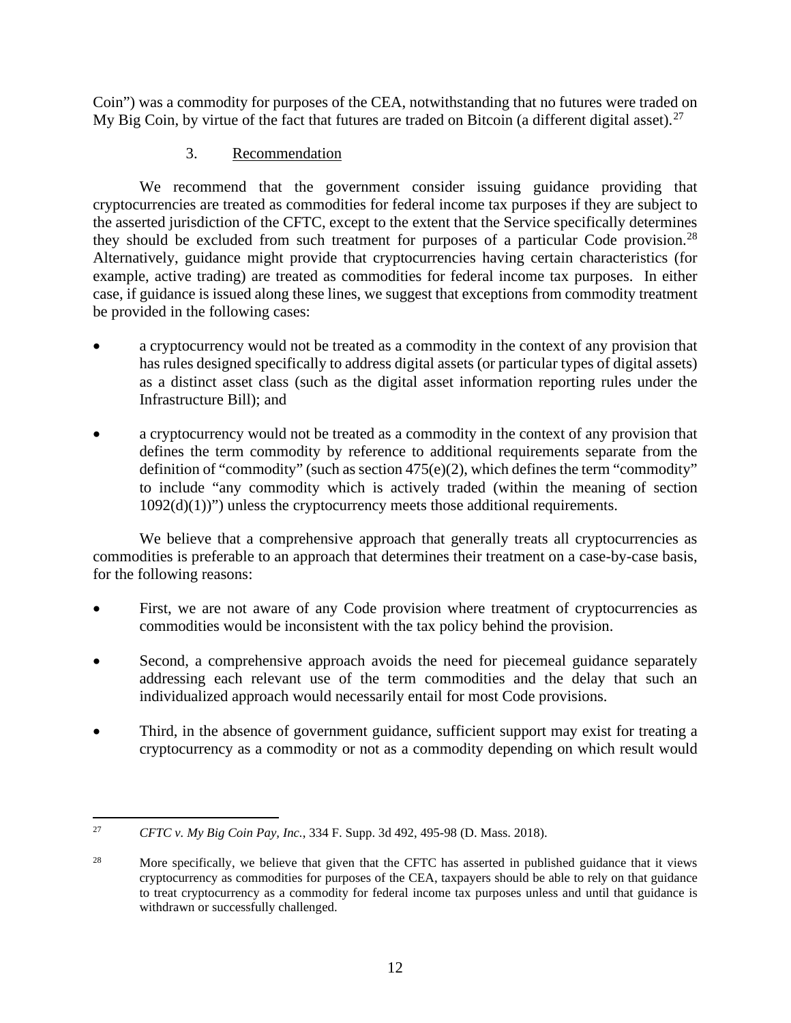Coin") was a commodity for purposes of the CEA, notwithstanding that no futures were traded on My Big Coin, by virtue of the fact that futures are traded on Bitcoin (a different digital asset).<sup>27</sup>

# 3. Recommendation

<span id="page-17-0"></span>We recommend that the government consider issuing guidance providing that cryptocurrencies are treated as commodities for federal income tax purposes if they are subject to the asserted jurisdiction of the CFTC, except to the extent that the Service specifically determines they should be excluded from such treatment for purposes of a particular Code provision.<sup>[28](#page-17-2)</sup> Alternatively, guidance might provide that cryptocurrencies having certain characteristics (for example, active trading) are treated as commodities for federal income tax purposes. In either case, if guidance is issued along these lines, we suggest that exceptions from commodity treatment be provided in the following cases:

- a cryptocurrency would not be treated as a commodity in the context of any provision that has rules designed specifically to address digital assets (or particular types of digital assets) as a distinct asset class (such as the digital asset information reporting rules under the Infrastructure Bill); and
- a cryptocurrency would not be treated as a commodity in the context of any provision that defines the term commodity by reference to additional requirements separate from the definition of "commodity" (such as section  $475(e)(2)$ , which defines the term "commodity" to include "any commodity which is actively traded (within the meaning of section  $1092(d)(1)$ ") unless the cryptocurrency meets those additional requirements.

We believe that a comprehensive approach that generally treats all cryptocurrencies as commodities is preferable to an approach that determines their treatment on a case-by-case basis, for the following reasons:

- First, we are not aware of any Code provision where treatment of cryptocurrencies as commodities would be inconsistent with the tax policy behind the provision.
- Second, a comprehensive approach avoids the need for piecemeal guidance separately addressing each relevant use of the term commodities and the delay that such an individualized approach would necessarily entail for most Code provisions.
- Third, in the absence of government guidance, sufficient support may exist for treating a cryptocurrency as a commodity or not as a commodity depending on which result would

<span id="page-17-1"></span><sup>27</sup> *CFTC v. My Big Coin Pay, Inc.*, 334 F. Supp. 3d 492, 495-98 (D. Mass. 2018).

<span id="page-17-2"></span><sup>&</sup>lt;sup>28</sup> More specifically, we believe that given that the CFTC has asserted in published guidance that it views cryptocurrency as commodities for purposes of the CEA, taxpayers should be able to rely on that guidance to treat cryptocurrency as a commodity for federal income tax purposes unless and until that guidance is withdrawn or successfully challenged.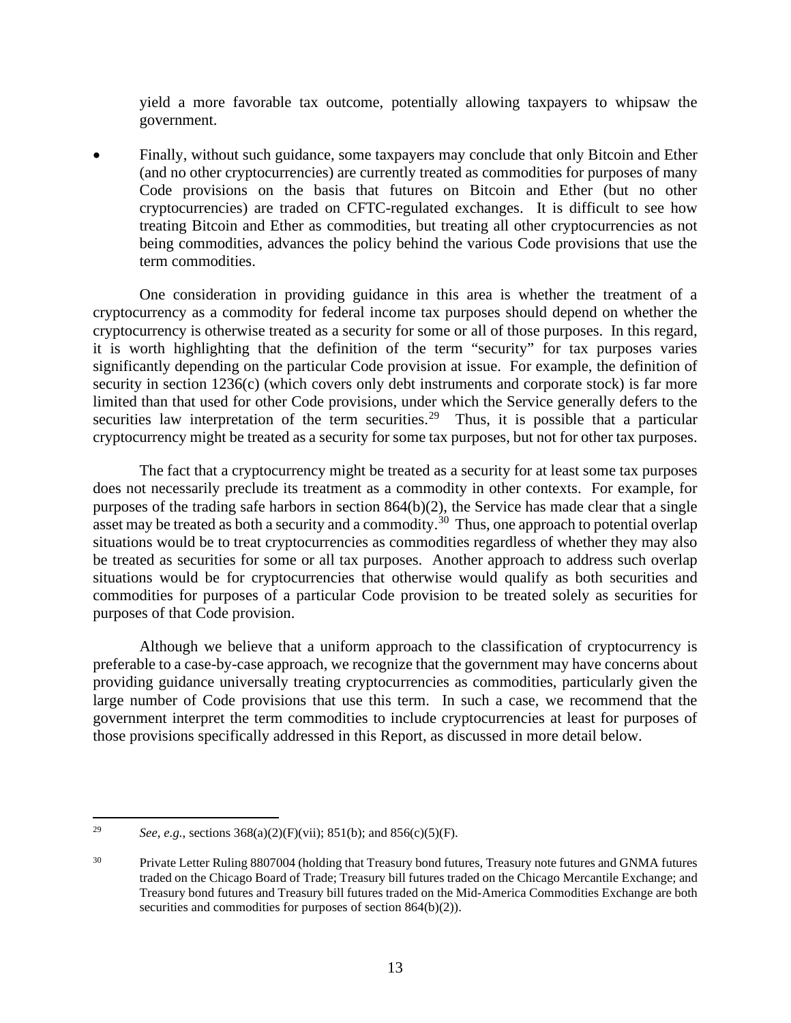yield a more favorable tax outcome, potentially allowing taxpayers to whipsaw the government.

• Finally, without such guidance, some taxpayers may conclude that only Bitcoin and Ether (and no other cryptocurrencies) are currently treated as commodities for purposes of many Code provisions on the basis that futures on Bitcoin and Ether (but no other cryptocurrencies) are traded on CFTC-regulated exchanges. It is difficult to see how treating Bitcoin and Ether as commodities, but treating all other cryptocurrencies as not being commodities, advances the policy behind the various Code provisions that use the term commodities.

One consideration in providing guidance in this area is whether the treatment of a cryptocurrency as a commodity for federal income tax purposes should depend on whether the cryptocurrency is otherwise treated as a security for some or all of those purposes. In this regard, it is worth highlighting that the definition of the term "security" for tax purposes varies significantly depending on the particular Code provision at issue. For example, the definition of security in section 1236(c) (which covers only debt instruments and corporate stock) is far more limited than that used for other Code provisions, under which the Service generally defers to the securities law interpretation of the term securities.<sup>[29](#page-18-0)</sup> Thus, it is possible that a particular cryptocurrency might be treated as a security for some tax purposes, but not for other tax purposes.

The fact that a cryptocurrency might be treated as a security for at least some tax purposes does not necessarily preclude its treatment as a commodity in other contexts. For example, for purposes of the trading safe harbors in section 864(b)(2), the Service has made clear that a single asset may be treated as both a security and a commodity.<sup>30</sup> Thus, one approach to potential overlap situations would be to treat cryptocurrencies as commodities regardless of whether they may also be treated as securities for some or all tax purposes. Another approach to address such overlap situations would be for cryptocurrencies that otherwise would qualify as both securities and commodities for purposes of a particular Code provision to be treated solely as securities for purposes of that Code provision.

Although we believe that a uniform approach to the classification of cryptocurrency is preferable to a case-by-case approach, we recognize that the government may have concerns about providing guidance universally treating cryptocurrencies as commodities, particularly given the large number of Code provisions that use this term. In such a case, we recommend that the government interpret the term commodities to include cryptocurrencies at least for purposes of those provisions specifically addressed in this Report, as discussed in more detail below.

<span id="page-18-0"></span><sup>29</sup> *See*, *e.g.*, sections 368(a)(2)(F)(vii); 851(b); and 856(c)(5)(F).

<span id="page-18-1"></span><sup>&</sup>lt;sup>30</sup> Private Letter Ruling 8807004 (holding that Treasury bond futures, Treasury note futures and GNMA futures traded on the Chicago Board of Trade; Treasury bill futures traded on the Chicago Mercantile Exchange; and Treasury bond futures and Treasury bill futures traded on the Mid-America Commodities Exchange are both securities and commodities for purposes of section 864(b)(2)).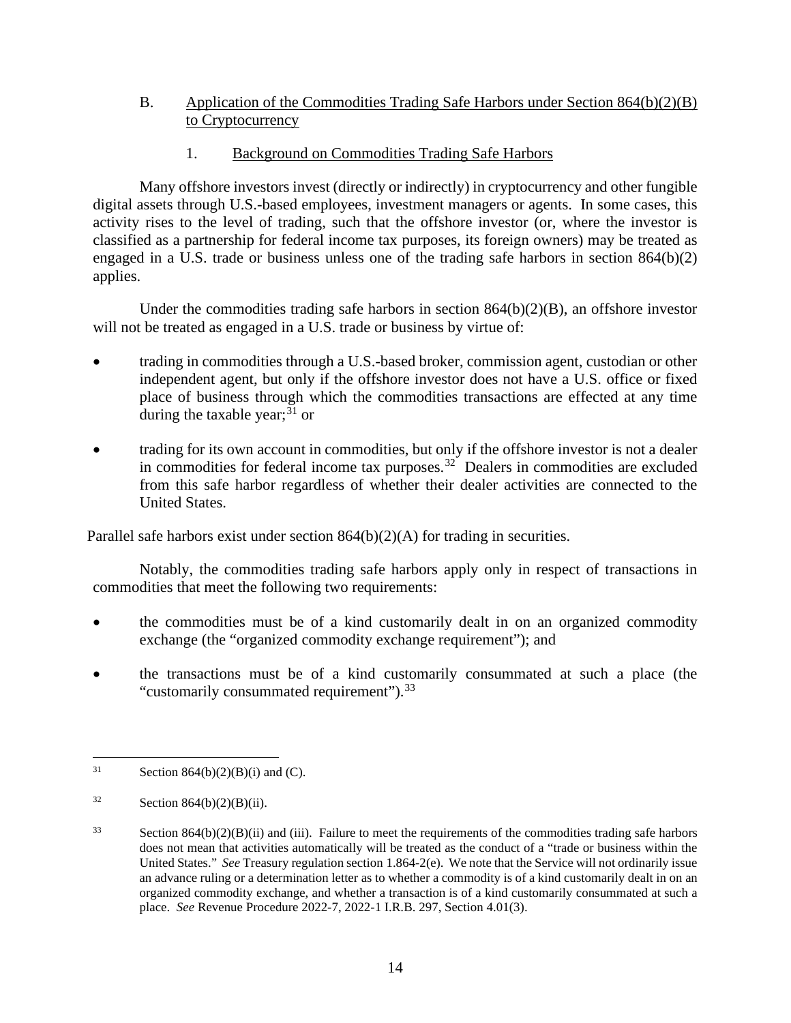- <span id="page-19-0"></span>B. Application of the Commodities Trading Safe Harbors under Section 864(b)(2)(B) to Cryptocurrency
	- 1. Background on Commodities Trading Safe Harbors

<span id="page-19-1"></span>Many offshore investors invest (directly or indirectly) in cryptocurrency and other fungible digital assets through U.S.-based employees, investment managers or agents. In some cases, this activity rises to the level of trading, such that the offshore investor (or, where the investor is classified as a partnership for federal income tax purposes, its foreign owners) may be treated as engaged in a U.S. trade or business unless one of the trading safe harbors in section 864(b)(2) applies.

Under the commodities trading safe harbors in section 864(b)(2)(B), an offshore investor will not be treated as engaged in a U.S. trade or business by virtue of:

- trading in commodities through a U.S.-based broker, commission agent, custodian or other independent agent, but only if the offshore investor does not have a U.S. office or fixed place of business through which the commodities transactions are effected at any time during the taxable year; $31$  or
- trading for its own account in commodities, but only if the offshore investor is not a dealer in commodities for federal income tax purposes.[32](#page-19-3) Dealers in commodities are excluded from this safe harbor regardless of whether their dealer activities are connected to the United States.

Parallel safe harbors exist under section 864(b)(2)(A) for trading in securities.

Notably, the commodities trading safe harbors apply only in respect of transactions in commodities that meet the following two requirements:

- the commodities must be of a kind customarily dealt in on an organized commodity exchange (the "organized commodity exchange requirement"); and
- the transactions must be of a kind customarily consummated at such a place (the "customarily consummated requirement").<sup>33</sup>

<span id="page-19-2"></span><sup>&</sup>lt;sup>31</sup> Section 864(b)(2)(B)(i) and (C).

<span id="page-19-3"></span> $32$  Section 864(b)(2)(B)(ii).

<span id="page-19-4"></span> $33$  Section 864(b)(2)(B)(ii) and (iii). Failure to meet the requirements of the commodities trading safe harbors does not mean that activities automatically will be treated as the conduct of a "trade or business within the United States." *See* Treasury regulation section 1.864-2(e). We note that the Service will not ordinarily issue an advance ruling or a determination letter as to whether a commodity is of a kind customarily dealt in on an organized commodity exchange, and whether a transaction is of a kind customarily consummated at such a place. *See* Revenue Procedure 2022-7, 2022-1 I.R.B. 297, Section 4.01(3).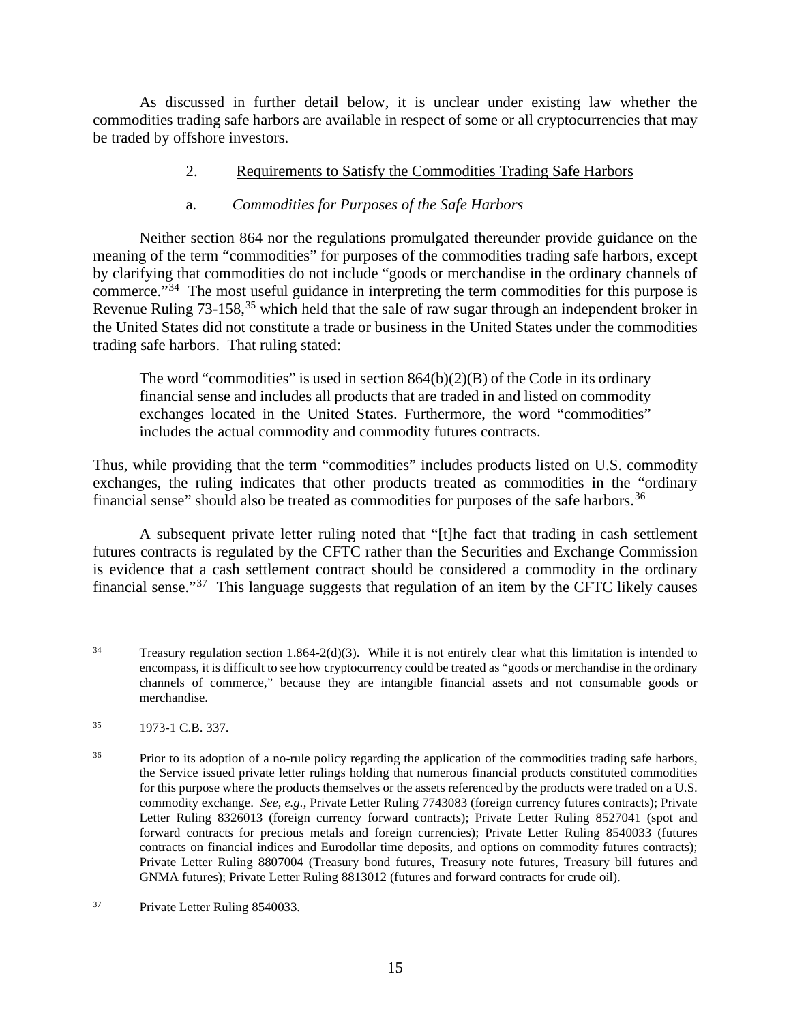As discussed in further detail below, it is unclear under existing law whether the commodities trading safe harbors are available in respect of some or all cryptocurrencies that may be traded by offshore investors.

<span id="page-20-0"></span>2. Requirements to Satisfy the Commodities Trading Safe Harbors

### a. *Commodities for Purposes of the Safe Harbors*

Neither section 864 nor the regulations promulgated thereunder provide guidance on the meaning of the term "commodities" for purposes of the commodities trading safe harbors, except by clarifying that commodities do not include "goods or merchandise in the ordinary channels of commerce."[34](#page-20-1) The most useful guidance in interpreting the term commodities for this purpose is Revenue Ruling 73-158,<sup>[35](#page-20-2)</sup> which held that the sale of raw sugar through an independent broker in the United States did not constitute a trade or business in the United States under the commodities trading safe harbors. That ruling stated:

The word "commodities" is used in section  $864(b)(2)(B)$  of the Code in its ordinary financial sense and includes all products that are traded in and listed on commodity exchanges located in the United States. Furthermore, the word "commodities" includes the actual commodity and commodity futures contracts.

Thus, while providing that the term "commodities" includes products listed on U.S. commodity exchanges, the ruling indicates that other products treated as commodities in the "ordinary financial sense" should also be treated as commodities for purposes of the safe harbors.<sup>36</sup>

A subsequent private letter ruling noted that "[t]he fact that trading in cash settlement futures contracts is regulated by the CFTC rather than the Securities and Exchange Commission is evidence that a cash settlement contract should be considered a commodity in the ordinary financial sense."[37](#page-20-4) This language suggests that regulation of an item by the CFTC likely causes

<span id="page-20-1"></span> $34$  Treasury regulation section 1.864-2(d)(3). While it is not entirely clear what this limitation is intended to encompass, it is difficult to see how cryptocurrency could be treated as "goods or merchandise in the ordinary channels of commerce," because they are intangible financial assets and not consumable goods or merchandise.

<span id="page-20-2"></span><sup>35 1973-1</sup> C.B. 337.

<span id="page-20-3"></span><sup>&</sup>lt;sup>36</sup> Prior to its adoption of a no-rule policy regarding the application of the commodities trading safe harbors, the Service issued private letter rulings holding that numerous financial products constituted commodities for this purpose where the products themselves or the assets referenced by the products were traded on a U.S. commodity exchange. *See*, *e.g.*, Private Letter Ruling 7743083 (foreign currency futures contracts); Private Letter Ruling 8326013 (foreign currency forward contracts); Private Letter Ruling 8527041 (spot and forward contracts for precious metals and foreign currencies); Private Letter Ruling 8540033 (futures contracts on financial indices and Eurodollar time deposits, and options on commodity futures contracts); Private Letter Ruling 8807004 (Treasury bond futures, Treasury note futures, Treasury bill futures and GNMA futures); Private Letter Ruling 8813012 (futures and forward contracts for crude oil).

<span id="page-20-4"></span><sup>37</sup> Private Letter Ruling 8540033.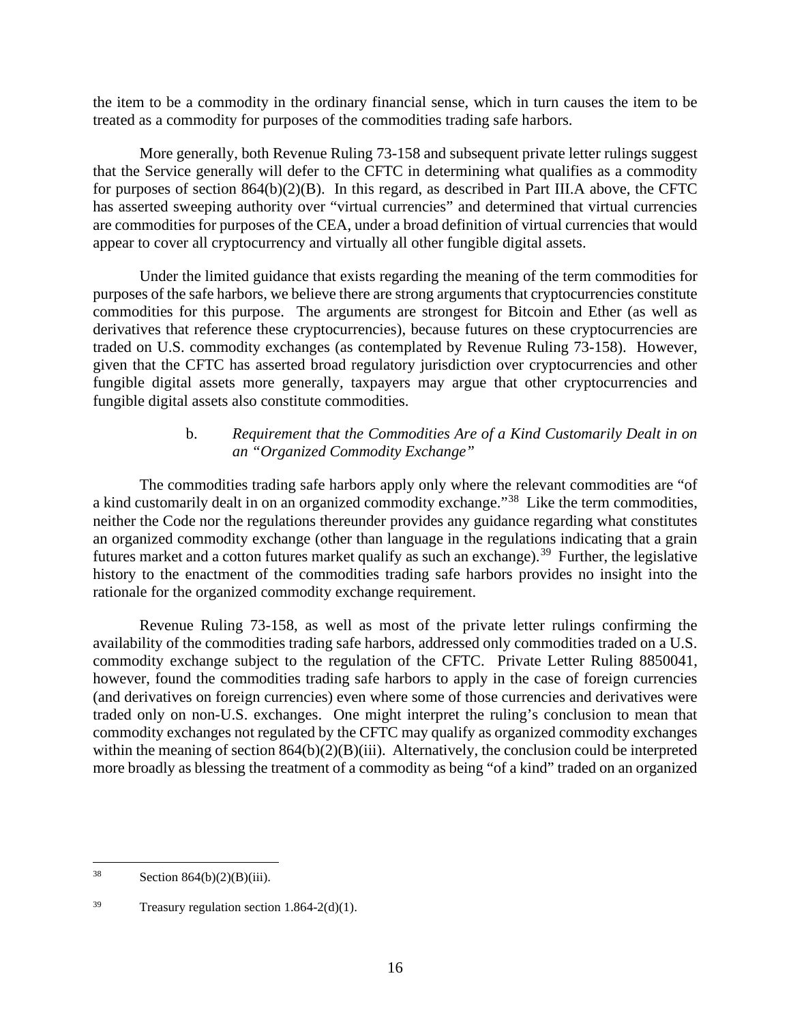the item to be a commodity in the ordinary financial sense, which in turn causes the item to be treated as a commodity for purposes of the commodities trading safe harbors.

More generally, both Revenue Ruling 73-158 and subsequent private letter rulings suggest that the Service generally will defer to the CFTC in determining what qualifies as a commodity for purposes of section 864(b)(2)(B). In this regard, as described in Part III.A above, the CFTC has asserted sweeping authority over "virtual currencies" and determined that virtual currencies are commodities for purposes of the CEA, under a broad definition of virtual currencies that would appear to cover all cryptocurrency and virtually all other fungible digital assets.

Under the limited guidance that exists regarding the meaning of the term commodities for purposes of the safe harbors, we believe there are strong arguments that cryptocurrencies constitute commodities for this purpose. The arguments are strongest for Bitcoin and Ether (as well as derivatives that reference these cryptocurrencies), because futures on these cryptocurrencies are traded on U.S. commodity exchanges (as contemplated by Revenue Ruling 73-158). However, given that the CFTC has asserted broad regulatory jurisdiction over cryptocurrencies and other fungible digital assets more generally, taxpayers may argue that other cryptocurrencies and fungible digital assets also constitute commodities.

# b. *Requirement that the Commodities Are of a Kind Customarily Dealt in on an "Organized Commodity Exchange"*

The commodities trading safe harbors apply only where the relevant commodities are "of a kind customarily dealt in on an organized commodity exchange."[38](#page-21-0) Like the term commodities, neither the Code nor the regulations thereunder provides any guidance regarding what constitutes an organized commodity exchange (other than language in the regulations indicating that a grain futures market and a cotton futures market qualify as such an exchange).<sup>39</sup> Further, the legislative history to the enactment of the commodities trading safe harbors provides no insight into the rationale for the organized commodity exchange requirement.

Revenue Ruling 73-158, as well as most of the private letter rulings confirming the availability of the commodities trading safe harbors, addressed only commodities traded on a U.S. commodity exchange subject to the regulation of the CFTC. Private Letter Ruling 8850041, however, found the commodities trading safe harbors to apply in the case of foreign currencies (and derivatives on foreign currencies) even where some of those currencies and derivatives were traded only on non-U.S. exchanges. One might interpret the ruling's conclusion to mean that commodity exchanges not regulated by the CFTC may qualify as organized commodity exchanges within the meaning of section  $864(b)(2)(B)(iii)$ . Alternatively, the conclusion could be interpreted more broadly as blessing the treatment of a commodity as being "of a kind" traded on an organized

<span id="page-21-0"></span> $38$  Section  $864(b)(2)(B)(iii)$ .

<span id="page-21-1"></span> $39$  Treasury regulation section 1.864-2(d)(1).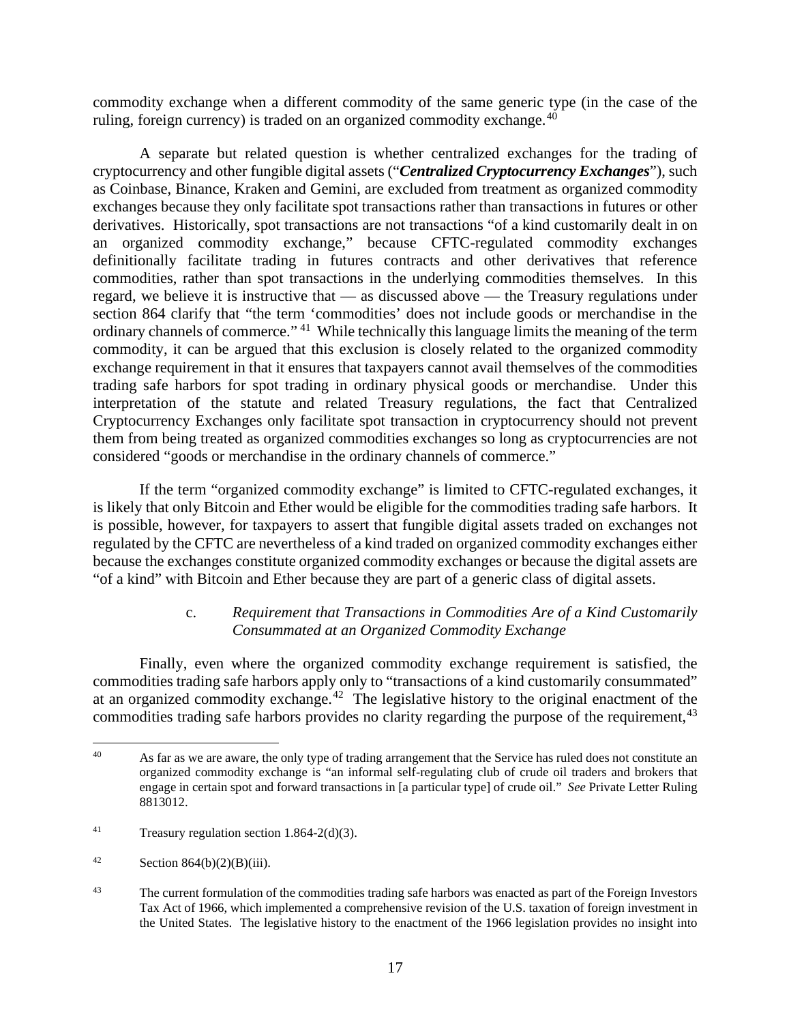commodity exchange when a different commodity of the same generic type (in the case of the ruling, foreign currency) is traded on an organized commodity exchange.  $40$ 

A separate but related question is whether centralized exchanges for the trading of cryptocurrency and other fungible digital assets ("*Centralized Cryptocurrency Exchanges*"), such as Coinbase, Binance, Kraken and Gemini, are excluded from treatment as organized commodity exchanges because they only facilitate spot transactions rather than transactions in futures or other derivatives. Historically, spot transactions are not transactions "of a kind customarily dealt in on an organized commodity exchange," because CFTC-regulated commodity exchanges definitionally facilitate trading in futures contracts and other derivatives that reference commodities, rather than spot transactions in the underlying commodities themselves. In this regard, we believe it is instructive that — as discussed above — the Treasury regulations under section 864 clarify that "the term 'commodities' does not include goods or merchandise in the ordinary channels of commerce." [41](#page-22-1) While technically this language limits the meaning of the term commodity, it can be argued that this exclusion is closely related to the organized commodity exchange requirement in that it ensures that taxpayers cannot avail themselves of the commodities trading safe harbors for spot trading in ordinary physical goods or merchandise. Under this interpretation of the statute and related Treasury regulations, the fact that Centralized Cryptocurrency Exchanges only facilitate spot transaction in cryptocurrency should not prevent them from being treated as organized commodities exchanges so long as cryptocurrencies are not considered "goods or merchandise in the ordinary channels of commerce."

If the term "organized commodity exchange" is limited to CFTC-regulated exchanges, it is likely that only Bitcoin and Ether would be eligible for the commodities trading safe harbors. It is possible, however, for taxpayers to assert that fungible digital assets traded on exchanges not regulated by the CFTC are nevertheless of a kind traded on organized commodity exchanges either because the exchanges constitute organized commodity exchanges or because the digital assets are "of a kind" with Bitcoin and Ether because they are part of a generic class of digital assets.

#### c. *Requirement that Transactions in Commodities Are of a Kind Customarily Consummated at an Organized Commodity Exchange*

Finally, even where the organized commodity exchange requirement is satisfied, the commodities trading safe harbors apply only to "transactions of a kind customarily consummated" at an organized commodity exchange.<sup>[42](#page-22-2)</sup> The legislative history to the original enactment of the commodities trading safe harbors provides no clarity regarding the purpose of the requirement, <sup>[43](#page-22-3)</sup>

<span id="page-22-0"></span><sup>&</sup>lt;sup>40</sup> As far as we are aware, the only type of trading arrangement that the Service has ruled does not constitute an organized commodity exchange is "an informal self-regulating club of crude oil traders and brokers that engage in certain spot and forward transactions in [a particular type] of crude oil." *See* Private Letter Ruling 8813012.

<span id="page-22-1"></span><sup>&</sup>lt;sup>41</sup> Treasury regulation section 1.864-2(d)(3).

<span id="page-22-2"></span> $42$  Section 864(b)(2)(B)(iii).

<span id="page-22-3"></span><sup>&</sup>lt;sup>43</sup> The current formulation of the commodities trading safe harbors was enacted as part of the Foreign Investors Tax Act of 1966, which implemented a comprehensive revision of the U.S. taxation of foreign investment in the United States. The legislative history to the enactment of the 1966 legislation provides no insight into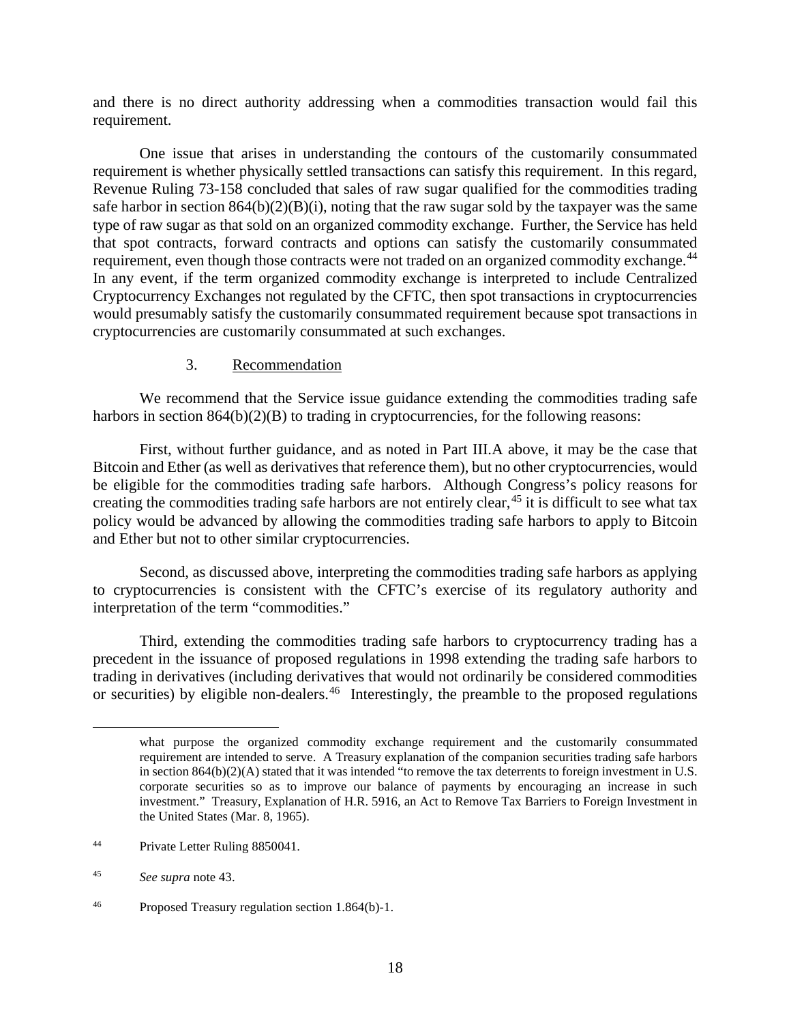and there is no direct authority addressing when a commodities transaction would fail this requirement.

One issue that arises in understanding the contours of the customarily consummated requirement is whether physically settled transactions can satisfy this requirement. In this regard, Revenue Ruling 73-158 concluded that sales of raw sugar qualified for the commodities trading safe harbor in section  $864(b)(2)(B)(i)$ , noting that the raw sugar sold by the taxpayer was the same type of raw sugar as that sold on an organized commodity exchange. Further, the Service has held that spot contracts, forward contracts and options can satisfy the customarily consummated requirement, even though those contracts were not traded on an organized commodity exchange.<sup>[44](#page-23-1)</sup> In any event, if the term organized commodity exchange is interpreted to include Centralized Cryptocurrency Exchanges not regulated by the CFTC, then spot transactions in cryptocurrencies would presumably satisfy the customarily consummated requirement because spot transactions in cryptocurrencies are customarily consummated at such exchanges.

#### 3. Recommendation

<span id="page-23-0"></span>We recommend that the Service issue guidance extending the commodities trading safe harbors in section 864(b)(2)(B) to trading in cryptocurrencies, for the following reasons:

First, without further guidance, and as noted in Part III.A above, it may be the case that Bitcoin and Ether (as well as derivatives that reference them), but no other cryptocurrencies, would be eligible for the commodities trading safe harbors. Although Congress's policy reasons for creating the commodities trading safe harbors are not entirely clear,  $45$  it is difficult to see what tax policy would be advanced by allowing the commodities trading safe harbors to apply to Bitcoin and Ether but not to other similar cryptocurrencies.

Second, as discussed above, interpreting the commodities trading safe harbors as applying to cryptocurrencies is consistent with the CFTC's exercise of its regulatory authority and interpretation of the term "commodities."

Third, extending the commodities trading safe harbors to cryptocurrency trading has a precedent in the issuance of proposed regulations in 1998 extending the trading safe harbors to trading in derivatives (including derivatives that would not ordinarily be considered commodities or securities) by eligible non-dealers.<sup>[46](#page-23-3)</sup> Interestingly, the preamble to the proposed regulations

<span id="page-23-1"></span>44 Private Letter Ruling 8850041.

what purpose the organized commodity exchange requirement and the customarily consummated requirement are intended to serve. A Treasury explanation of the companion securities trading safe harbors in section 864(b)(2)(A) stated that it was intended "to remove the tax deterrents to foreign investment in U.S. corporate securities so as to improve our balance of payments by encouraging an increase in such investment." Treasury, Explanation of H.R. 5916, an Act to Remove Tax Barriers to Foreign Investment in the United States (Mar. 8, 1965).

<span id="page-23-2"></span><sup>45</sup> *See supra* note 43.

<span id="page-23-3"></span><sup>46</sup> Proposed Treasury regulation section 1.864(b)-1.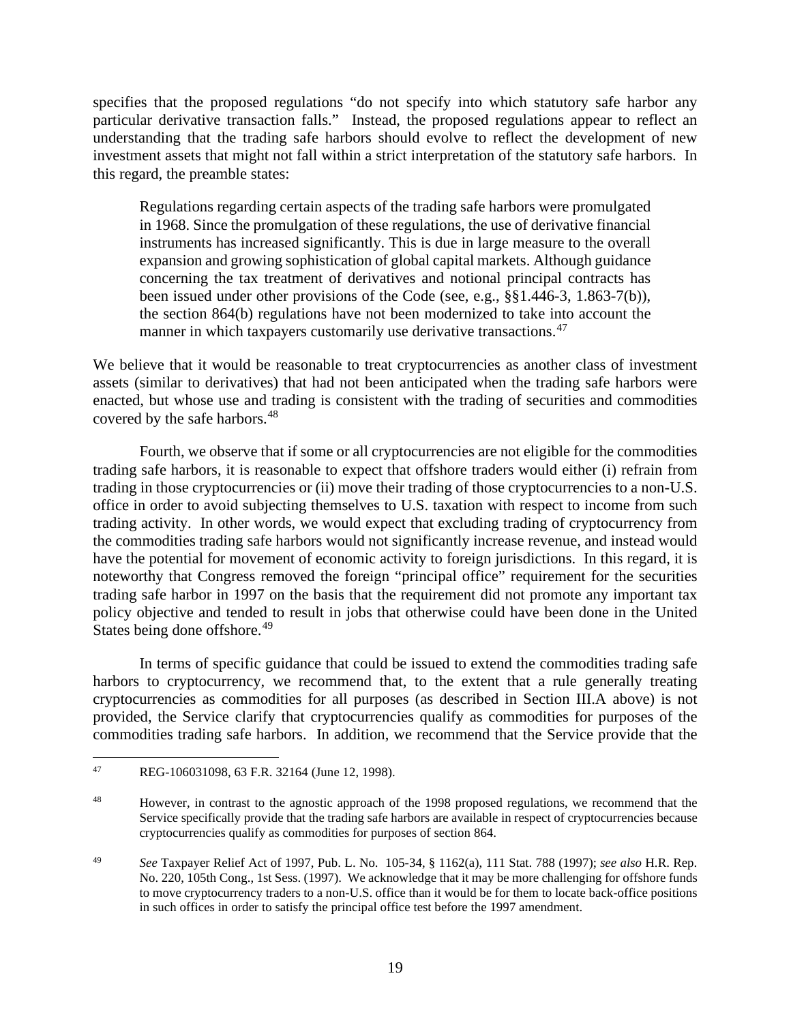specifies that the proposed regulations "do not specify into which statutory safe harbor any particular derivative transaction falls." Instead, the proposed regulations appear to reflect an understanding that the trading safe harbors should evolve to reflect the development of new investment assets that might not fall within a strict interpretation of the statutory safe harbors. In this regard, the preamble states:

Regulations regarding certain aspects of the trading safe harbors were promulgated in 1968. Since the promulgation of these regulations, the use of derivative financial instruments has increased significantly. This is due in large measure to the overall expansion and growing sophistication of global capital markets. Although guidance concerning the tax treatment of derivatives and notional principal contracts has been issued under other provisions of the Code (see, e.g., §§1.446-3, 1.863-7(b)), the section 864(b) regulations have not been modernized to take into account the manner in which taxpayers customarily use derivative transactions.<sup>[47](#page-24-0)</sup>

We believe that it would be reasonable to treat cryptocurrencies as another class of investment assets (similar to derivatives) that had not been anticipated when the trading safe harbors were enacted, but whose use and trading is consistent with the trading of securities and commodities covered by the safe harbors.<sup>48</sup>

Fourth, we observe that if some or all cryptocurrencies are not eligible for the commodities trading safe harbors, it is reasonable to expect that offshore traders would either (i) refrain from trading in those cryptocurrencies or (ii) move their trading of those cryptocurrencies to a non-U.S. office in order to avoid subjecting themselves to U.S. taxation with respect to income from such trading activity. In other words, we would expect that excluding trading of cryptocurrency from the commodities trading safe harbors would not significantly increase revenue, and instead would have the potential for movement of economic activity to foreign jurisdictions. In this regard, it is noteworthy that Congress removed the foreign "principal office" requirement for the securities trading safe harbor in 1997 on the basis that the requirement did not promote any important tax policy objective and tended to result in jobs that otherwise could have been done in the United States being done offshore.<sup>[49](#page-24-2)</sup>

In terms of specific guidance that could be issued to extend the commodities trading safe harbors to cryptocurrency, we recommend that, to the extent that a rule generally treating cryptocurrencies as commodities for all purposes (as described in Section III.A above) is not provided, the Service clarify that cryptocurrencies qualify as commodities for purposes of the commodities trading safe harbors. In addition, we recommend that the Service provide that the

<span id="page-24-0"></span><sup>47</sup> REG-106031098, 63 F.R. 32164 (June 12, 1998).

<span id="page-24-1"></span><sup>48</sup> However, in contrast to the agnostic approach of the 1998 proposed regulations, we recommend that the Service specifically provide that the trading safe harbors are available in respect of cryptocurrencies because cryptocurrencies qualify as commodities for purposes of section 864.

<span id="page-24-2"></span><sup>49</sup> *See* Taxpayer Relief Act of 1997, Pub. L. No. 105-34, § 1162(a), 111 Stat. 788 (1997); *see also* H.R. Rep. No. 220, 105th Cong., 1st Sess. (1997). We acknowledge that it may be more challenging for offshore funds to move cryptocurrency traders to a non-U.S. office than it would be for them to locate back-office positions in such offices in order to satisfy the principal office test before the 1997 amendment.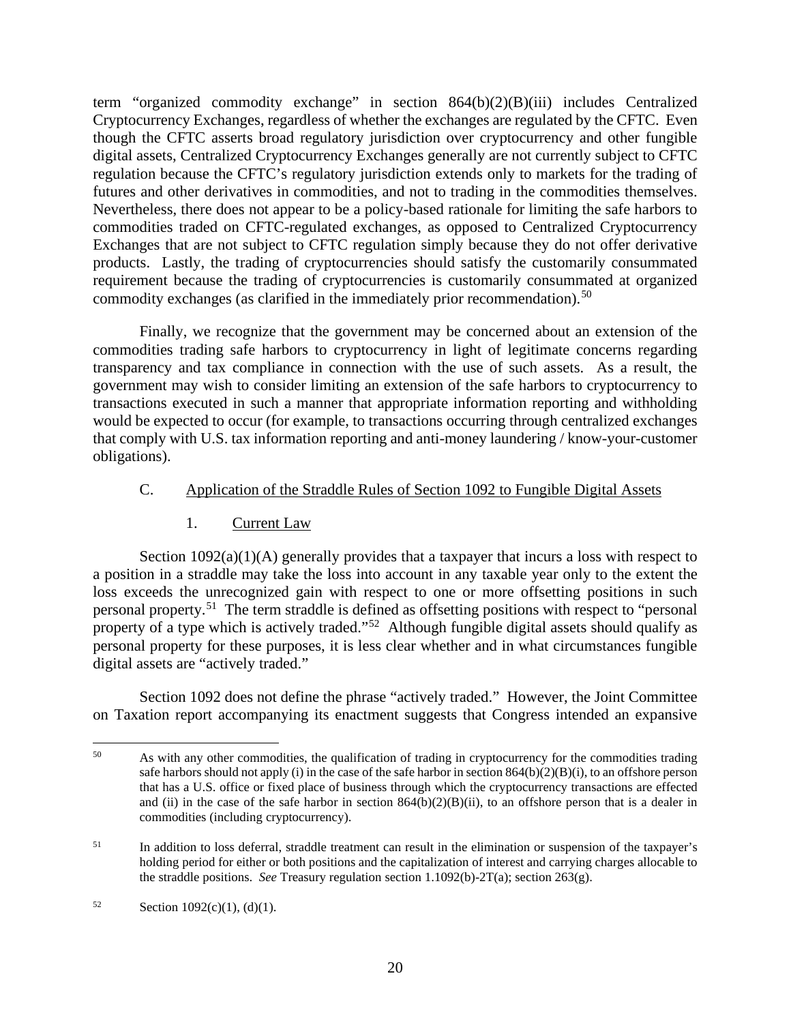term "organized commodity exchange" in section 864(b)(2)(B)(iii) includes Centralized Cryptocurrency Exchanges, regardless of whether the exchanges are regulated by the CFTC. Even though the CFTC asserts broad regulatory jurisdiction over cryptocurrency and other fungible digital assets, Centralized Cryptocurrency Exchanges generally are not currently subject to CFTC regulation because the CFTC's regulatory jurisdiction extends only to markets for the trading of futures and other derivatives in commodities, and not to trading in the commodities themselves. Nevertheless, there does not appear to be a policy-based rationale for limiting the safe harbors to commodities traded on CFTC-regulated exchanges, as opposed to Centralized Cryptocurrency Exchanges that are not subject to CFTC regulation simply because they do not offer derivative products. Lastly, the trading of cryptocurrencies should satisfy the customarily consummated requirement because the trading of cryptocurrencies is customarily consummated at organized commodity exchanges (as clarified in the immediately prior recommendation).<sup>[50](#page-25-2)</sup>

Finally, we recognize that the government may be concerned about an extension of the commodities trading safe harbors to cryptocurrency in light of legitimate concerns regarding transparency and tax compliance in connection with the use of such assets. As a result, the government may wish to consider limiting an extension of the safe harbors to cryptocurrency to transactions executed in such a manner that appropriate information reporting and withholding would be expected to occur (for example, to transactions occurring through centralized exchanges that comply with U.S. tax information reporting and anti-money laundering / know-your-customer obligations).

### <span id="page-25-0"></span>C. Application of the Straddle Rules of Section 1092 to Fungible Digital Assets

# 1. Current Law

<span id="page-25-1"></span>Section  $1092(a)(1)(A)$  generally provides that a taxpayer that incurs a loss with respect to a position in a straddle may take the loss into account in any taxable year only to the extent the loss exceeds the unrecognized gain with respect to one or more offsetting positions in such personal property.[51](#page-25-3) The term straddle is defined as offsetting positions with respect to "personal property of a type which is actively traded."<sup>52</sup> Although fungible digital assets should qualify as personal property for these purposes, it is less clear whether and in what circumstances fungible digital assets are "actively traded."

Section 1092 does not define the phrase "actively traded." However, the Joint Committee on Taxation report accompanying its enactment suggests that Congress intended an expansive

<span id="page-25-2"></span><sup>&</sup>lt;sup>50</sup> As with any other commodities, the qualification of trading in cryptocurrency for the commodities trading safe harbors should not apply (i) in the case of the safe harbor in section  $864(b)(2)(B)(i)$ , to an offshore person that has a U.S. office or fixed place of business through which the cryptocurrency transactions are effected and (ii) in the case of the safe harbor in section  $864(b)(2)(B)(ii)$ , to an offshore person that is a dealer in commodities (including cryptocurrency).

<span id="page-25-3"></span><sup>&</sup>lt;sup>51</sup> In addition to loss deferral, straddle treatment can result in the elimination or suspension of the taxpayer's holding period for either or both positions and the capitalization of interest and carrying charges allocable to the straddle positions. *See* Treasury regulation section 1.1092(b)-2T(a); section 263(g).

<span id="page-25-4"></span><sup>52</sup> Section 1092(c)(1), (d)(1).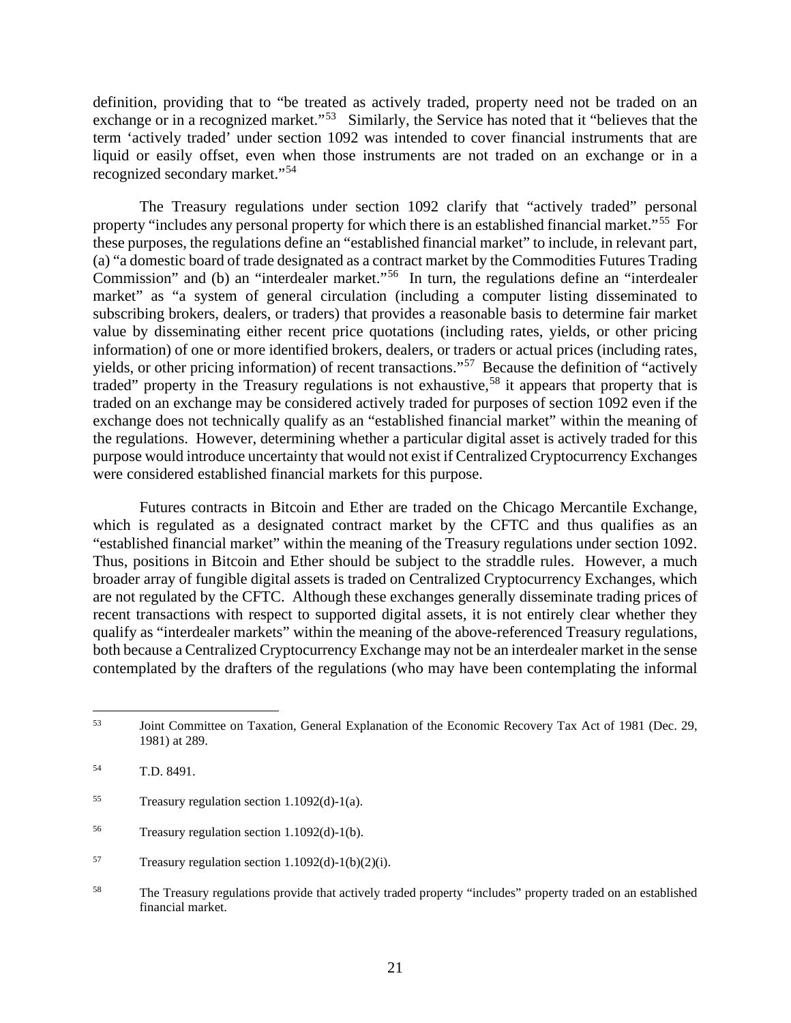definition, providing that to "be treated as actively traded, property need not be traded on an exchange or in a recognized market."<sup>[53](#page-26-0)</sup> Similarly, the Service has noted that it "believes that the term 'actively traded' under section 1092 was intended to cover financial instruments that are liquid or easily offset, even when those instruments are not traded on an exchange or in a recognized secondary market."[54](#page-26-1)

The Treasury regulations under section 1092 clarify that "actively traded" personal property "includes any personal property for which there is an established financial market."<sup>55</sup> For these purposes, the regulations define an "established financial market" to include, in relevant part, (a) "a domestic board of trade designated as a contract market by the Commodities Futures Trading Commission" and (b) an "interdealer market."[56](#page-26-3) In turn, the regulations define an "interdealer market" as "a system of general circulation (including a computer listing disseminated to subscribing brokers, dealers, or traders) that provides a reasonable basis to determine fair market value by disseminating either recent price quotations (including rates, yields, or other pricing information) of one or more identified brokers, dealers, or traders or actual prices (including rates, yields, or other pricing information) of recent transactions."[57](#page-26-4) Because the definition of "actively traded" property in the Treasury regulations is not exhaustive,<sup>[58](#page-26-5)</sup> it appears that property that is traded on an exchange may be considered actively traded for purposes of section 1092 even if the exchange does not technically qualify as an "established financial market" within the meaning of the regulations. However, determining whether a particular digital asset is actively traded for this purpose would introduce uncertainty that would not exist if Centralized Cryptocurrency Exchanges were considered established financial markets for this purpose.

Futures contracts in Bitcoin and Ether are traded on the Chicago Mercantile Exchange, which is regulated as a designated contract market by the CFTC and thus qualifies as an "established financial market" within the meaning of the Treasury regulations under section 1092. Thus, positions in Bitcoin and Ether should be subject to the straddle rules. However, a much broader array of fungible digital assets is traded on Centralized Cryptocurrency Exchanges, which are not regulated by the CFTC. Although these exchanges generally disseminate trading prices of recent transactions with respect to supported digital assets, it is not entirely clear whether they qualify as "interdealer markets" within the meaning of the above-referenced Treasury regulations, both because a Centralized Cryptocurrency Exchange may not be an interdealer market in the sense contemplated by the drafters of the regulations (who may have been contemplating the informal

<span id="page-26-0"></span><sup>53</sup> Joint Committee on Taxation, General Explanation of the Economic Recovery Tax Act of 1981 (Dec. 29, 1981) at 289.

<span id="page-26-1"></span><sup>54</sup> T.D. 8491.

<span id="page-26-2"></span><sup>55</sup> Treasury regulation section 1.1092(d)-1(a).

<span id="page-26-3"></span><sup>56</sup> Treasury regulation section 1.1092(d)-1(b).

<span id="page-26-4"></span> $57$  Treasury regulation section 1.1092(d)-1(b)(2)(i).

<span id="page-26-5"></span><sup>58</sup> The Treasury regulations provide that actively traded property "includes" property traded on an established financial market.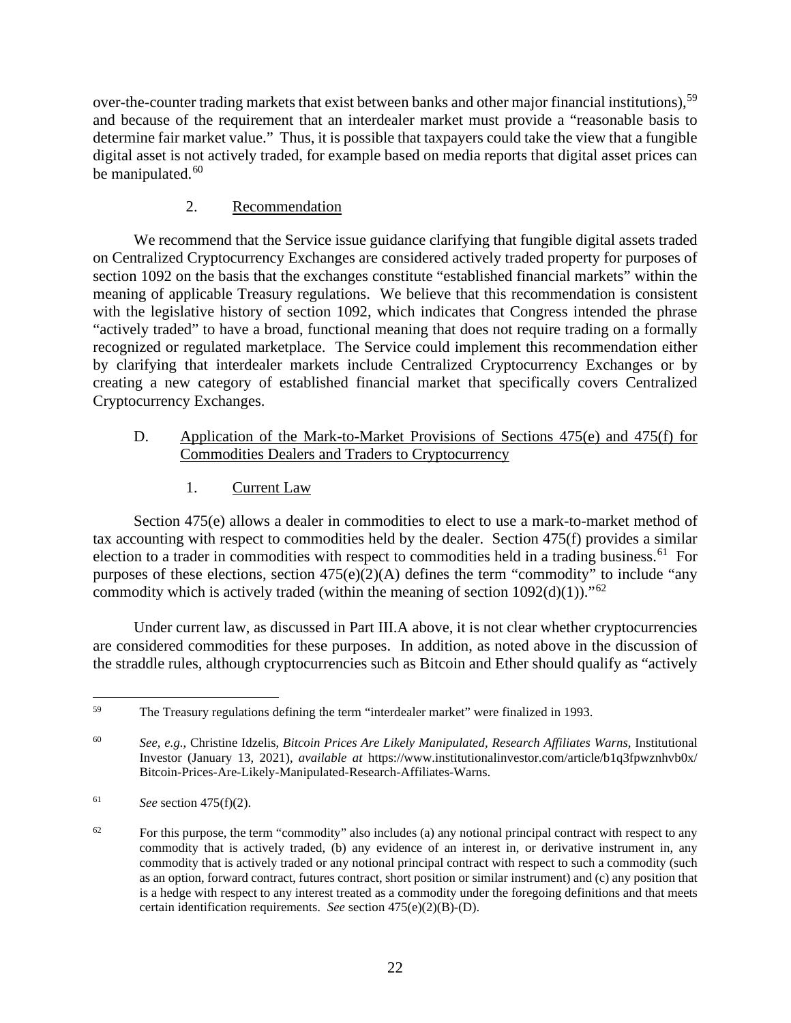over-the-counter trading markets that exist between banks and other major financial institutions),<sup>[59](#page-27-3)</sup> and because of the requirement that an interdealer market must provide a "reasonable basis to determine fair market value." Thus, it is possible that taxpayers could take the view that a fungible digital asset is not actively traded, for example based on media reports that digital asset prices can be manipulated.<sup>[60](#page-27-4)</sup>

# 2. Recommendation

<span id="page-27-0"></span>We recommend that the Service issue guidance clarifying that fungible digital assets traded on Centralized Cryptocurrency Exchanges are considered actively traded property for purposes of section 1092 on the basis that the exchanges constitute "established financial markets" within the meaning of applicable Treasury regulations. We believe that this recommendation is consistent with the legislative history of section 1092, which indicates that Congress intended the phrase "actively traded" to have a broad, functional meaning that does not require trading on a formally recognized or regulated marketplace. The Service could implement this recommendation either by clarifying that interdealer markets include Centralized Cryptocurrency Exchanges or by creating a new category of established financial market that specifically covers Centralized Cryptocurrency Exchanges.

# <span id="page-27-1"></span>D. Application of the Mark-to-Market Provisions of Sections 475(e) and 475(f) for Commodities Dealers and Traders to Cryptocurrency

1. Current Law

<span id="page-27-2"></span>Section 475(e) allows a dealer in commodities to elect to use a mark-to-market method of tax accounting with respect to commodities held by the dealer. Section 475(f) provides a similar election to a trader in commodities with respect to commodities held in a trading business.<sup>[61](#page-27-5)</sup> For purposes of these elections, section  $475(e)(2)(A)$  defines the term "commodity" to include "any commodity which is actively traded (within the meaning of section  $1092(d)(1)$ )."<sup>62</sup>

Under current law, as discussed in Part III.A above, it is not clear whether cryptocurrencies are considered commodities for these purposes. In addition, as noted above in the discussion of the straddle rules, although cryptocurrencies such as Bitcoin and Ether should qualify as "actively

<span id="page-27-3"></span><sup>59</sup> The Treasury regulations defining the term "interdealer market" were finalized in 1993.

<span id="page-27-4"></span><sup>60</sup> *See, e.g.*, Christine Idzelis, *Bitcoin Prices Are Likely Manipulated, Research Affiliates Warns*, Institutional Investor (January 13, 2021), *available at* https://www.institutionalinvestor.com/article/b1q3fpwznhvb0x/ Bitcoin-Prices-Are-Likely-Manipulated-Research-Affiliates-Warns.

<span id="page-27-5"></span><sup>61</sup> *See* section 475(f)(2).

<span id="page-27-6"></span> $62$  For this purpose, the term "commodity" also includes (a) any notional principal contract with respect to any commodity that is actively traded, (b) any evidence of an interest in, or derivative instrument in, any commodity that is actively traded or any notional principal contract with respect to such a commodity (such as an option, forward contract, futures contract, short position or similar instrument) and (c) any position that is a hedge with respect to any interest treated as a commodity under the foregoing definitions and that meets certain identification requirements. *See* section 475(e)(2)(B)-(D).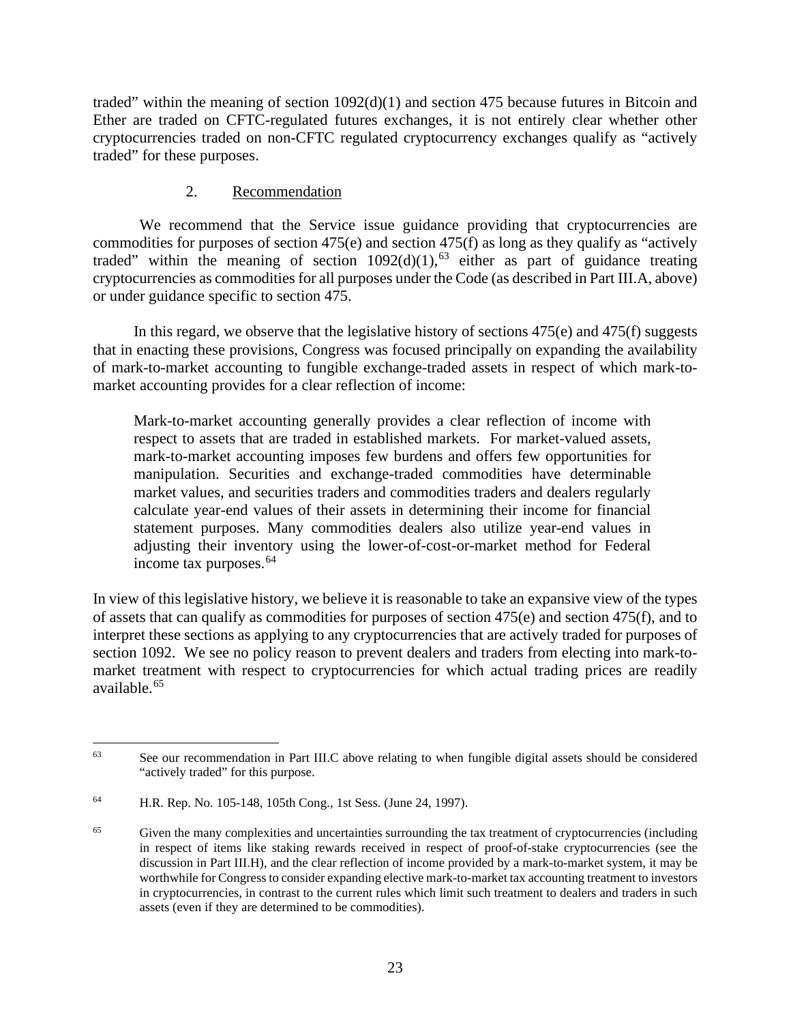traded" within the meaning of section  $1092(d)(1)$  and section 475 because futures in Bitcoin and Ether are traded on CFTC-regulated futures exchanges, it is not entirely clear whether other cryptocurrencies traded on non-CFTC regulated cryptocurrency exchanges qualify as "actively traded" for these purposes.

# 2. Recommendation

<span id="page-28-0"></span>We recommend that the Service issue guidance providing that cryptocurrencies are commodities for purposes of section 475(e) and section 475(f) as long as they qualify as "actively traded" within the meaning of section  $1092(d)(1)$ , <sup>[63](#page-28-1)</sup> either as part of guidance treating cryptocurrencies as commodities for all purposes under the Code (as described in Part III.A, above) or under guidance specific to section 475.

In this regard, we observe that the legislative history of sections 475(e) and 475(f) suggests that in enacting these provisions, Congress was focused principally on expanding the availability of mark-to-market accounting to fungible exchange-traded assets in respect of which mark-tomarket accounting provides for a clear reflection of income:

Mark-to-market accounting generally provides a clear reflection of income with respect to assets that are traded in established markets. For market-valued assets, mark-to-market accounting imposes few burdens and offers few opportunities for manipulation. Securities and exchange-traded commodities have determinable market values, and securities traders and commodities traders and dealers regularly calculate year-end values of their assets in determining their income for financial statement purposes. Many commodities dealers also utilize year-end values in adjusting their inventory using the lower-of-cost-or-market method for Federal income tax purposes.<sup>[64](#page-28-2)</sup>

In view of this legislative history, we believe it is reasonable to take an expansive view of the types of assets that can qualify as commodities for purposes of section 475(e) and section 475(f), and to interpret these sections as applying to any cryptocurrencies that are actively traded for purposes of section 1092. We see no policy reason to prevent dealers and traders from electing into mark-tomarket treatment with respect to cryptocurrencies for which actual trading prices are readily available.[65](#page-28-3)

<span id="page-28-1"></span><sup>&</sup>lt;sup>63</sup> See our recommendation in Part III.C above relating to when fungible digital assets should be considered "actively traded" for this purpose.

<span id="page-28-2"></span><sup>64</sup> H.R. Rep. No. 105-148, 105th Cong., 1st Sess. (June 24, 1997).

<span id="page-28-3"></span><sup>&</sup>lt;sup>65</sup> Given the many complexities and uncertainties surrounding the tax treatment of cryptocurrencies (including in respect of items like staking rewards received in respect of proof-of-stake cryptocurrencies (see the discussion in Part III.H), and the clear reflection of income provided by a mark-to-market system, it may be worthwhile for Congress to consider expanding elective mark-to-market tax accounting treatment to investors in cryptocurrencies, in contrast to the current rules which limit such treatment to dealers and traders in such assets (even if they are determined to be commodities).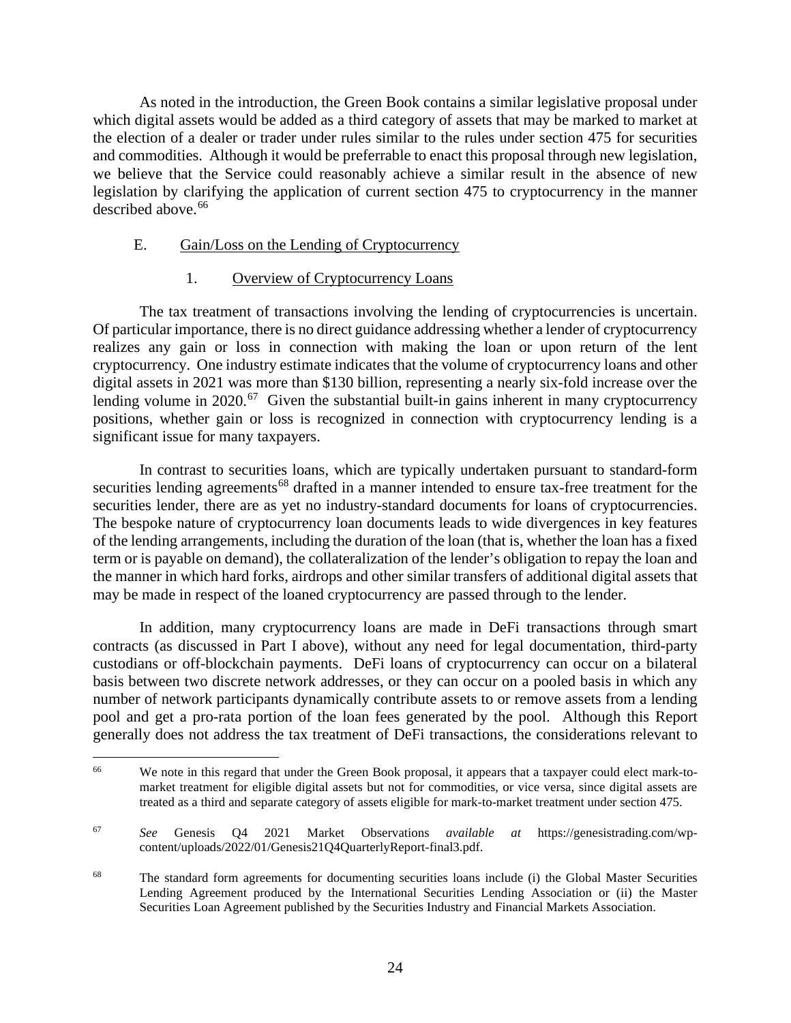As noted in the introduction, the Green Book contains a similar legislative proposal under which digital assets would be added as a third category of assets that may be marked to market at the election of a dealer or trader under rules similar to the rules under section 475 for securities and commodities. Although it would be preferrable to enact this proposal through new legislation, we believe that the Service could reasonably achieve a similar result in the absence of new legislation by clarifying the application of current section 475 to cryptocurrency in the manner described above. [66](#page-29-2)

### <span id="page-29-0"></span>E. Gain/Loss on the Lending of Cryptocurrency

### 1. Overview of Cryptocurrency Loans

<span id="page-29-1"></span>The tax treatment of transactions involving the lending of cryptocurrencies is uncertain. Of particular importance, there is no direct guidance addressing whether a lender of cryptocurrency realizes any gain or loss in connection with making the loan or upon return of the lent cryptocurrency. One industry estimate indicates that the volume of cryptocurrency loans and other digital assets in 2021 was more than \$130 billion, representing a nearly six-fold increase over the lending volume in 2020.<sup>67</sup> Given the substantial built-in gains inherent in many cryptocurrency positions, whether gain or loss is recognized in connection with cryptocurrency lending is a significant issue for many taxpayers.

In contrast to securities loans, which are typically undertaken pursuant to standard-form securities lending agreements<sup>[68](#page-29-4)</sup> drafted in a manner intended to ensure tax-free treatment for the securities lender, there are as yet no industry-standard documents for loans of cryptocurrencies. The bespoke nature of cryptocurrency loan documents leads to wide divergences in key features of the lending arrangements, including the duration of the loan (that is, whether the loan has a fixed term or is payable on demand), the collateralization of the lender's obligation to repay the loan and the manner in which hard forks, airdrops and other similar transfers of additional digital assets that may be made in respect of the loaned cryptocurrency are passed through to the lender.

In addition, many cryptocurrency loans are made in DeFi transactions through smart contracts (as discussed in Part I above), without any need for legal documentation, third-party custodians or off-blockchain payments. DeFi loans of cryptocurrency can occur on a bilateral basis between two discrete network addresses, or they can occur on a pooled basis in which any number of network participants dynamically contribute assets to or remove assets from a lending pool and get a pro-rata portion of the loan fees generated by the pool. Although this Report generally does not address the tax treatment of DeFi transactions, the considerations relevant to

<span id="page-29-2"></span><sup>&</sup>lt;sup>66</sup> We note in this regard that under the Green Book proposal, it appears that a taxpayer could elect mark-tomarket treatment for eligible digital assets but not for commodities, or vice versa, since digital assets are treated as a third and separate category of assets eligible for mark-to-market treatment under section 475.

<span id="page-29-3"></span><sup>67</sup> *See* Genesis Q4 2021 Market Observations *available at* https://genesistrading.com/wpcontent/uploads/2022/01/Genesis21Q4QuarterlyReport-final3.pdf.

<span id="page-29-4"></span><sup>&</sup>lt;sup>68</sup> The standard form agreements for documenting securities loans include (i) the Global Master Securities Lending Agreement produced by the International Securities Lending Association or (ii) the Master Securities Loan Agreement published by the Securities Industry and Financial Markets Association.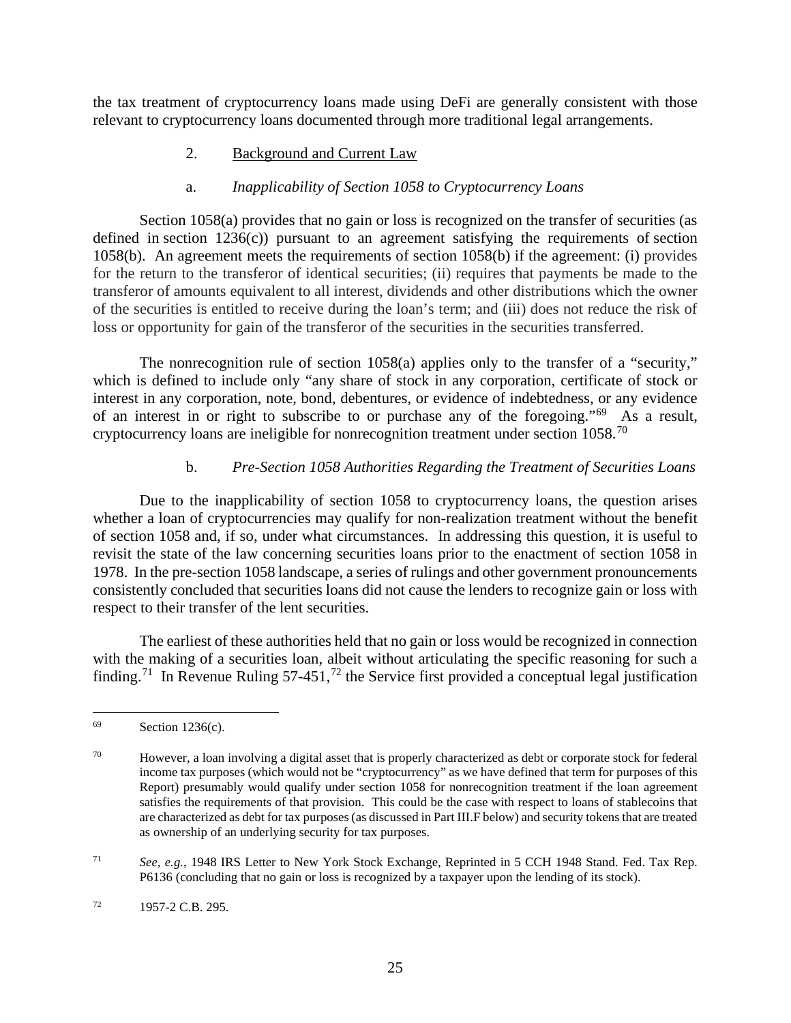<span id="page-30-0"></span>the tax treatment of cryptocurrency loans made using DeFi are generally consistent with those relevant to cryptocurrency loans documented through more traditional legal arrangements.

# 2. Background and Current Law

# a. *Inapplicability of Section 1058 to Cryptocurrency Loans*

Section 1058(a) provides that no gain or loss is recognized on the transfer of securities (as defined in section 1236(c)) pursuant to an agreement satisfying the requirements of section 1058(b). An agreement meets the requirements of section 1058(b) if the agreement: (i) provides for the return to the transferor of identical securities; (ii) requires that payments be made to the transferor of amounts equivalent to all interest, dividends and other distributions which the owner of the securities is entitled to receive during the loan's term; and (iii) does not reduce the risk of loss or opportunity for gain of the transferor of the securities in the securities transferred.

The nonrecognition rule of section 1058(a) applies only to the transfer of a "security," which is defined to include only "any share of stock in any corporation, certificate of stock or interest in any corporation, note, bond, debentures, or evidence of indebtedness, or any evidence of an interest in or right to subscribe to or purchase any of the foregoing."[69](#page-30-1) As a result, cryptocurrency loans are ineligible for nonrecognition treatment under section  $1058$ .<sup>70</sup>

# b. *Pre-Section 1058 Authorities Regarding the Treatment of Securities Loans*

Due to the inapplicability of section 1058 to cryptocurrency loans, the question arises whether a loan of cryptocurrencies may qualify for non-realization treatment without the benefit of section 1058 and, if so, under what circumstances. In addressing this question, it is useful to revisit the state of the law concerning securities loans prior to the enactment of section 1058 in 1978. In the pre-section 1058 landscape, a series of rulings and other government pronouncements consistently concluded that securities loans did not cause the lenders to recognize gain or loss with respect to their transfer of the lent securities.

The earliest of these authorities held that no gain or loss would be recognized in connection with the making of a securities loan, albeit without articulating the specific reasoning for such a finding.<sup>[71](#page-30-3)</sup> In Revenue Ruling 57-451,<sup>[72](#page-30-4)</sup> the Service first provided a conceptual legal justification

<span id="page-30-1"></span> $69$  Section 1236(c).

<span id="page-30-2"></span> $70$  However, a loan involving a digital asset that is properly characterized as debt or corporate stock for federal income tax purposes (which would not be "cryptocurrency" as we have defined that term for purposes of this Report) presumably would qualify under section 1058 for nonrecognition treatment if the loan agreement satisfies the requirements of that provision. This could be the case with respect to loans of stablecoins that are characterized as debt for tax purposes (as discussed in Part III.F below) and security tokens that are treated as ownership of an underlying security for tax purposes.

<span id="page-30-3"></span><sup>71</sup> *See*, *e.g.*, 1948 IRS Letter to New York Stock Exchange, Reprinted in 5 CCH 1948 Stand. Fed. Tax Rep. P6136 (concluding that no gain or loss is recognized by a taxpayer upon the lending of its stock).

<span id="page-30-4"></span> $^{72}$  1957-2 C.B. 295.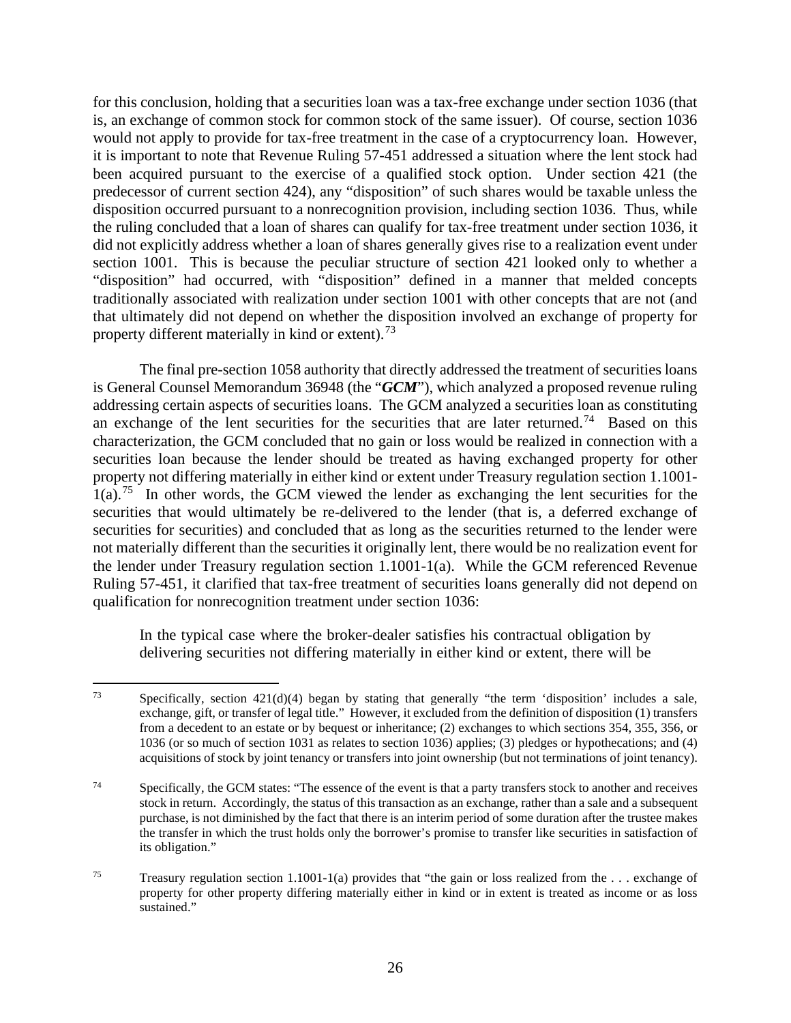for this conclusion, holding that a securities loan was a tax-free exchange under section 1036 (that is, an exchange of common stock for common stock of the same issuer). Of course, section 1036 would not apply to provide for tax-free treatment in the case of a cryptocurrency loan. However, it is important to note that Revenue Ruling 57-451 addressed a situation where the lent stock had been acquired pursuant to the exercise of a qualified stock option. Under section 421 (the predecessor of current section 424), any "disposition" of such shares would be taxable unless the disposition occurred pursuant to a nonrecognition provision, including section 1036. Thus, while the ruling concluded that a loan of shares can qualify for tax-free treatment under section 1036, it did not explicitly address whether a loan of shares generally gives rise to a realization event under section 1001. This is because the peculiar structure of section 421 looked only to whether a "disposition" had occurred, with "disposition" defined in a manner that melded concepts traditionally associated with realization under section 1001 with other concepts that are not (and that ultimately did not depend on whether the disposition involved an exchange of property for property different materially in kind or extent).<sup>[73](#page-31-0)</sup>

The final pre-section 1058 authority that directly addressed the treatment of securities loans is General Counsel Memorandum 36948 (the "*GCM*"), which analyzed a proposed revenue ruling addressing certain aspects of securities loans. The GCM analyzed a securities loan as constituting an exchange of the lent securities for the securities that are later returned.<sup>[74](#page-31-1)</sup> Based on this characterization, the GCM concluded that no gain or loss would be realized in connection with a securities loan because the lender should be treated as having exchanged property for other property not differing materially in either kind or extent under Treasury regulation section 1.1001-  $1(a)$ .<sup>75</sup> In other words, the GCM viewed the lender as exchanging the lent securities for the securities that would ultimately be re-delivered to the lender (that is, a deferred exchange of securities for securities) and concluded that as long as the securities returned to the lender were not materially different than the securities it originally lent, there would be no realization event for the lender under Treasury regulation section 1.1001-1(a). While the GCM referenced Revenue Ruling 57-451, it clarified that tax-free treatment of securities loans generally did not depend on qualification for nonrecognition treatment under section 1036:

In the typical case where the broker-dealer satisfies his contractual obligation by delivering securities not differing materially in either kind or extent, there will be

<span id="page-31-0"></span> $73$  Specifically, section 421(d)(4) began by stating that generally "the term 'disposition' includes a sale, exchange, gift, or transfer of legal title." However, it excluded from the definition of disposition (1) transfers from a decedent to an estate or by bequest or inheritance; (2) exchanges to which sections 354, 355, 356, or 1036 (or so much of section 1031 as relates to section 1036) applies; (3) pledges or hypothecations; and (4) acquisitions of stock by joint tenancy or transfers into joint ownership (but not terminations of joint tenancy).

<span id="page-31-1"></span><sup>&</sup>lt;sup>74</sup> Specifically, the GCM states: "The essence of the event is that a party transfers stock to another and receives stock in return. Accordingly, the status of this transaction as an exchange, rather than a sale and a subsequent purchase, is not diminished by the fact that there is an interim period of some duration after the trustee makes the transfer in which the trust holds only the borrower's promise to transfer like securities in satisfaction of its obligation."

<span id="page-31-2"></span><sup>75</sup> Treasury regulation section 1.1001-1(a) provides that "the gain or loss realized from the . . . exchange of property for other property differing materially either in kind or in extent is treated as income or as loss sustained."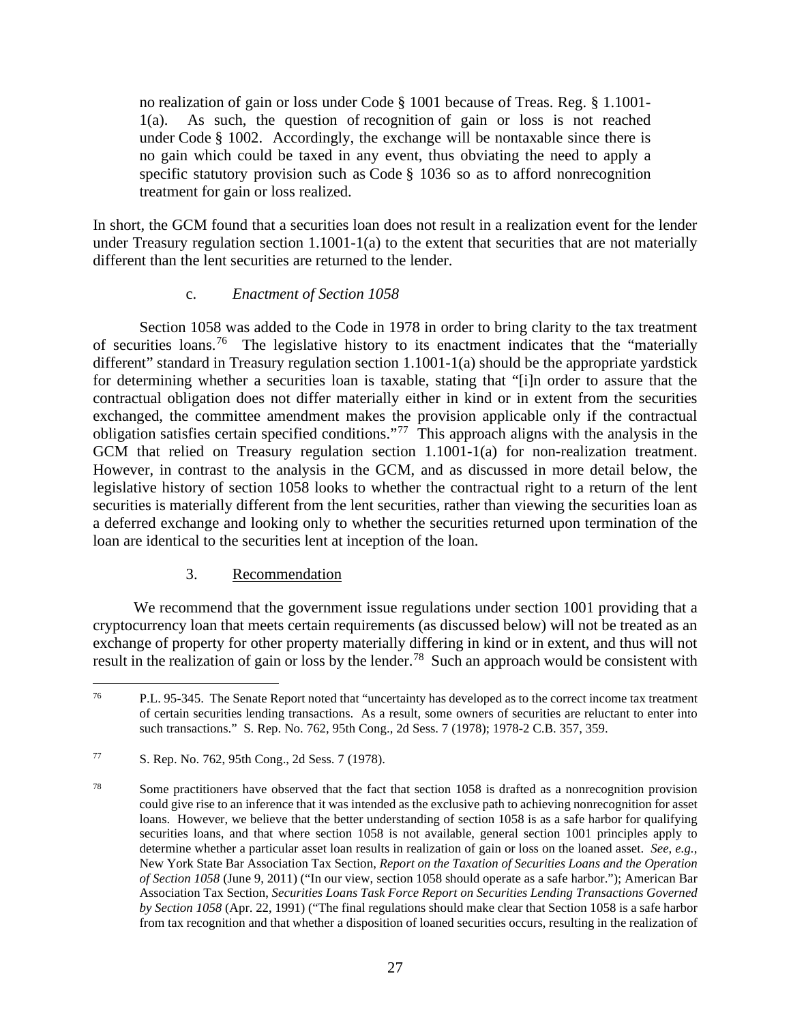no realization of gain or loss under Code § 1001 because of Treas. Reg. § 1.1001- 1(a). As such, the question of recognition of gain or loss is not reached under Code § 1002. Accordingly, the exchange will be nontaxable since there is no gain which could be taxed in any event, thus obviating the need to apply a specific statutory provision such as Code § 1036 so as to afford nonrecognition treatment for gain or loss realized.

In short, the GCM found that a securities loan does not result in a realization event for the lender under Treasury regulation section  $1.1001 - 1(a)$  to the extent that securities that are not materially different than the lent securities are returned to the lender.

#### c. *Enactment of Section 1058*

Section 1058 was added to the Code in 1978 in order to bring clarity to the tax treatment of securities loans.<sup>76</sup> The legislative history to its enactment indicates that the "materially different" standard in Treasury regulation section 1.1001-1(a) should be the appropriate yardstick for determining whether a securities loan is taxable, stating that "[i]n order to assure that the contractual obligation does not differ materially either in kind or in extent from the securities exchanged, the committee amendment makes the provision applicable only if the contractual obligation satisfies certain specified conditions."[77](#page-32-2) This approach aligns with the analysis in the GCM that relied on Treasury regulation section 1.1001-1(a) for non-realization treatment. However, in contrast to the analysis in the GCM, and as discussed in more detail below, the legislative history of section 1058 looks to whether the contractual right to a return of the lent securities is materially different from the lent securities, rather than viewing the securities loan as a deferred exchange and looking only to whether the securities returned upon termination of the loan are identical to the securities lent at inception of the loan.

# 3. Recommendation

<span id="page-32-0"></span>We recommend that the government issue regulations under section 1001 providing that a cryptocurrency loan that meets certain requirements (as discussed below) will not be treated as an exchange of property for other property materially differing in kind or in extent, and thus will not result in the realization of gain or loss by the lender.<sup>[78](#page-32-3)</sup> Such an approach would be consistent with

<span id="page-32-1"></span><sup>76</sup> P.L. 95-345. The Senate Report noted that "uncertainty has developed as to the correct income tax treatment of certain securities lending transactions. As a result, some owners of securities are reluctant to enter into such transactions." S. Rep. No. 762, 95th Cong., 2d Sess. 7 (1978); 1978-2 C.B. 357, 359.

<span id="page-32-2"></span><sup>77</sup> S. Rep. No. 762, 95th Cong., 2d Sess. 7 (1978).

<span id="page-32-3"></span><sup>&</sup>lt;sup>78</sup> Some practitioners have observed that the fact that section 1058 is drafted as a nonrecognition provision could give rise to an inference that it was intended as the exclusive path to achieving nonrecognition for asset loans. However, we believe that the better understanding of section 1058 is as a safe harbor for qualifying securities loans, and that where section 1058 is not available, general section 1001 principles apply to determine whether a particular asset loan results in realization of gain or loss on the loaned asset. *See, e.g.*, New York State Bar Association Tax Section, *Report on the Taxation of Securities Loans and the Operation of Section 1058* (June 9, 2011) ("In our view, section 1058 should operate as a safe harbor."); American Bar Association Tax Section, *Securities Loans Task Force Report on Securities Lending Transactions Governed by Section 1058* (Apr. 22, 1991) ("The final regulations should make clear that Section 1058 is a safe harbor from tax recognition and that whether a disposition of loaned securities occurs, resulting in the realization of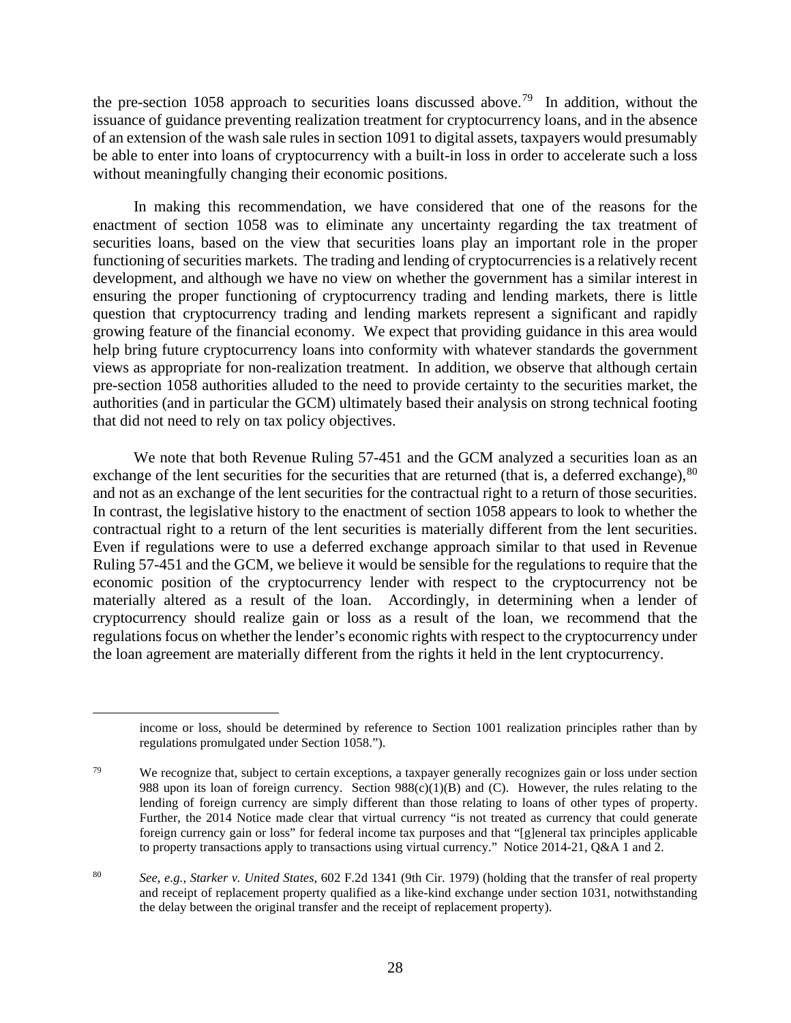the pre-section 1058 approach to securities loans discussed above.<sup>79</sup> In addition, without the issuance of guidance preventing realization treatment for cryptocurrency loans, and in the absence of an extension of the wash sale rules in section 1091 to digital assets, taxpayers would presumably be able to enter into loans of cryptocurrency with a built-in loss in order to accelerate such a loss without meaningfully changing their economic positions.

In making this recommendation, we have considered that one of the reasons for the enactment of section 1058 was to eliminate any uncertainty regarding the tax treatment of securities loans, based on the view that securities loans play an important role in the proper functioning of securities markets. The trading and lending of cryptocurrencies is a relatively recent development, and although we have no view on whether the government has a similar interest in ensuring the proper functioning of cryptocurrency trading and lending markets, there is little question that cryptocurrency trading and lending markets represent a significant and rapidly growing feature of the financial economy. We expect that providing guidance in this area would help bring future cryptocurrency loans into conformity with whatever standards the government views as appropriate for non-realization treatment. In addition, we observe that although certain pre-section 1058 authorities alluded to the need to provide certainty to the securities market, the authorities (and in particular the GCM) ultimately based their analysis on strong technical footing that did not need to rely on tax policy objectives.

We note that both Revenue Ruling 57-451 and the GCM analyzed a securities loan as an exchange of the lent securities for the securities that are returned (that is, a deferred exchange), <sup>[80](#page-33-1)</sup> and not as an exchange of the lent securities for the contractual right to a return of those securities. In contrast, the legislative history to the enactment of section 1058 appears to look to whether the contractual right to a return of the lent securities is materially different from the lent securities. Even if regulations were to use a deferred exchange approach similar to that used in Revenue Ruling 57-451 and the GCM, we believe it would be sensible for the regulations to require that the economic position of the cryptocurrency lender with respect to the cryptocurrency not be materially altered as a result of the loan. Accordingly, in determining when a lender of cryptocurrency should realize gain or loss as a result of the loan, we recommend that the regulations focus on whether the lender's economic rights with respect to the cryptocurrency under the loan agreement are materially different from the rights it held in the lent cryptocurrency.

income or loss, should be determined by reference to Section 1001 realization principles rather than by regulations promulgated under Section 1058.").

<span id="page-33-0"></span><sup>&</sup>lt;sup>79</sup> We recognize that, subject to certain exceptions, a taxpayer generally recognizes gain or loss under section 988 upon its loan of foreign currency. Section  $988(c)(1)(B)$  and (C). However, the rules relating to the lending of foreign currency are simply different than those relating to loans of other types of property. Further, the 2014 Notice made clear that virtual currency "is not treated as currency that could generate foreign currency gain or loss" for federal income tax purposes and that "[g]eneral tax principles applicable to property transactions apply to transactions using virtual currency." Notice 2014-21, Q&A 1 and 2.

<span id="page-33-1"></span><sup>80</sup> *See*, *e.g.*, *Starker v. United States*, 602 F.2d 1341 (9th Cir. 1979) (holding that the transfer of real property and receipt of replacement property qualified as a like-kind exchange under section 1031, notwithstanding the delay between the original transfer and the receipt of replacement property).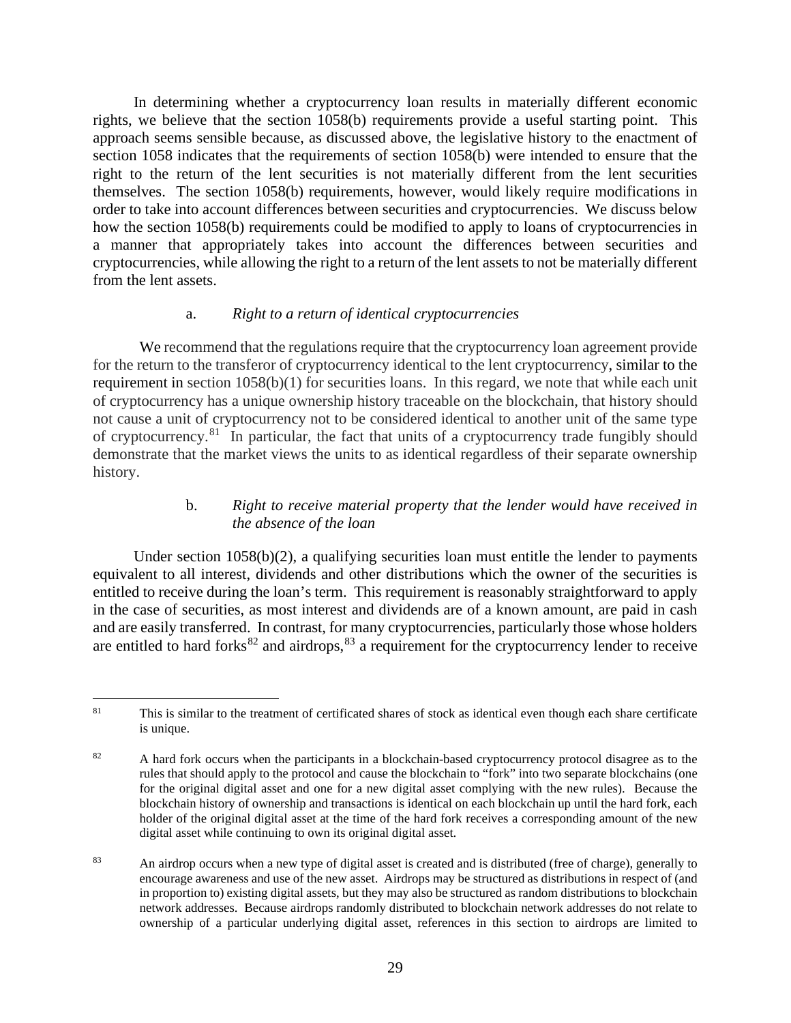In determining whether a cryptocurrency loan results in materially different economic rights, we believe that the section 1058(b) requirements provide a useful starting point. This approach seems sensible because, as discussed above, the legislative history to the enactment of section 1058 indicates that the requirements of section 1058(b) were intended to ensure that the right to the return of the lent securities is not materially different from the lent securities themselves. The section 1058(b) requirements, however, would likely require modifications in order to take into account differences between securities and cryptocurrencies. We discuss below how the section 1058(b) requirements could be modified to apply to loans of cryptocurrencies in a manner that appropriately takes into account the differences between securities and cryptocurrencies, while allowing the right to a return of the lent assets to not be materially different from the lent assets.

#### a. *Right to a return of identical cryptocurrencies*

We recommend that the regulations require that the cryptocurrency loan agreement provide for the return to the transferor of cryptocurrency identical to the lent cryptocurrency, similar to the requirement in section 1058(b)(1) for securities loans. In this regard, we note that while each unit of cryptocurrency has a unique ownership history traceable on the blockchain, that history should not cause a unit of cryptocurrency not to be considered identical to another unit of the same type of cryptocurrency.<sup>[81](#page-34-0)</sup> In particular, the fact that units of a cryptocurrency trade fungibly should demonstrate that the market views the units to as identical regardless of their separate ownership history.

### b. *Right to receive material property that the lender would have received in the absence of the loan*

Under section 1058(b)(2), a qualifying securities loan must entitle the lender to payments equivalent to all interest, dividends and other distributions which the owner of the securities is entitled to receive during the loan's term. This requirement is reasonably straightforward to apply in the case of securities, as most interest and dividends are of a known amount, are paid in cash and are easily transferred. In contrast, for many cryptocurrencies, particularly those whose holders are entitled to hard forks $82$  and airdrops,  $83$  a requirement for the cryptocurrency lender to receive

<span id="page-34-0"></span><sup>&</sup>lt;sup>81</sup> This is similar to the treatment of certificated shares of stock as identical even though each share certificate is unique.

<span id="page-34-1"></span><sup>&</sup>lt;sup>82</sup> A hard fork occurs when the participants in a blockchain-based cryptocurrency protocol disagree as to the rules that should apply to the protocol and cause the blockchain to "fork" into two separate blockchains (one for the original digital asset and one for a new digital asset complying with the new rules). Because the blockchain history of ownership and transactions is identical on each blockchain up until the hard fork, each holder of the original digital asset at the time of the hard fork receives a corresponding amount of the new digital asset while continuing to own its original digital asset.

<span id="page-34-2"></span><sup>83</sup> An airdrop occurs when a new type of digital asset is created and is distributed (free of charge), generally to encourage awareness and use of the new asset. Airdrops may be structured as distributions in respect of (and in proportion to) existing digital assets, but they may also be structured as random distributions to blockchain network addresses. Because airdrops randomly distributed to blockchain network addresses do not relate to ownership of a particular underlying digital asset, references in this section to airdrops are limited to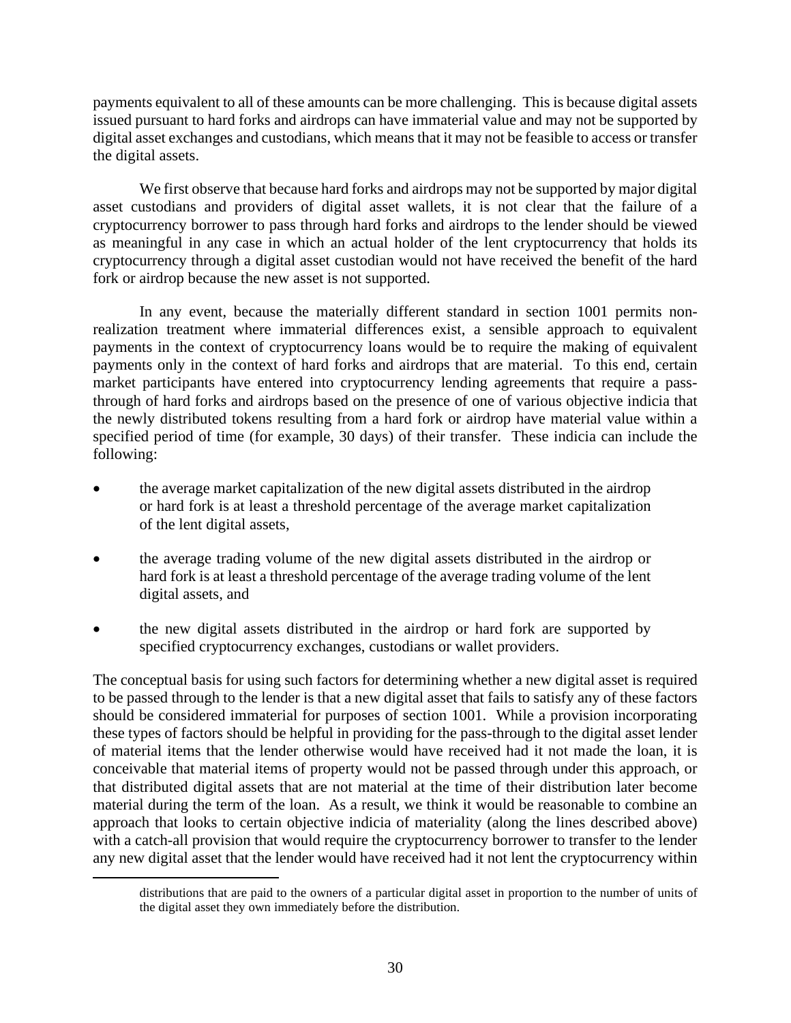payments equivalent to all of these amounts can be more challenging. This is because digital assets issued pursuant to hard forks and airdrops can have immaterial value and may not be supported by digital asset exchanges and custodians, which means that it may not be feasible to access or transfer the digital assets.

We first observe that because hard forks and airdrops may not be supported by major digital asset custodians and providers of digital asset wallets, it is not clear that the failure of a cryptocurrency borrower to pass through hard forks and airdrops to the lender should be viewed as meaningful in any case in which an actual holder of the lent cryptocurrency that holds its cryptocurrency through a digital asset custodian would not have received the benefit of the hard fork or airdrop because the new asset is not supported.

In any event, because the materially different standard in section 1001 permits nonrealization treatment where immaterial differences exist, a sensible approach to equivalent payments in the context of cryptocurrency loans would be to require the making of equivalent payments only in the context of hard forks and airdrops that are material. To this end, certain market participants have entered into cryptocurrency lending agreements that require a passthrough of hard forks and airdrops based on the presence of one of various objective indicia that the newly distributed tokens resulting from a hard fork or airdrop have material value within a specified period of time (for example, 30 days) of their transfer. These indicia can include the following:

- the average market capitalization of the new digital assets distributed in the airdrop or hard fork is at least a threshold percentage of the average market capitalization of the lent digital assets,
- the average trading volume of the new digital assets distributed in the airdrop or hard fork is at least a threshold percentage of the average trading volume of the lent digital assets, and
- the new digital assets distributed in the airdrop or hard fork are supported by specified cryptocurrency exchanges, custodians or wallet providers.

The conceptual basis for using such factors for determining whether a new digital asset is required to be passed through to the lender is that a new digital asset that fails to satisfy any of these factors should be considered immaterial for purposes of section 1001. While a provision incorporating these types of factors should be helpful in providing for the pass-through to the digital asset lender of material items that the lender otherwise would have received had it not made the loan, it is conceivable that material items of property would not be passed through under this approach, or that distributed digital assets that are not material at the time of their distribution later become material during the term of the loan. As a result, we think it would be reasonable to combine an approach that looks to certain objective indicia of materiality (along the lines described above) with a catch-all provision that would require the cryptocurrency borrower to transfer to the lender any new digital asset that the lender would have received had it not lent the cryptocurrency within

distributions that are paid to the owners of a particular digital asset in proportion to the number of units of the digital asset they own immediately before the distribution.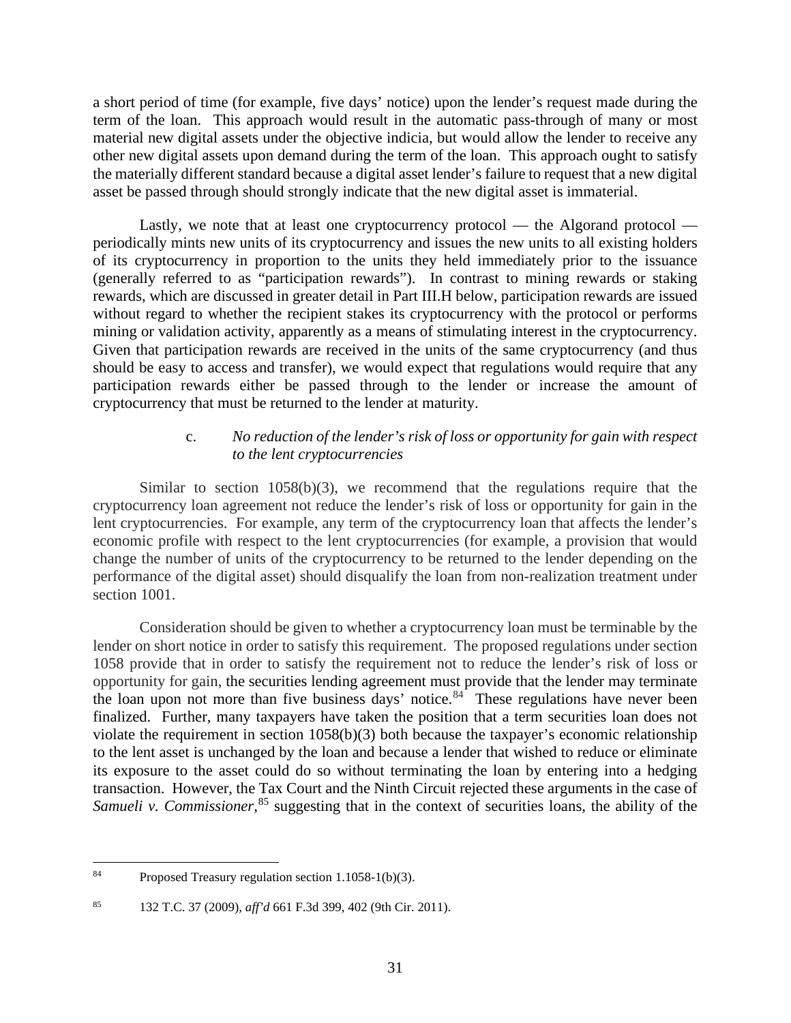a short period of time (for example, five days' notice) upon the lender's request made during the term of the loan. This approach would result in the automatic pass-through of many or most material new digital assets under the objective indicia, but would allow the lender to receive any other new digital assets upon demand during the term of the loan. This approach ought to satisfy the materially different standard because a digital asset lender's failure to request that a new digital asset be passed through should strongly indicate that the new digital asset is immaterial.

Lastly, we note that at least one cryptocurrency protocol — the Algorand protocol periodically mints new units of its cryptocurrency and issues the new units to all existing holders of its cryptocurrency in proportion to the units they held immediately prior to the issuance (generally referred to as "participation rewards"). In contrast to mining rewards or staking rewards, which are discussed in greater detail in Part III.H below, participation rewards are issued without regard to whether the recipient stakes its cryptocurrency with the protocol or performs mining or validation activity, apparently as a means of stimulating interest in the cryptocurrency. Given that participation rewards are received in the units of the same cryptocurrency (and thus should be easy to access and transfer), we would expect that regulations would require that any participation rewards either be passed through to the lender or increase the amount of cryptocurrency that must be returned to the lender at maturity.

#### c. *No reduction of the lender's risk of loss or opportunity for gain with respect to the lent cryptocurrencies*

Similar to section  $1058(b)(3)$ , we recommend that the regulations require that the cryptocurrency loan agreement not reduce the lender's risk of loss or opportunity for gain in the lent cryptocurrencies. For example, any term of the cryptocurrency loan that affects the lender's economic profile with respect to the lent cryptocurrencies (for example, a provision that would change the number of units of the cryptocurrency to be returned to the lender depending on the performance of the digital asset) should disqualify the loan from non-realization treatment under section 1001.

Consideration should be given to whether a cryptocurrency loan must be terminable by the lender on short notice in order to satisfy this requirement. The proposed regulations under section 1058 provide that in order to satisfy the requirement not to reduce the lender's risk of loss or opportunity for gain, the securities lending agreement must provide that the lender may terminate the loan upon not more than five business days' notice. $84^{\circ}$  These regulations have never been finalized. Further, many taxpayers have taken the position that a term securities loan does not violate the requirement in section 1058(b)(3) both because the taxpayer's economic relationship to the lent asset is unchanged by the loan and because a lender that wished to reduce or eliminate its exposure to the asset could do so without terminating the loan by entering into a hedging transaction. However, the Tax Court and the Ninth Circuit rejected these arguments in the case of Samueli v. Commissioner, <sup>[85](#page-36-1)</sup> suggesting that in the context of securities loans, the ability of the

<span id="page-36-0"></span><sup>84</sup> Proposed Treasury regulation section 1.1058-1(b)(3).

<span id="page-36-1"></span><sup>85 132</sup> T.C. 37 (2009), *aff'd* 661 F.3d 399, 402 (9th Cir. 2011).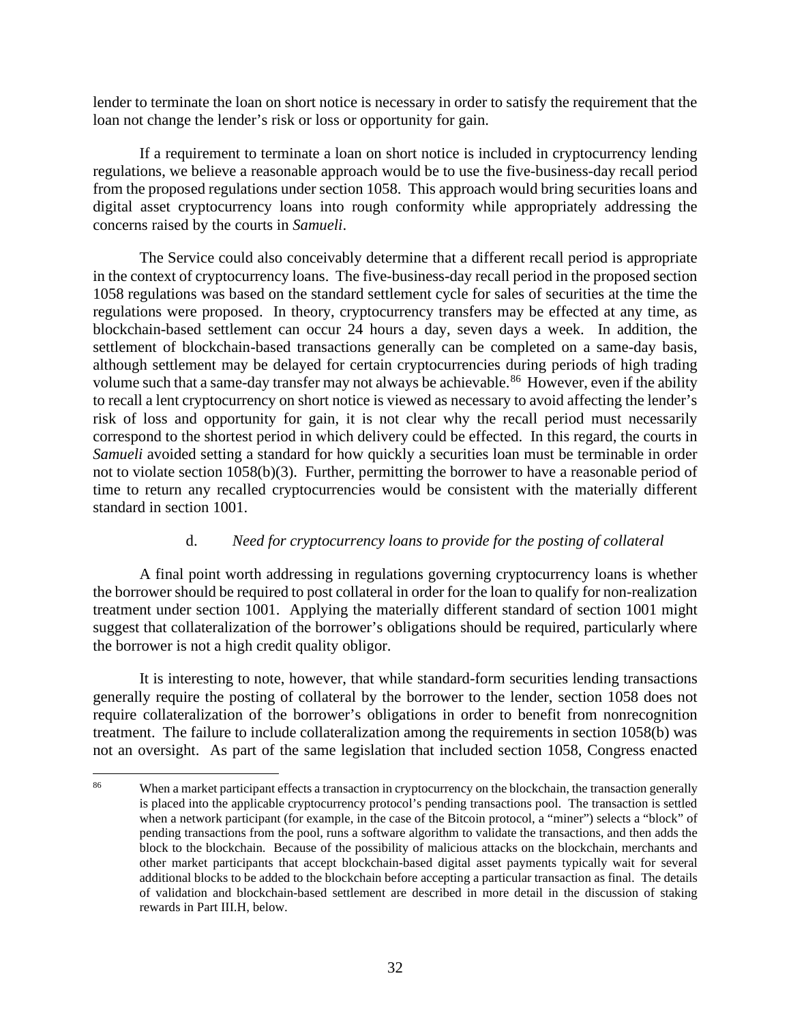lender to terminate the loan on short notice is necessary in order to satisfy the requirement that the loan not change the lender's risk or loss or opportunity for gain.

If a requirement to terminate a loan on short notice is included in cryptocurrency lending regulations, we believe a reasonable approach would be to use the five-business-day recall period from the proposed regulations under section 1058. This approach would bring securities loans and digital asset cryptocurrency loans into rough conformity while appropriately addressing the concerns raised by the courts in *Samueli*.

The Service could also conceivably determine that a different recall period is appropriate in the context of cryptocurrency loans. The five-business-day recall period in the proposed section 1058 regulations was based on the standard settlement cycle for sales of securities at the time the regulations were proposed. In theory, cryptocurrency transfers may be effected at any time, as blockchain-based settlement can occur 24 hours a day, seven days a week. In addition, the settlement of blockchain-based transactions generally can be completed on a same-day basis, although settlement may be delayed for certain cryptocurrencies during periods of high trading volume such that a same-day transfer may not always be achievable.<sup>[86](#page-37-0)</sup> However, even if the ability to recall a lent cryptocurrency on short notice is viewed as necessary to avoid affecting the lender's risk of loss and opportunity for gain, it is not clear why the recall period must necessarily correspond to the shortest period in which delivery could be effected. In this regard, the courts in *Samueli* avoided setting a standard for how quickly a securities loan must be terminable in order not to violate section 1058(b)(3). Further, permitting the borrower to have a reasonable period of time to return any recalled cryptocurrencies would be consistent with the materially different standard in section 1001.

# d. *Need for cryptocurrency loans to provide for the posting of collateral*

A final point worth addressing in regulations governing cryptocurrency loans is whether the borrower should be required to post collateral in order for the loan to qualify for non-realization treatment under section 1001. Applying the materially different standard of section 1001 might suggest that collateralization of the borrower's obligations should be required, particularly where the borrower is not a high credit quality obligor.

It is interesting to note, however, that while standard-form securities lending transactions generally require the posting of collateral by the borrower to the lender, section 1058 does not require collateralization of the borrower's obligations in order to benefit from nonrecognition treatment. The failure to include collateralization among the requirements in section 1058(b) was not an oversight. As part of the same legislation that included section 1058, Congress enacted

<span id="page-37-0"></span><sup>&</sup>lt;sup>86</sup> When a market participant effects a transaction in cryptocurrency on the blockchain, the transaction generally is placed into the applicable cryptocurrency protocol's pending transactions pool. The transaction is settled when a network participant (for example, in the case of the Bitcoin protocol, a "miner") selects a "block" of pending transactions from the pool, runs a software algorithm to validate the transactions, and then adds the block to the blockchain. Because of the possibility of malicious attacks on the blockchain, merchants and other market participants that accept blockchain-based digital asset payments typically wait for several additional blocks to be added to the blockchain before accepting a particular transaction as final. The details of validation and blockchain-based settlement are described in more detail in the discussion of staking rewards in Part III.H, below.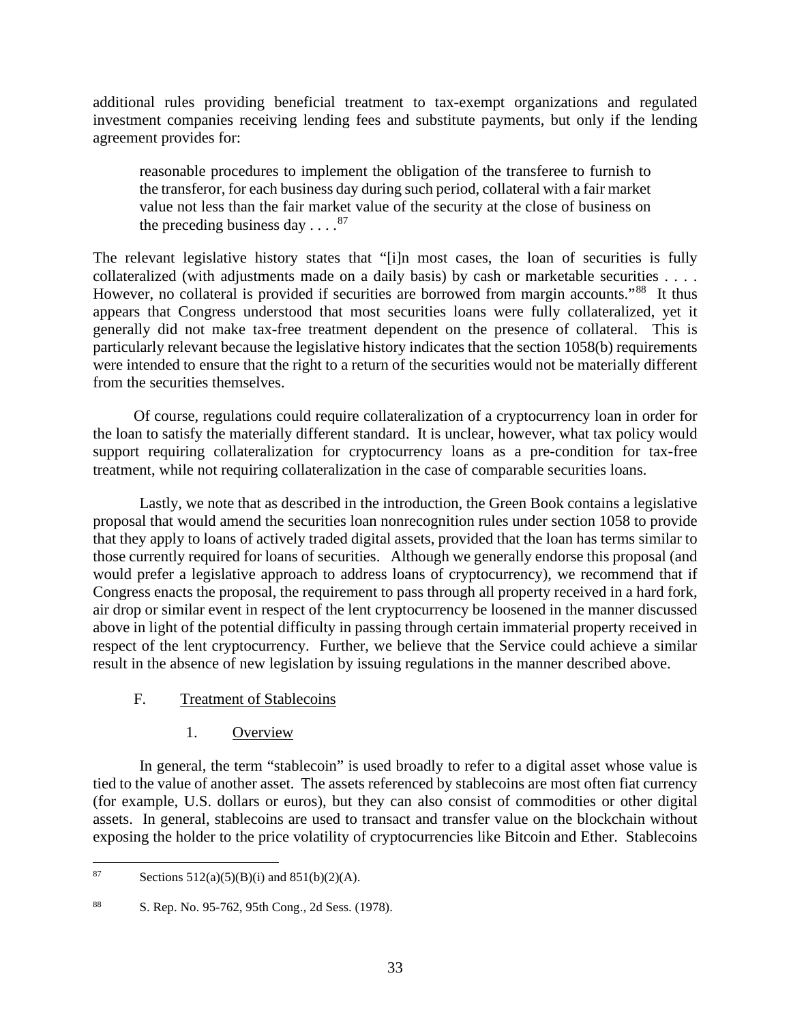additional rules providing beneficial treatment to tax-exempt organizations and regulated investment companies receiving lending fees and substitute payments, but only if the lending agreement provides for:

reasonable procedures to implement the obligation of the transferee to furnish to the transferor, for each business day during such period, collateral with a fair market value not less than the fair market value of the security at the close of business on the preceding business day  $\ldots$ .<sup>87</sup>

The relevant legislative history states that "[i]n most cases, the loan of securities is fully collateralized (with adjustments made on a daily basis) by cash or marketable securities . . . . However, no collateral is provided if securities are borrowed from margin accounts."<sup>88</sup> It thus appears that Congress understood that most securities loans were fully collateralized, yet it generally did not make tax-free treatment dependent on the presence of collateral. This is particularly relevant because the legislative history indicates that the section 1058(b) requirements were intended to ensure that the right to a return of the securities would not be materially different from the securities themselves.

Of course, regulations could require collateralization of a cryptocurrency loan in order for the loan to satisfy the materially different standard. It is unclear, however, what tax policy would support requiring collateralization for cryptocurrency loans as a pre-condition for tax-free treatment, while not requiring collateralization in the case of comparable securities loans.

Lastly, we note that as described in the introduction, the Green Book contains a legislative proposal that would amend the securities loan nonrecognition rules under section 1058 to provide that they apply to loans of actively traded digital assets, provided that the loan has terms similar to those currently required for loans of securities. Although we generally endorse this proposal (and would prefer a legislative approach to address loans of cryptocurrency), we recommend that if Congress enacts the proposal, the requirement to pass through all property received in a hard fork, air drop or similar event in respect of the lent cryptocurrency be loosened in the manner discussed above in light of the potential difficulty in passing through certain immaterial property received in respect of the lent cryptocurrency. Further, we believe that the Service could achieve a similar result in the absence of new legislation by issuing regulations in the manner described above.

# <span id="page-38-0"></span>F. Treatment of Stablecoins

# 1. Overview

<span id="page-38-1"></span>In general, the term "stablecoin" is used broadly to refer to a digital asset whose value is tied to the value of another asset. The assets referenced by stablecoins are most often fiat currency (for example, U.S. dollars or euros), but they can also consist of commodities or other digital assets. In general, stablecoins are used to transact and transfer value on the blockchain without exposing the holder to the price volatility of cryptocurrencies like Bitcoin and Ether. Stablecoins

<span id="page-38-2"></span><sup>87</sup> Sections  $512(a)(5)(B)(i)$  and  $851(b)(2)(A)$ .

<span id="page-38-3"></span><sup>88</sup> S. Rep. No. 95-762, 95th Cong., 2d Sess. (1978).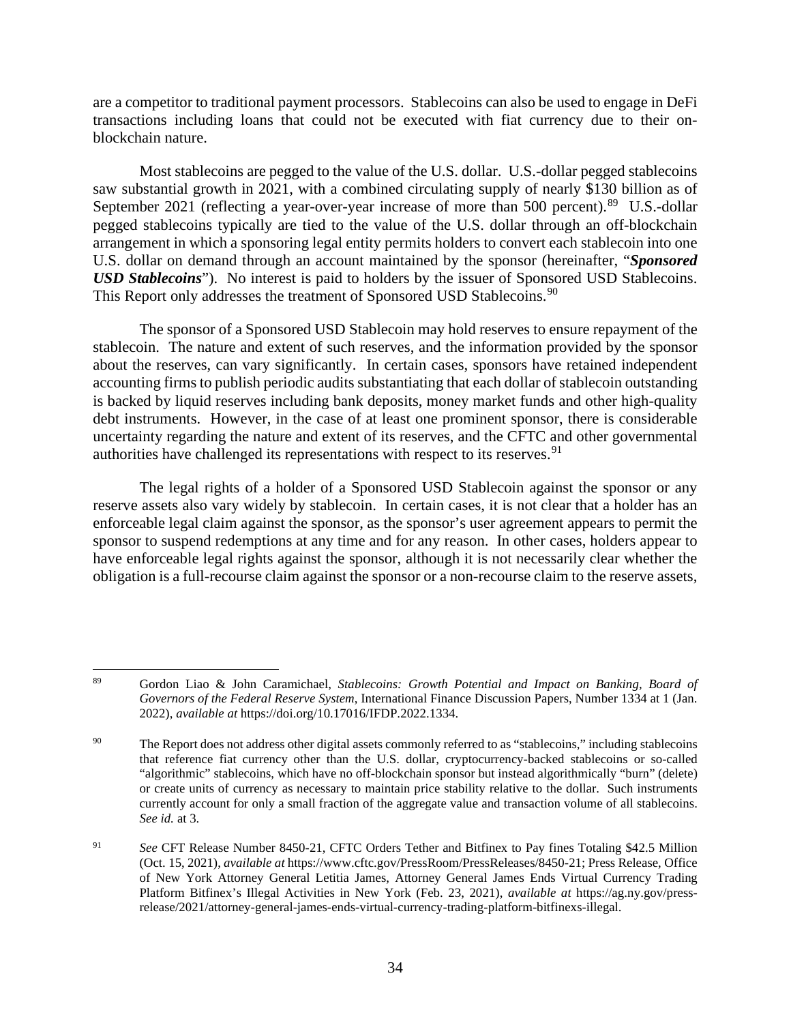are a competitor to traditional payment processors. Stablecoins can also be used to engage in DeFi transactions including loans that could not be executed with fiat currency due to their onblockchain nature.

Most stablecoins are pegged to the value of the U.S. dollar. U.S.-dollar pegged stablecoins saw substantial growth in 2021, with a combined circulating supply of nearly \$130 billion as of September 2021 (reflecting a year-over-year increase of more than 500 percent).<sup>89</sup> U.S.-dollar pegged stablecoins typically are tied to the value of the U.S. dollar through an off-blockchain arrangement in which a sponsoring legal entity permits holders to convert each stablecoin into one U.S. dollar on demand through an account maintained by the sponsor (hereinafter, "*Sponsored USD Stablecoins*"). No interest is paid to holders by the issuer of Sponsored USD Stablecoins. This Report only addresses the treatment of Sponsored USD Stablecoins.<sup>[90](#page-39-1)</sup>

The sponsor of a Sponsored USD Stablecoin may hold reserves to ensure repayment of the stablecoin. The nature and extent of such reserves, and the information provided by the sponsor about the reserves, can vary significantly. In certain cases, sponsors have retained independent accounting firms to publish periodic audits substantiating that each dollar of stablecoin outstanding is backed by liquid reserves including bank deposits, money market funds and other high-quality debt instruments. However, in the case of at least one prominent sponsor, there is considerable uncertainty regarding the nature and extent of its reserves, and the CFTC and other governmental authorities have challenged its representations with respect to its reserves.  $91$ 

The legal rights of a holder of a Sponsored USD Stablecoin against the sponsor or any reserve assets also vary widely by stablecoin. In certain cases, it is not clear that a holder has an enforceable legal claim against the sponsor, as the sponsor's user agreement appears to permit the sponsor to suspend redemptions at any time and for any reason. In other cases, holders appear to have enforceable legal rights against the sponsor, although it is not necessarily clear whether the obligation is a full-recourse claim against the sponsor or a non-recourse claim to the reserve assets,

<span id="page-39-0"></span><sup>89</sup> Gordon Liao & John Caramichael, *Stablecoins: Growth Potential and Impact on Banking, Board of Governors of the Federal Reserve System*, International Finance Discussion Papers, Number 1334 at 1 (Jan. 2022), *available at* https://doi.org/10.17016/IFDP.2022.1334.

<span id="page-39-1"></span><sup>&</sup>lt;sup>90</sup> The Report does not address other digital assets commonly referred to as "stablecoins," including stablecoins that reference fiat currency other than the U.S. dollar, cryptocurrency-backed stablecoins or so-called "algorithmic" stablecoins, which have no off-blockchain sponsor but instead algorithmically "burn" (delete) or create units of currency as necessary to maintain price stability relative to the dollar. Such instruments currently account for only a small fraction of the aggregate value and transaction volume of all stablecoins. *See id.* at 3.

<span id="page-39-2"></span><sup>91</sup> *See* CFT Release Number 8450-21, CFTC Orders Tether and Bitfinex to Pay fines Totaling \$42.5 Million (Oct. 15, 2021), *available at* https://www.cftc.gov/PressRoom/PressReleases/8450-21; Press Release, Office of New York Attorney General Letitia James, Attorney General James Ends Virtual Currency Trading Platform Bitfinex's Illegal Activities in New York (Feb. 23, 2021), *available at* https://ag.ny.gov/pressrelease/2021/attorney-general-james-ends-virtual-currency-trading-platform-bitfinexs-illegal.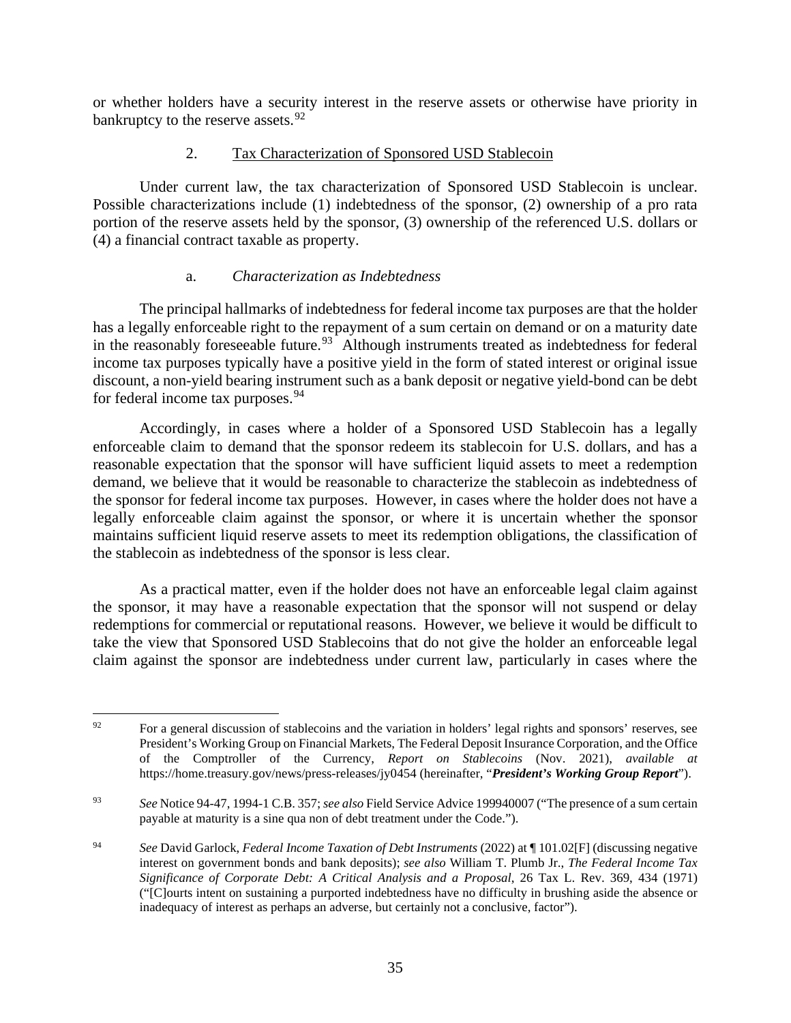or whether holders have a security interest in the reserve assets or otherwise have priority in bankruptcy to the reserve assets.<sup>[92](#page-40-1)</sup>

#### 2. Tax Characterization of Sponsored USD Stablecoin

<span id="page-40-0"></span>Under current law, the tax characterization of Sponsored USD Stablecoin is unclear. Possible characterizations include (1) indebtedness of the sponsor, (2) ownership of a pro rata portion of the reserve assets held by the sponsor, (3) ownership of the referenced U.S. dollars or (4) a financial contract taxable as property.

### a. *Characterization as Indebtedness*

The principal hallmarks of indebtedness for federal income tax purposes are that the holder has a legally enforceable right to the repayment of a sum certain on demand or on a maturity date in the reasonably foreseeable future.<sup>93</sup> Although instruments treated as indebtedness for federal income tax purposes typically have a positive yield in the form of stated interest or original issue discount, a non-yield bearing instrument such as a bank deposit or negative yield-bond can be debt for federal income tax purposes.<sup>[94](#page-40-3)</sup>

Accordingly, in cases where a holder of a Sponsored USD Stablecoin has a legally enforceable claim to demand that the sponsor redeem its stablecoin for U.S. dollars, and has a reasonable expectation that the sponsor will have sufficient liquid assets to meet a redemption demand, we believe that it would be reasonable to characterize the stablecoin as indebtedness of the sponsor for federal income tax purposes. However, in cases where the holder does not have a legally enforceable claim against the sponsor, or where it is uncertain whether the sponsor maintains sufficient liquid reserve assets to meet its redemption obligations, the classification of the stablecoin as indebtedness of the sponsor is less clear.

As a practical matter, even if the holder does not have an enforceable legal claim against the sponsor, it may have a reasonable expectation that the sponsor will not suspend or delay redemptions for commercial or reputational reasons. However, we believe it would be difficult to take the view that Sponsored USD Stablecoins that do not give the holder an enforceable legal claim against the sponsor are indebtedness under current law, particularly in cases where the

<span id="page-40-1"></span> $92$  For a general discussion of stablecoins and the variation in holders' legal rights and sponsors' reserves, see President's Working Group on Financial Markets, The Federal Deposit Insurance Corporation, and the Office of the Comptroller of the Currency, *Report on Stablecoins* (Nov. 2021), *available at* https://home.treasury.gov/news/press-releases/jy0454 (hereinafter, "*President's Working Group Report*").

<span id="page-40-2"></span><sup>93</sup> *See* Notice 94-47, 1994-1 C.B. 357; *see also* Field Service Advice 199940007 ("The presence of a sum certain payable at maturity is a sine qua non of debt treatment under the Code.").

<span id="page-40-3"></span><sup>94</sup> *See* David Garlock, *Federal Income Taxation of Debt Instruments* (2022) at ¶ 101.02[F] (discussing negative interest on government bonds and bank deposits); *see also* William T. Plumb Jr., *The Federal Income Tax Significance of Corporate Debt: A Critical Analysis and a Proposal*, 26 Tax L. Rev. 369, 434 (1971) ("[C]ourts intent on sustaining a purported indebtedness have no difficulty in brushing aside the absence or inadequacy of interest as perhaps an adverse, but certainly not a conclusive, factor").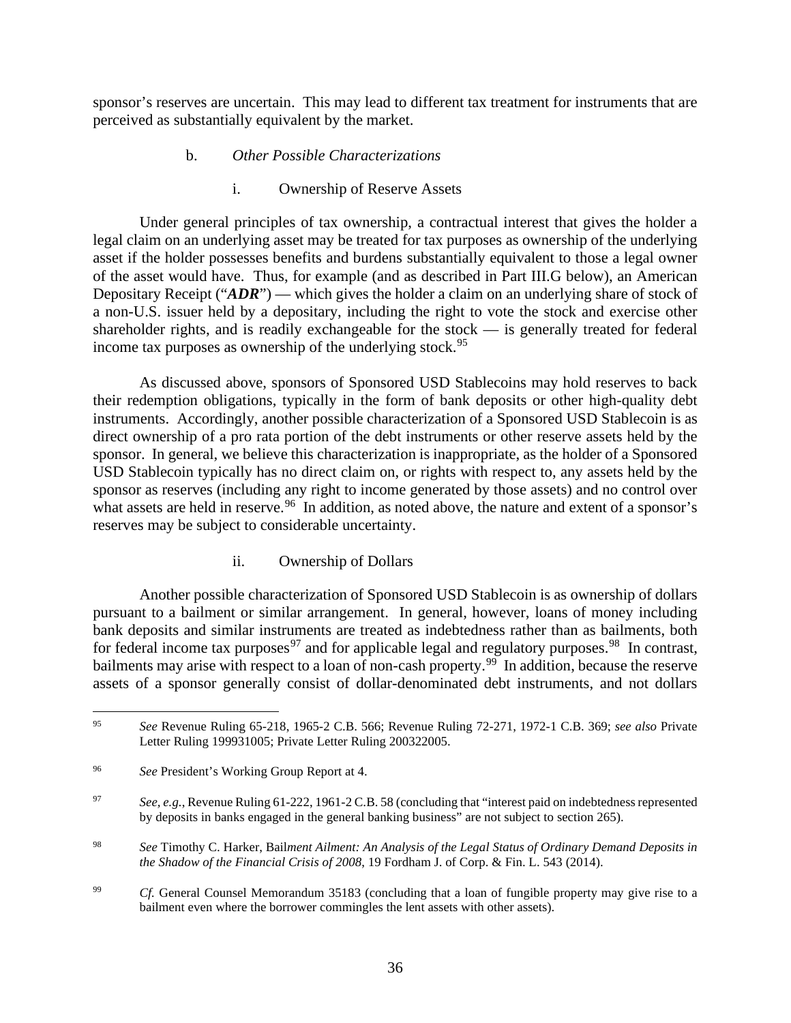sponsor's reserves are uncertain. This may lead to different tax treatment for instruments that are perceived as substantially equivalent by the market.

#### b. *Other Possible Characterizations*

#### i. Ownership of Reserve Assets

Under general principles of tax ownership, a contractual interest that gives the holder a legal claim on an underlying asset may be treated for tax purposes as ownership of the underlying asset if the holder possesses benefits and burdens substantially equivalent to those a legal owner of the asset would have. Thus, for example (and as described in Part III.G below), an American Depositary Receipt ("*ADR*") — which gives the holder a claim on an underlying share of stock of a non-U.S. issuer held by a depositary, including the right to vote the stock and exercise other shareholder rights, and is readily exchangeable for the stock — is generally treated for federal income tax purposes as ownership of the underlying stock.<sup>[95](#page-41-0)</sup>

As discussed above, sponsors of Sponsored USD Stablecoins may hold reserves to back their redemption obligations, typically in the form of bank deposits or other high-quality debt instruments. Accordingly, another possible characterization of a Sponsored USD Stablecoin is as direct ownership of a pro rata portion of the debt instruments or other reserve assets held by the sponsor. In general, we believe this characterization is inappropriate, as the holder of a Sponsored USD Stablecoin typically has no direct claim on, or rights with respect to, any assets held by the sponsor as reserves (including any right to income generated by those assets) and no control over what assets are held in reserve.<sup>96</sup> In addition, as noted above, the nature and extent of a sponsor's reserves may be subject to considerable uncertainty.

#### ii. Ownership of Dollars

Another possible characterization of Sponsored USD Stablecoin is as ownership of dollars pursuant to a bailment or similar arrangement. In general, however, loans of money including bank deposits and similar instruments are treated as indebtedness rather than as bailments, both for federal income tax purposes<sup>[97](#page-41-2)</sup> and for applicable legal and regulatory purposes.<sup>98</sup> In contrast, bailments may arise with respect to a loan of non-cash property.<sup>99</sup> In addition, because the reserve assets of a sponsor generally consist of dollar-denominated debt instruments, and not dollars

<span id="page-41-0"></span><sup>95</sup> *See* Revenue Ruling 65-218, 1965-2 C.B. 566; Revenue Ruling 72-271, 1972-1 C.B. 369; *see also* Private Letter Ruling 199931005; Private Letter Ruling 200322005.

<span id="page-41-1"></span><sup>96</sup> *See* President's Working Group Report at 4.

<span id="page-41-2"></span><sup>97</sup> *See, e.g.*, Revenue Ruling 61-222, 1961-2 C.B. 58 (concluding that "interest paid on indebtedness represented by deposits in banks engaged in the general banking business" are not subject to section 265).

<span id="page-41-3"></span><sup>98</sup> *See* Timothy C. Harker, Bail*ment Ailment: An Analysis of the Legal Status of Ordinary Demand Deposits in the Shadow of the Financial Crisis of 2008*, 19 Fordham J. of Corp. & Fin. L. 543 (2014).

<span id="page-41-4"></span><sup>&</sup>lt;sup>99</sup> *Cf.* General Counsel Memorandum 35183 (concluding that a loan of fungible property may give rise to a bailment even where the borrower commingles the lent assets with other assets).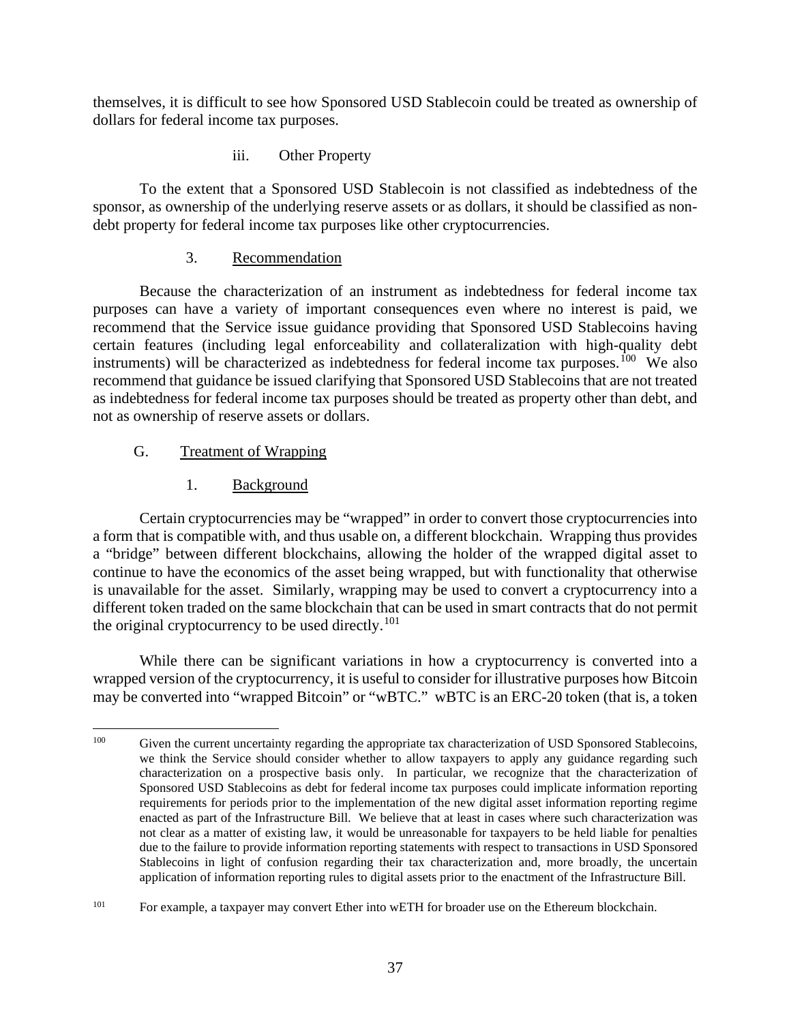themselves, it is difficult to see how Sponsored USD Stablecoin could be treated as ownership of dollars for federal income tax purposes.

iii. Other Property

To the extent that a Sponsored USD Stablecoin is not classified as indebtedness of the sponsor, as ownership of the underlying reserve assets or as dollars, it should be classified as nondebt property for federal income tax purposes like other cryptocurrencies.

#### 3. Recommendation

<span id="page-42-0"></span>Because the characterization of an instrument as indebtedness for federal income tax purposes can have a variety of important consequences even where no interest is paid, we recommend that the Service issue guidance providing that Sponsored USD Stablecoins having certain features (including legal enforceability and collateralization with high-quality debt instruments) will be characterized as indebtedness for federal income tax purposes.<sup>100</sup> We also recommend that guidance be issued clarifying that Sponsored USD Stablecoins that are not treated as indebtedness for federal income tax purposes should be treated as property other than debt, and not as ownership of reserve assets or dollars.

# <span id="page-42-1"></span>G. Treatment of Wrapping

1. Background

<span id="page-42-2"></span>Certain cryptocurrencies may be "wrapped" in order to convert those cryptocurrencies into a form that is compatible with, and thus usable on, a different blockchain. Wrapping thus provides a "bridge" between different blockchains, allowing the holder of the wrapped digital asset to continue to have the economics of the asset being wrapped, but with functionality that otherwise is unavailable for the asset. Similarly, wrapping may be used to convert a cryptocurrency into a different token traded on the same blockchain that can be used in smart contracts that do not permit the original cryptocurrency to be used directly.<sup>[101](#page-42-4)</sup>

While there can be significant variations in how a cryptocurrency is converted into a wrapped version of the cryptocurrency, it is useful to consider for illustrative purposes how Bitcoin may be converted into "wrapped Bitcoin" or "wBTC." wBTC is an ERC-20 token (that is, a token

<span id="page-42-3"></span><sup>&</sup>lt;sup>100</sup> Given the current uncertainty regarding the appropriate tax characterization of USD Sponsored Stablecoins, we think the Service should consider whether to allow taxpayers to apply any guidance regarding such characterization on a prospective basis only. In particular, we recognize that the characterization of Sponsored USD Stablecoins as debt for federal income tax purposes could implicate information reporting requirements for periods prior to the implementation of the new digital asset information reporting regime enacted as part of the Infrastructure Bill. We believe that at least in cases where such characterization was not clear as a matter of existing law, it would be unreasonable for taxpayers to be held liable for penalties due to the failure to provide information reporting statements with respect to transactions in USD Sponsored Stablecoins in light of confusion regarding their tax characterization and, more broadly, the uncertain application of information reporting rules to digital assets prior to the enactment of the Infrastructure Bill.

<span id="page-42-4"></span><sup>&</sup>lt;sup>101</sup> For example, a taxpayer may convert Ether into wETH for broader use on the Ethereum blockchain.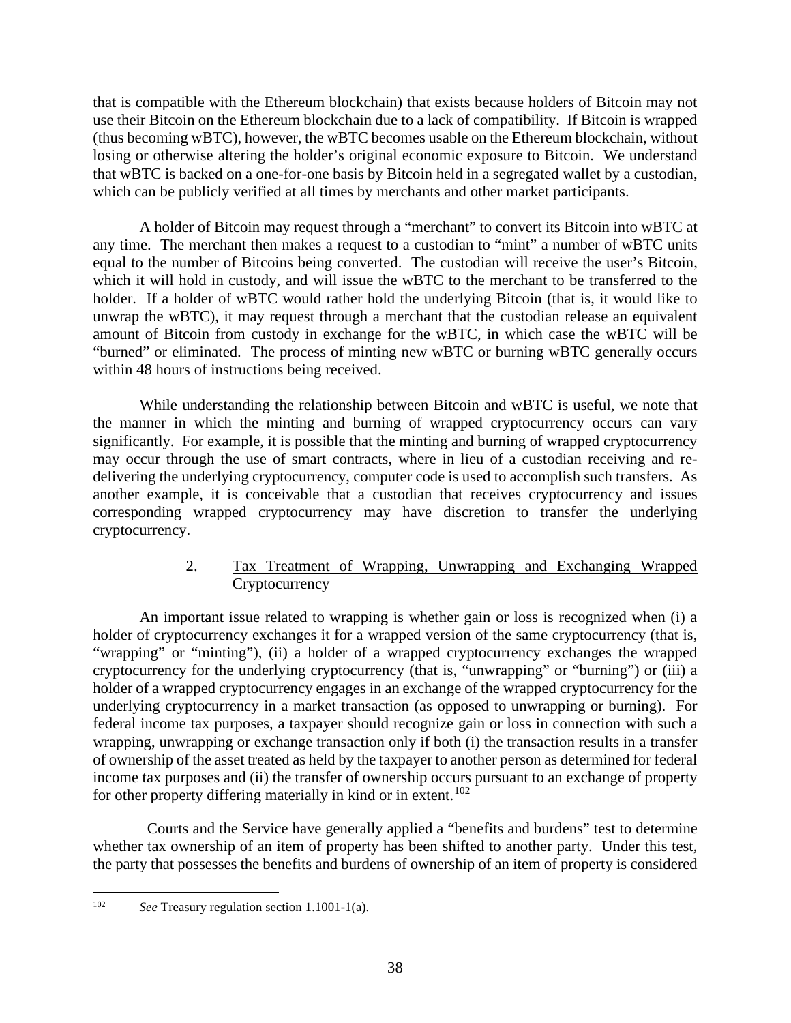that is compatible with the Ethereum blockchain) that exists because holders of Bitcoin may not use their Bitcoin on the Ethereum blockchain due to a lack of compatibility. If Bitcoin is wrapped (thus becoming wBTC), however, the wBTC becomes usable on the Ethereum blockchain, without losing or otherwise altering the holder's original economic exposure to Bitcoin. We understand that wBTC is backed on a one-for-one basis by Bitcoin held in a segregated wallet by a custodian, which can be publicly verified at all times by merchants and other market participants.

A holder of Bitcoin may request through a "merchant" to convert its Bitcoin into wBTC at any time. The merchant then makes a request to a custodian to "mint" a number of wBTC units equal to the number of Bitcoins being converted. The custodian will receive the user's Bitcoin, which it will hold in custody, and will issue the wBTC to the merchant to be transferred to the holder. If a holder of wBTC would rather hold the underlying Bitcoin (that is, it would like to unwrap the wBTC), it may request through a merchant that the custodian release an equivalent amount of Bitcoin from custody in exchange for the wBTC, in which case the wBTC will be "burned" or eliminated. The process of minting new wBTC or burning wBTC generally occurs within 48 hours of instructions being received.

While understanding the relationship between Bitcoin and wBTC is useful, we note that the manner in which the minting and burning of wrapped cryptocurrency occurs can vary significantly. For example, it is possible that the minting and burning of wrapped cryptocurrency may occur through the use of smart contracts, where in lieu of a custodian receiving and redelivering the underlying cryptocurrency, computer code is used to accomplish such transfers. As another example, it is conceivable that a custodian that receives cryptocurrency and issues corresponding wrapped cryptocurrency may have discretion to transfer the underlying cryptocurrency.

# 2. Tax Treatment of Wrapping, Unwrapping and Exchanging Wrapped **Cryptocurrency**

<span id="page-43-0"></span>An important issue related to wrapping is whether gain or loss is recognized when (i) a holder of cryptocurrency exchanges it for a wrapped version of the same cryptocurrency (that is, "wrapping" or "minting"), (ii) a holder of a wrapped cryptocurrency exchanges the wrapped cryptocurrency for the underlying cryptocurrency (that is, "unwrapping" or "burning") or (iii) a holder of a wrapped cryptocurrency engages in an exchange of the wrapped cryptocurrency for the underlying cryptocurrency in a market transaction (as opposed to unwrapping or burning). For federal income tax purposes, a taxpayer should recognize gain or loss in connection with such a wrapping, unwrapping or exchange transaction only if both (i) the transaction results in a transfer of ownership of the asset treated as held by the taxpayer to another person as determined for federal income tax purposes and (ii) the transfer of ownership occurs pursuant to an exchange of property for other property differing materially in kind or in extent.<sup>[102](#page-43-1)</sup>

 Courts and the Service have generally applied a "benefits and burdens" test to determine whether tax ownership of an item of property has been shifted to another party. Under this test, the party that possesses the benefits and burdens of ownership of an item of property is considered

<span id="page-43-1"></span><sup>102</sup> *See* Treasury regulation section 1.1001-1(a).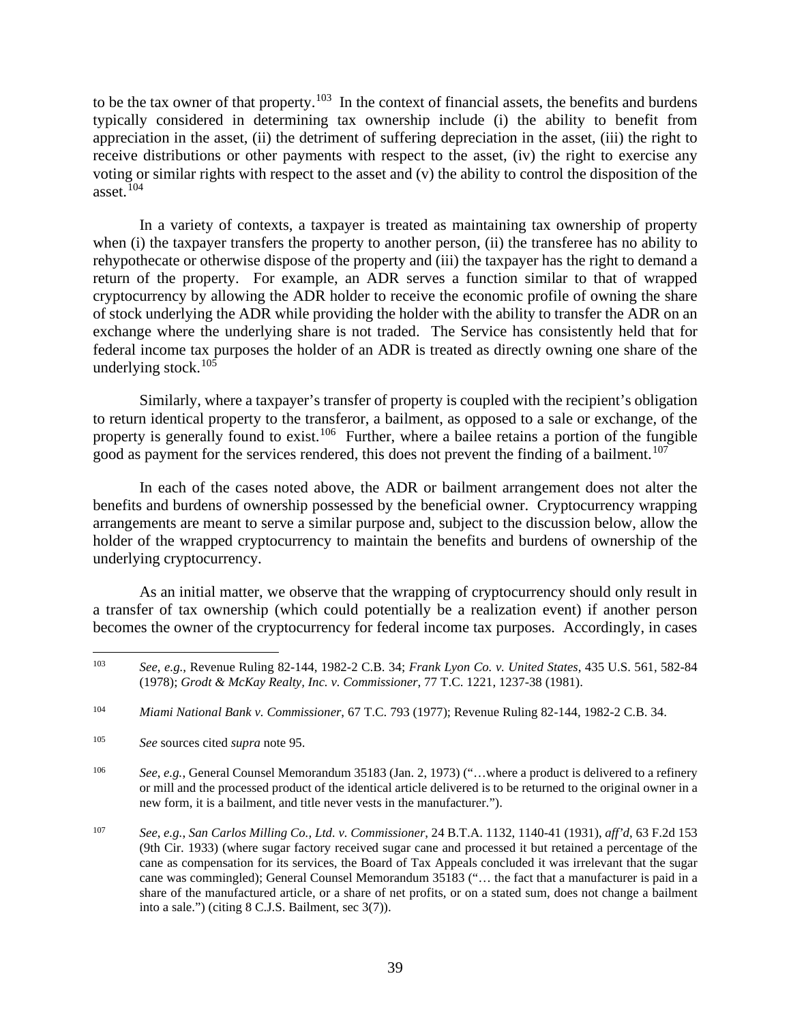to be the tax owner of that property.<sup>103</sup> In the context of financial assets, the benefits and burdens typically considered in determining tax ownership include (i) the ability to benefit from appreciation in the asset, (ii) the detriment of suffering depreciation in the asset, (iii) the right to receive distributions or other payments with respect to the asset, (iv) the right to exercise any voting or similar rights with respect to the asset and (v) the ability to control the disposition of the asset. $104$ 

In a variety of contexts, a taxpayer is treated as maintaining tax ownership of property when (i) the taxpayer transfers the property to another person, (ii) the transferee has no ability to rehypothecate or otherwise dispose of the property and (iii) the taxpayer has the right to demand a return of the property. For example, an ADR serves a function similar to that of wrapped cryptocurrency by allowing the ADR holder to receive the economic profile of owning the share of stock underlying the ADR while providing the holder with the ability to transfer the ADR on an exchange where the underlying share is not traded. The Service has consistently held that for federal income tax purposes the holder of an ADR is treated as directly owning one share of the underlying stock. $105$ 

Similarly, where a taxpayer's transfer of property is coupled with the recipient's obligation to return identical property to the transferor, a bailment, as opposed to a sale or exchange, of the property is generally found to exist.<sup>[106](#page-44-3)</sup> Further, where a bailee retains a portion of the fungible good as payment for the services rendered, this does not prevent the finding of a bailment.<sup>107</sup>

In each of the cases noted above, the ADR or bailment arrangement does not alter the benefits and burdens of ownership possessed by the beneficial owner. Cryptocurrency wrapping arrangements are meant to serve a similar purpose and, subject to the discussion below, allow the holder of the wrapped cryptocurrency to maintain the benefits and burdens of ownership of the underlying cryptocurrency.

As an initial matter, we observe that the wrapping of cryptocurrency should only result in a transfer of tax ownership (which could potentially be a realization event) if another person becomes the owner of the cryptocurrency for federal income tax purposes. Accordingly, in cases

<span id="page-44-0"></span><sup>103</sup> *See*, *e.g.*, Revenue Ruling 82-144, 1982-2 C.B. 34; *Frank Lyon Co. v. United States*, 435 U.S. 561, 582-84 (1978); *Grodt & McKay Realty, Inc. v. Commissioner*, 77 T.C. 1221, 1237-38 (1981).

<span id="page-44-1"></span><sup>104</sup> *Miami National Bank v. Commissioner*, 67 T.C. 793 (1977); Revenue Ruling 82-144, 1982-2 C.B. 34.

<span id="page-44-2"></span><sup>105</sup> *See* sources cited *supra* note 95.

<span id="page-44-3"></span><sup>106</sup> *See*, *e.g.*, General Counsel Memorandum 35183 (Jan. 2, 1973) ("…where a product is delivered to a refinery or mill and the processed product of the identical article delivered is to be returned to the original owner in a new form, it is a bailment, and title never vests in the manufacturer.").

<span id="page-44-4"></span><sup>107</sup> *See*, *e.g.*, *San Carlos Milling Co., Ltd. v. Commissioner*, 24 B.T.A. 1132, 1140-41 (1931), *aff'd*, 63 F.2d 153 (9th Cir. 1933) (where sugar factory received sugar cane and processed it but retained a percentage of the cane as compensation for its services, the Board of Tax Appeals concluded it was irrelevant that the sugar cane was commingled); General Counsel Memorandum 35183 ("… the fact that a manufacturer is paid in a share of the manufactured article, or a share of net profits, or on a stated sum, does not change a bailment into a sale.") (citing 8 C.J.S. Bailment, sec 3(7)).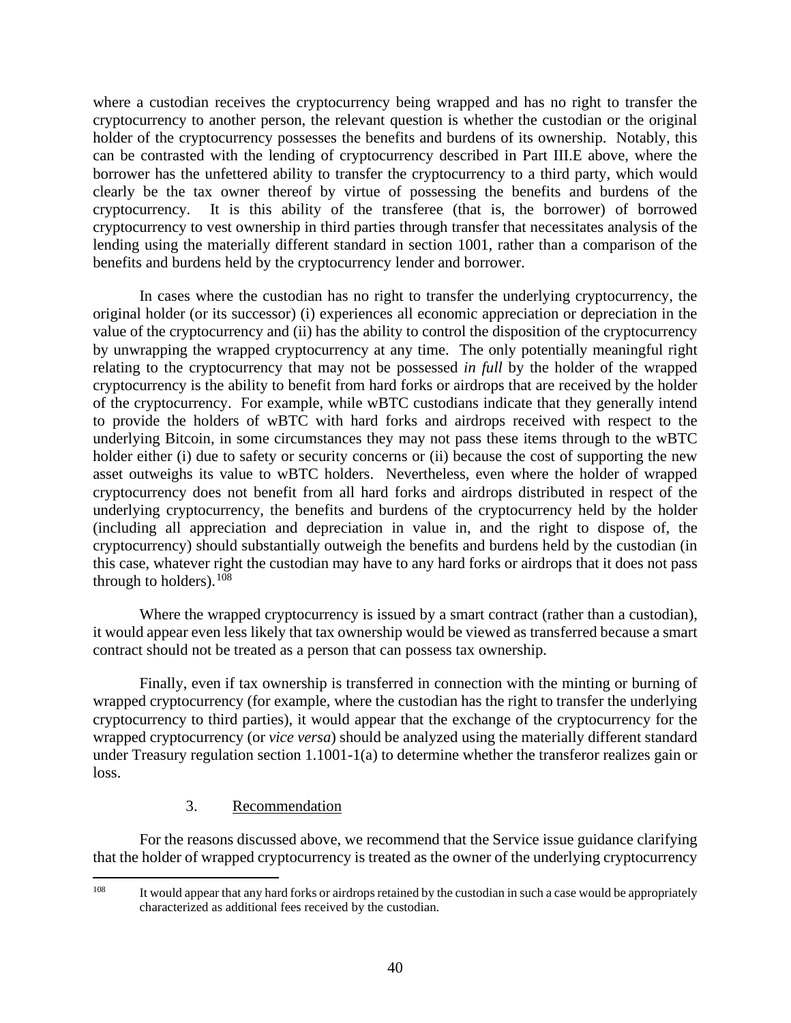where a custodian receives the cryptocurrency being wrapped and has no right to transfer the cryptocurrency to another person, the relevant question is whether the custodian or the original holder of the cryptocurrency possesses the benefits and burdens of its ownership. Notably, this can be contrasted with the lending of cryptocurrency described in Part III.E above, where the borrower has the unfettered ability to transfer the cryptocurrency to a third party, which would clearly be the tax owner thereof by virtue of possessing the benefits and burdens of the cryptocurrency. It is this ability of the transferee (that is, the borrower) of borrowed cryptocurrency to vest ownership in third parties through transfer that necessitates analysis of the lending using the materially different standard in section 1001, rather than a comparison of the benefits and burdens held by the cryptocurrency lender and borrower.

In cases where the custodian has no right to transfer the underlying cryptocurrency, the original holder (or its successor) (i) experiences all economic appreciation or depreciation in the value of the cryptocurrency and (ii) has the ability to control the disposition of the cryptocurrency by unwrapping the wrapped cryptocurrency at any time. The only potentially meaningful right relating to the cryptocurrency that may not be possessed *in full* by the holder of the wrapped cryptocurrency is the ability to benefit from hard forks or airdrops that are received by the holder of the cryptocurrency. For example, while wBTC custodians indicate that they generally intend to provide the holders of wBTC with hard forks and airdrops received with respect to the underlying Bitcoin, in some circumstances they may not pass these items through to the wBTC holder either (i) due to safety or security concerns or (ii) because the cost of supporting the new asset outweighs its value to wBTC holders. Nevertheless, even where the holder of wrapped cryptocurrency does not benefit from all hard forks and airdrops distributed in respect of the underlying cryptocurrency, the benefits and burdens of the cryptocurrency held by the holder (including all appreciation and depreciation in value in, and the right to dispose of, the cryptocurrency) should substantially outweigh the benefits and burdens held by the custodian (in this case, whatever right the custodian may have to any hard forks or airdrops that it does not pass through to holders).  $108$ 

Where the wrapped cryptocurrency is issued by a smart contract (rather than a custodian), it would appear even less likely that tax ownership would be viewed as transferred because a smart contract should not be treated as a person that can possess tax ownership.

Finally, even if tax ownership is transferred in connection with the minting or burning of wrapped cryptocurrency (for example, where the custodian has the right to transfer the underlying cryptocurrency to third parties), it would appear that the exchange of the cryptocurrency for the wrapped cryptocurrency (or *vice versa*) should be analyzed using the materially different standard under Treasury regulation section 1.1001-1(a) to determine whether the transferor realizes gain or loss.

# 3. Recommendation

<span id="page-45-0"></span>For the reasons discussed above, we recommend that the Service issue guidance clarifying that the holder of wrapped cryptocurrency is treated as the owner of the underlying cryptocurrency

<span id="page-45-1"></span><sup>&</sup>lt;sup>108</sup> It would appear that any hard forks or airdrops retained by the custodian in such a case would be appropriately characterized as additional fees received by the custodian.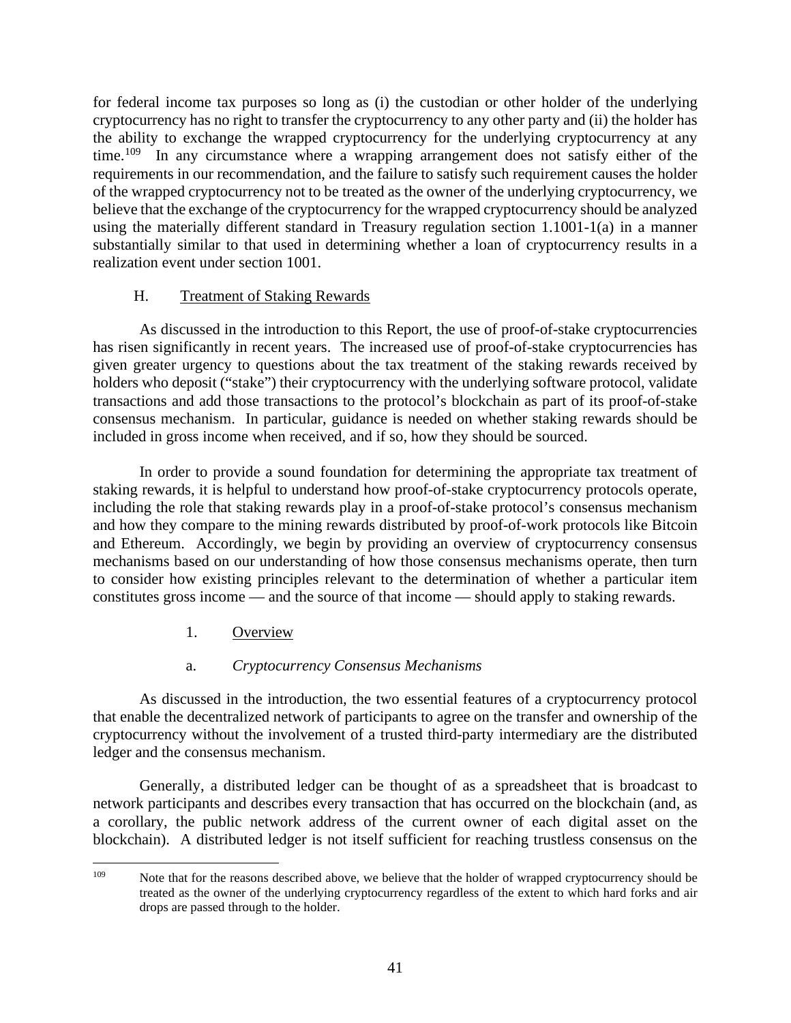for federal income tax purposes so long as (i) the custodian or other holder of the underlying cryptocurrency has no right to transfer the cryptocurrency to any other party and (ii) the holder has the ability to exchange the wrapped cryptocurrency for the underlying cryptocurrency at any time.<sup>[109](#page-46-2)</sup> In any circumstance where a wrapping arrangement does not satisfy either of the requirements in our recommendation, and the failure to satisfy such requirement causes the holder of the wrapped cryptocurrency not to be treated as the owner of the underlying cryptocurrency, we believe that the exchange of the cryptocurrency for the wrapped cryptocurrency should be analyzed using the materially different standard in Treasury regulation section 1.1001-1(a) in a manner substantially similar to that used in determining whether a loan of cryptocurrency results in a realization event under section 1001.

### H. Treatment of Staking Rewards

<span id="page-46-0"></span>As discussed in the introduction to this Report, the use of proof-of-stake cryptocurrencies has risen significantly in recent years. The increased use of proof-of-stake cryptocurrencies has given greater urgency to questions about the tax treatment of the staking rewards received by holders who deposit ("stake") their cryptocurrency with the underlying software protocol, validate transactions and add those transactions to the protocol's blockchain as part of its proof-of-stake consensus mechanism. In particular, guidance is needed on whether staking rewards should be included in gross income when received, and if so, how they should be sourced.

In order to provide a sound foundation for determining the appropriate tax treatment of staking rewards, it is helpful to understand how proof-of-stake cryptocurrency protocols operate, including the role that staking rewards play in a proof-of-stake protocol's consensus mechanism and how they compare to the mining rewards distributed by proof-of-work protocols like Bitcoin and Ethereum. Accordingly, we begin by providing an overview of cryptocurrency consensus mechanisms based on our understanding of how those consensus mechanisms operate, then turn to consider how existing principles relevant to the determination of whether a particular item constitutes gross income — and the source of that income — should apply to staking rewards.

1. Overview

# a. *Cryptocurrency Consensus Mechanisms*

<span id="page-46-1"></span>As discussed in the introduction, the two essential features of a cryptocurrency protocol that enable the decentralized network of participants to agree on the transfer and ownership of the cryptocurrency without the involvement of a trusted third-party intermediary are the distributed ledger and the consensus mechanism.

Generally, a distributed ledger can be thought of as a spreadsheet that is broadcast to network participants and describes every transaction that has occurred on the blockchain (and, as a corollary, the public network address of the current owner of each digital asset on the blockchain). A distributed ledger is not itself sufficient for reaching trustless consensus on the

<span id="page-46-2"></span><sup>&</sup>lt;sup>109</sup> Note that for the reasons described above, we believe that the holder of wrapped cryptocurrency should be treated as the owner of the underlying cryptocurrency regardless of the extent to which hard forks and air drops are passed through to the holder.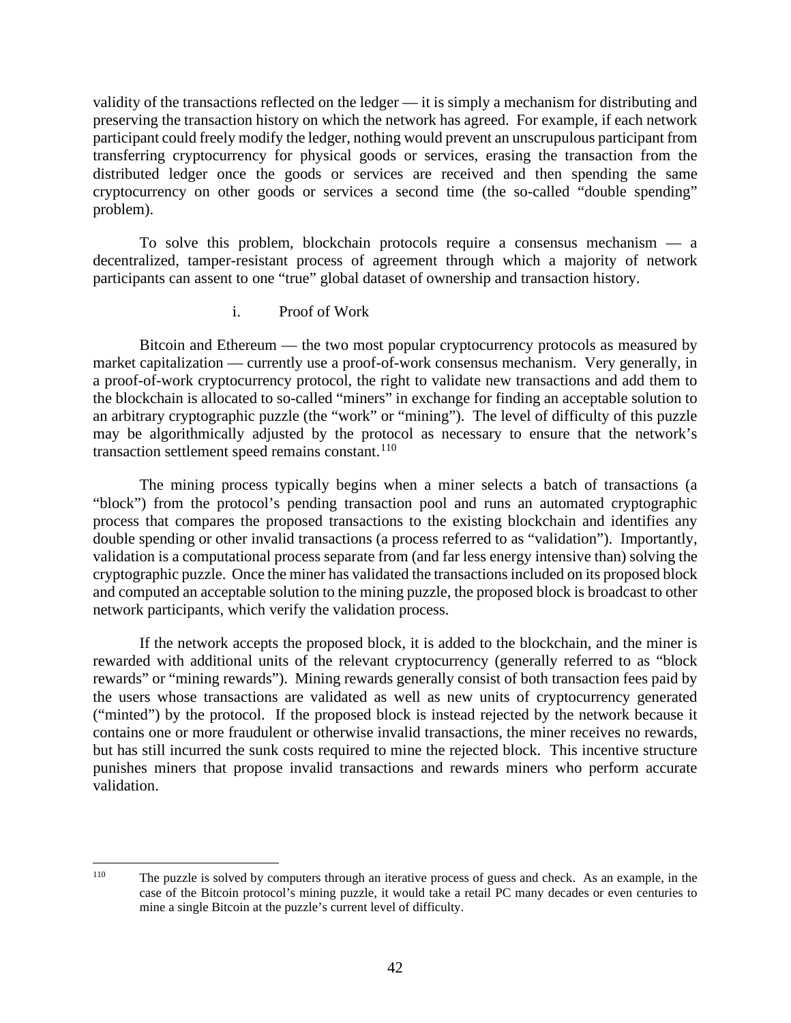validity of the transactions reflected on the ledger — it is simply a mechanism for distributing and preserving the transaction history on which the network has agreed. For example, if each network participant could freely modify the ledger, nothing would prevent an unscrupulous participant from transferring cryptocurrency for physical goods or services, erasing the transaction from the distributed ledger once the goods or services are received and then spending the same cryptocurrency on other goods or services a second time (the so-called "double spending" problem).

To solve this problem, blockchain protocols require a consensus mechanism — a decentralized, tamper-resistant process of agreement through which a majority of network participants can assent to one "true" global dataset of ownership and transaction history.

#### i. Proof of Work

Bitcoin and Ethereum — the two most popular cryptocurrency protocols as measured by market capitalization — currently use a proof-of-work consensus mechanism. Very generally, in a proof-of-work cryptocurrency protocol, the right to validate new transactions and add them to the blockchain is allocated to so-called "miners" in exchange for finding an acceptable solution to an arbitrary cryptographic puzzle (the "work" or "mining"). The level of difficulty of this puzzle may be algorithmically adjusted by the protocol as necessary to ensure that the network's transaction settlement speed remains constant. $110$ 

The mining process typically begins when a miner selects a batch of transactions (a "block") from the protocol's pending transaction pool and runs an automated cryptographic process that compares the proposed transactions to the existing blockchain and identifies any double spending or other invalid transactions (a process referred to as "validation"). Importantly, validation is a computational process separate from (and far less energy intensive than) solving the cryptographic puzzle. Once the miner has validated the transactions included on its proposed block and computed an acceptable solution to the mining puzzle, the proposed block is broadcast to other network participants, which verify the validation process.

If the network accepts the proposed block, it is added to the blockchain, and the miner is rewarded with additional units of the relevant cryptocurrency (generally referred to as "block rewards" or "mining rewards"). Mining rewards generally consist of both transaction fees paid by the users whose transactions are validated as well as new units of cryptocurrency generated ("minted") by the protocol. If the proposed block is instead rejected by the network because it contains one or more fraudulent or otherwise invalid transactions, the miner receives no rewards, but has still incurred the sunk costs required to mine the rejected block. This incentive structure punishes miners that propose invalid transactions and rewards miners who perform accurate validation.

<span id="page-47-0"></span><sup>110</sup> The puzzle is solved by computers through an iterative process of guess and check. As an example, in the case of the Bitcoin protocol's mining puzzle, it would take a retail PC many decades or even centuries to mine a single Bitcoin at the puzzle's current level of difficulty.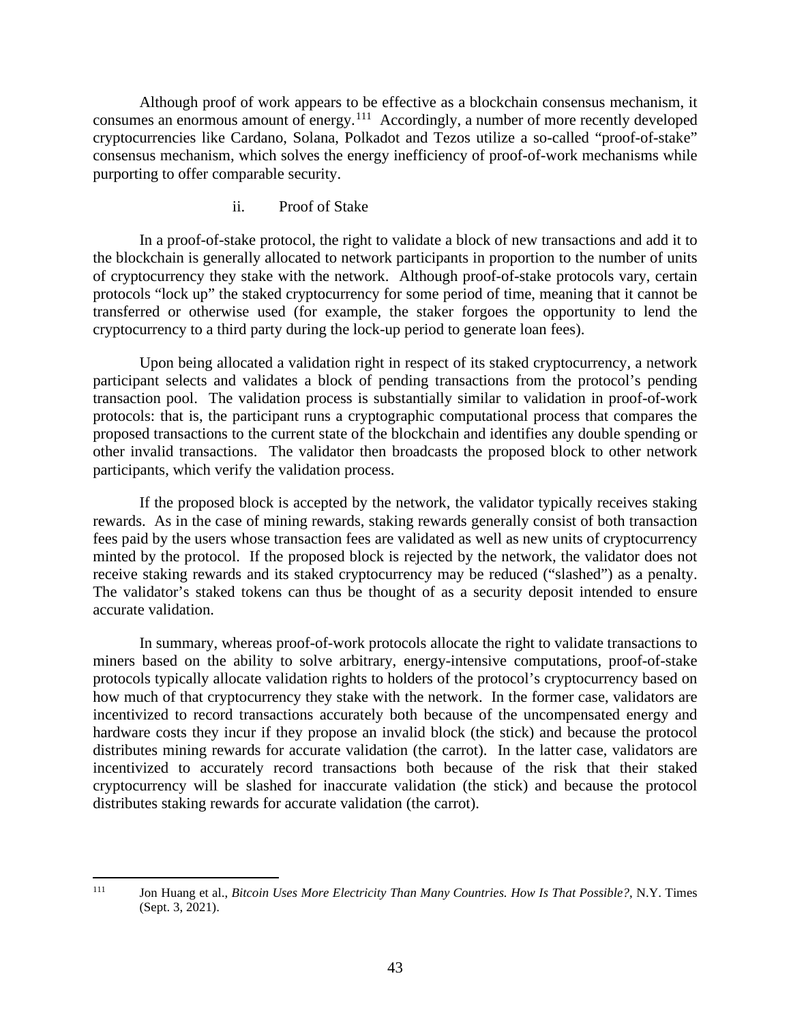Although proof of work appears to be effective as a blockchain consensus mechanism, it consumes an enormous amount of energy.<sup>111</sup> Accordingly, a number of more recently developed cryptocurrencies like Cardano, Solana, Polkadot and Tezos utilize a so-called "proof-of-stake" consensus mechanism, which solves the energy inefficiency of proof-of-work mechanisms while purporting to offer comparable security.

#### ii. Proof of Stake

In a proof-of-stake protocol, the right to validate a block of new transactions and add it to the blockchain is generally allocated to network participants in proportion to the number of units of cryptocurrency they stake with the network. Although proof-of-stake protocols vary, certain protocols "lock up" the staked cryptocurrency for some period of time, meaning that it cannot be transferred or otherwise used (for example, the staker forgoes the opportunity to lend the cryptocurrency to a third party during the lock-up period to generate loan fees).

Upon being allocated a validation right in respect of its staked cryptocurrency, a network participant selects and validates a block of pending transactions from the protocol's pending transaction pool. The validation process is substantially similar to validation in proof-of-work protocols: that is, the participant runs a cryptographic computational process that compares the proposed transactions to the current state of the blockchain and identifies any double spending or other invalid transactions. The validator then broadcasts the proposed block to other network participants, which verify the validation process.

If the proposed block is accepted by the network, the validator typically receives staking rewards. As in the case of mining rewards, staking rewards generally consist of both transaction fees paid by the users whose transaction fees are validated as well as new units of cryptocurrency minted by the protocol. If the proposed block is rejected by the network, the validator does not receive staking rewards and its staked cryptocurrency may be reduced ("slashed") as a penalty. The validator's staked tokens can thus be thought of as a security deposit intended to ensure accurate validation.

In summary, whereas proof-of-work protocols allocate the right to validate transactions to miners based on the ability to solve arbitrary, energy-intensive computations, proof-of-stake protocols typically allocate validation rights to holders of the protocol's cryptocurrency based on how much of that cryptocurrency they stake with the network. In the former case, validators are incentivized to record transactions accurately both because of the uncompensated energy and hardware costs they incur if they propose an invalid block (the stick) and because the protocol distributes mining rewards for accurate validation (the carrot). In the latter case, validators are incentivized to accurately record transactions both because of the risk that their staked cryptocurrency will be slashed for inaccurate validation (the stick) and because the protocol distributes staking rewards for accurate validation (the carrot).

<span id="page-48-0"></span><sup>111</sup> Jon Huang et al., *Bitcoin Uses More Electricity Than Many Countries. How Is That Possible?*, N.Y. Times (Sept. 3, 2021).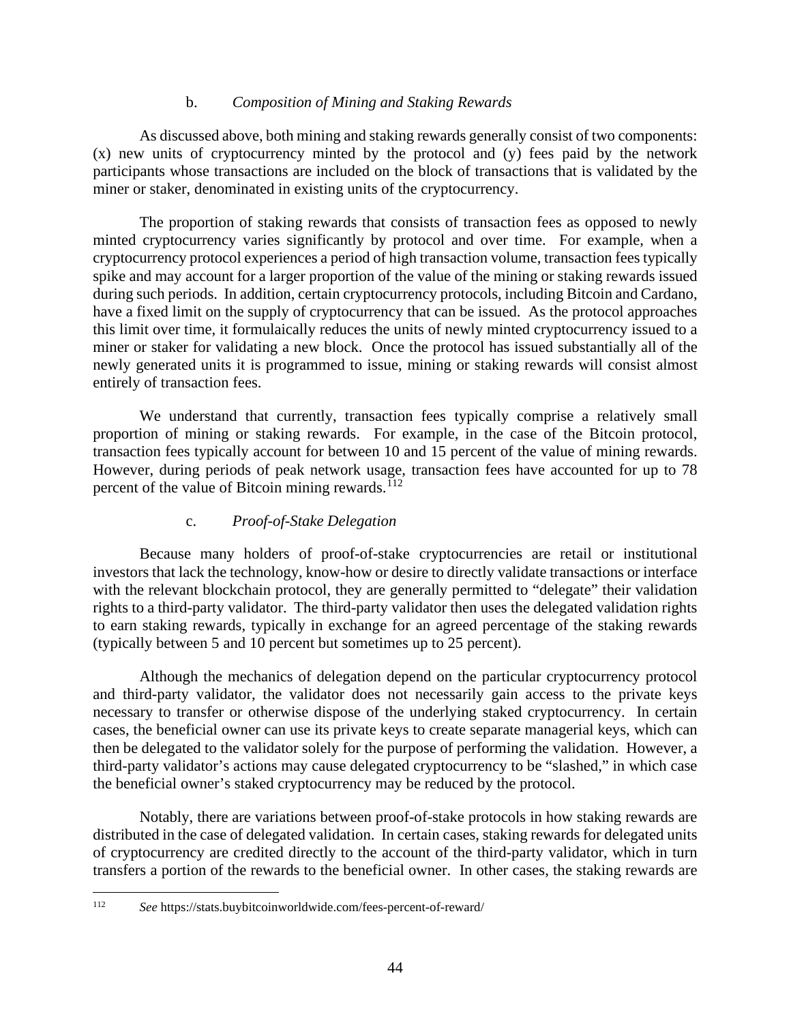#### b. *Composition of Mining and Staking Rewards*

As discussed above, both mining and staking rewards generally consist of two components: (x) new units of cryptocurrency minted by the protocol and (y) fees paid by the network participants whose transactions are included on the block of transactions that is validated by the miner or staker, denominated in existing units of the cryptocurrency.

The proportion of staking rewards that consists of transaction fees as opposed to newly minted cryptocurrency varies significantly by protocol and over time. For example, when a cryptocurrency protocol experiences a period of high transaction volume, transaction fees typically spike and may account for a larger proportion of the value of the mining or staking rewards issued during such periods. In addition, certain cryptocurrency protocols, including Bitcoin and Cardano, have a fixed limit on the supply of cryptocurrency that can be issued. As the protocol approaches this limit over time, it formulaically reduces the units of newly minted cryptocurrency issued to a miner or staker for validating a new block. Once the protocol has issued substantially all of the newly generated units it is programmed to issue, mining or staking rewards will consist almost entirely of transaction fees.

We understand that currently, transaction fees typically comprise a relatively small proportion of mining or staking rewards. For example, in the case of the Bitcoin protocol, transaction fees typically account for between 10 and 15 percent of the value of mining rewards. However, during periods of peak network usage, transaction fees have accounted for up to 78 percent of the value of Bitcoin mining rewards. $^{112}$  $^{112}$  $^{112}$ 

# c. *Proof-of-Stake Delegation*

Because many holders of proof-of-stake cryptocurrencies are retail or institutional investors that lack the technology, know-how or desire to directly validate transactions or interface with the relevant blockchain protocol, they are generally permitted to "delegate" their validation rights to a third-party validator. The third-party validator then uses the delegated validation rights to earn staking rewards, typically in exchange for an agreed percentage of the staking rewards (typically between 5 and 10 percent but sometimes up to 25 percent).

Although the mechanics of delegation depend on the particular cryptocurrency protocol and third-party validator, the validator does not necessarily gain access to the private keys necessary to transfer or otherwise dispose of the underlying staked cryptocurrency. In certain cases, the beneficial owner can use its private keys to create separate managerial keys, which can then be delegated to the validator solely for the purpose of performing the validation. However, a third-party validator's actions may cause delegated cryptocurrency to be "slashed," in which case the beneficial owner's staked cryptocurrency may be reduced by the protocol.

Notably, there are variations between proof-of-stake protocols in how staking rewards are distributed in the case of delegated validation. In certain cases, staking rewards for delegated units of cryptocurrency are credited directly to the account of the third-party validator, which in turn transfers a portion of the rewards to the beneficial owner. In other cases, the staking rewards are

<span id="page-49-0"></span><sup>112</sup> *See* https://stats.buybitcoinworldwide.com/fees-percent-of-reward/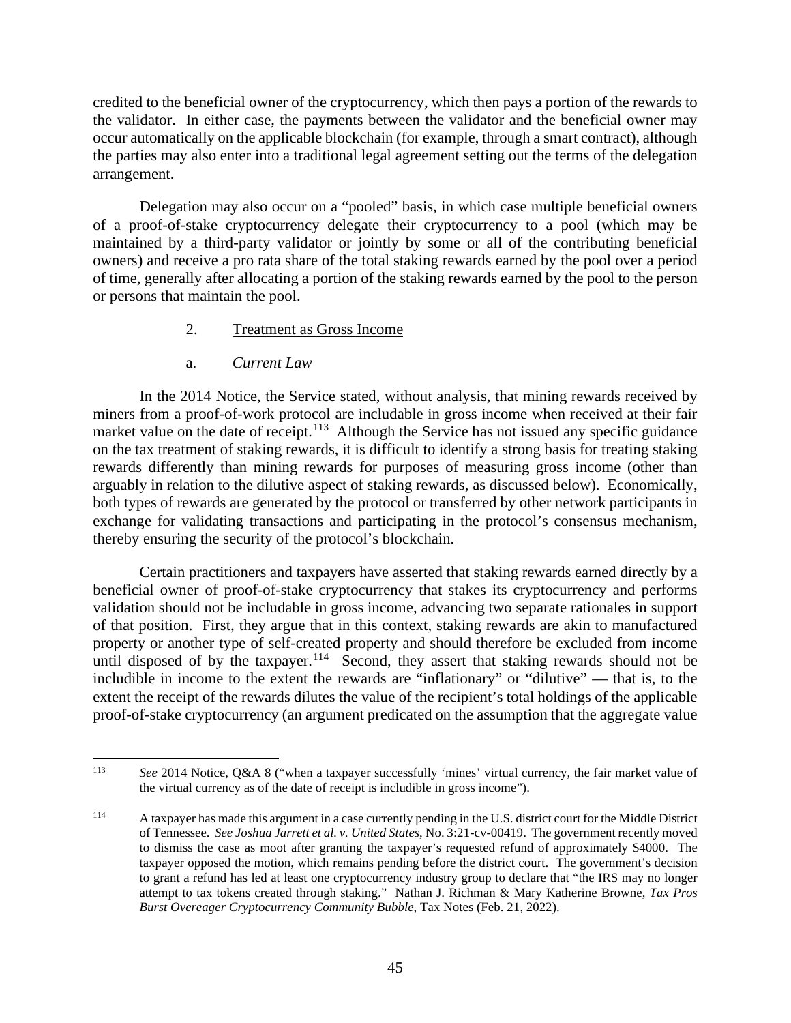credited to the beneficial owner of the cryptocurrency, which then pays a portion of the rewards to the validator. In either case, the payments between the validator and the beneficial owner may occur automatically on the applicable blockchain (for example, through a smart contract), although the parties may also enter into a traditional legal agreement setting out the terms of the delegation arrangement.

Delegation may also occur on a "pooled" basis, in which case multiple beneficial owners of a proof-of-stake cryptocurrency delegate their cryptocurrency to a pool (which may be maintained by a third-party validator or jointly by some or all of the contributing beneficial owners) and receive a pro rata share of the total staking rewards earned by the pool over a period of time, generally after allocating a portion of the staking rewards earned by the pool to the person or persons that maintain the pool.

# 2. Treatment as Gross Income

# a. *Current Law*

<span id="page-50-0"></span>In the 2014 Notice, the Service stated, without analysis, that mining rewards received by miners from a proof-of-work protocol are includable in gross income when received at their fair market value on the date of receipt.<sup>113</sup> Although the Service has not issued any specific guidance on the tax treatment of staking rewards, it is difficult to identify a strong basis for treating staking rewards differently than mining rewards for purposes of measuring gross income (other than arguably in relation to the dilutive aspect of staking rewards, as discussed below). Economically, both types of rewards are generated by the protocol or transferred by other network participants in exchange for validating transactions and participating in the protocol's consensus mechanism, thereby ensuring the security of the protocol's blockchain.

Certain practitioners and taxpayers have asserted that staking rewards earned directly by a beneficial owner of proof-of-stake cryptocurrency that stakes its cryptocurrency and performs validation should not be includable in gross income, advancing two separate rationales in support of that position. First, they argue that in this context, staking rewards are akin to manufactured property or another type of self-created property and should therefore be excluded from income until disposed of by the taxpayer.<sup>114</sup> Second, they assert that staking rewards should not be includible in income to the extent the rewards are "inflationary" or "dilutive" — that is, to the extent the receipt of the rewards dilutes the value of the recipient's total holdings of the applicable proof-of-stake cryptocurrency (an argument predicated on the assumption that the aggregate value

<span id="page-50-1"></span><sup>113</sup> *See* 2014 Notice, Q&A 8 ("when a taxpayer successfully 'mines' virtual currency, the fair market value of the virtual currency as of the date of receipt is includible in gross income").

<span id="page-50-2"></span><sup>114</sup> A taxpayer has made this argument in a case currently pending in the U.S. district court for the Middle District of Tennessee. *See Joshua Jarrett et al. v. United States*, No. 3:21-cv-00419. The government recently moved to dismiss the case as moot after granting the taxpayer's requested refund of approximately \$4000. The taxpayer opposed the motion, which remains pending before the district court. The government's decision to grant a refund has led at least one cryptocurrency industry group to declare that "the IRS may no longer attempt to tax tokens created through staking." Nathan J. Richman & Mary Katherine Browne, *Tax Pros Burst Overeager Cryptocurrency Community Bubble*, Tax Notes (Feb. 21, 2022).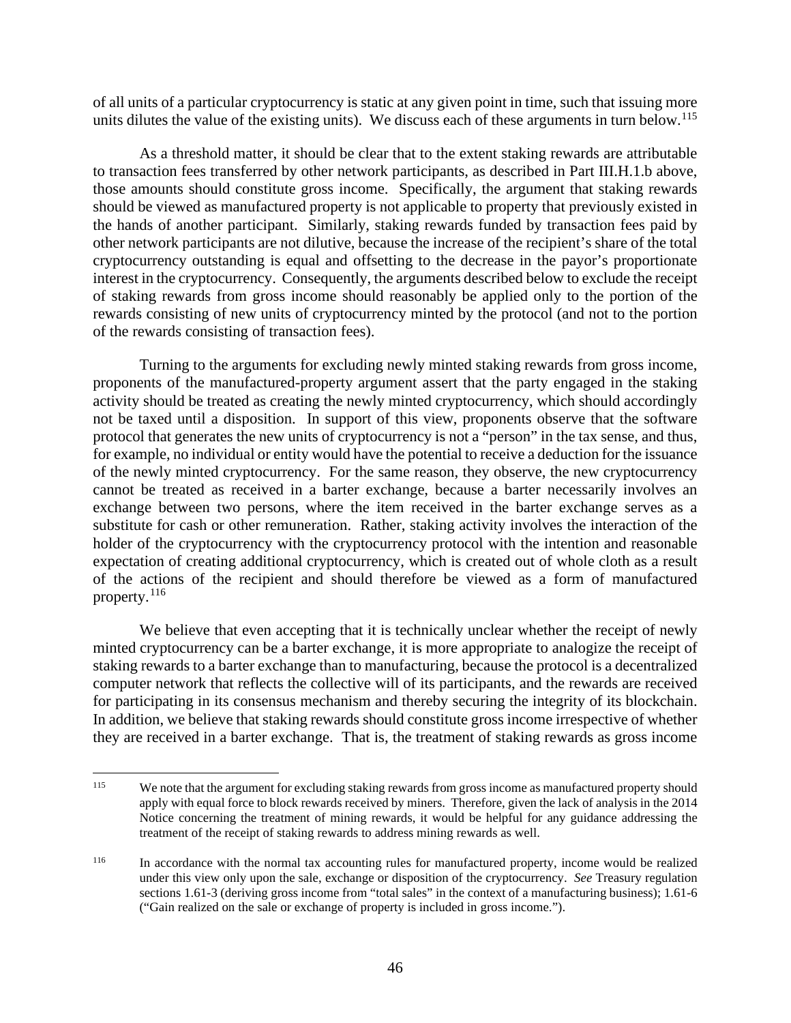of all units of a particular cryptocurrency is static at any given point in time, such that issuing more units dilutes the value of the existing units). We discuss each of these arguments in turn below.<sup>[115](#page-51-0)</sup>

As a threshold matter, it should be clear that to the extent staking rewards are attributable to transaction fees transferred by other network participants, as described in Part III.H.1.b above, those amounts should constitute gross income. Specifically, the argument that staking rewards should be viewed as manufactured property is not applicable to property that previously existed in the hands of another participant. Similarly, staking rewards funded by transaction fees paid by other network participants are not dilutive, because the increase of the recipient's share of the total cryptocurrency outstanding is equal and offsetting to the decrease in the payor's proportionate interest in the cryptocurrency. Consequently, the arguments described below to exclude the receipt of staking rewards from gross income should reasonably be applied only to the portion of the rewards consisting of new units of cryptocurrency minted by the protocol (and not to the portion of the rewards consisting of transaction fees).

Turning to the arguments for excluding newly minted staking rewards from gross income, proponents of the manufactured-property argument assert that the party engaged in the staking activity should be treated as creating the newly minted cryptocurrency, which should accordingly not be taxed until a disposition. In support of this view, proponents observe that the software protocol that generates the new units of cryptocurrency is not a "person" in the tax sense, and thus, for example, no individual or entity would have the potential to receive a deduction for the issuance of the newly minted cryptocurrency. For the same reason, they observe, the new cryptocurrency cannot be treated as received in a barter exchange, because a barter necessarily involves an exchange between two persons, where the item received in the barter exchange serves as a substitute for cash or other remuneration. Rather, staking activity involves the interaction of the holder of the cryptocurrency with the cryptocurrency protocol with the intention and reasonable expectation of creating additional cryptocurrency, which is created out of whole cloth as a result of the actions of the recipient and should therefore be viewed as a form of manufactured property.[116](#page-51-1)

We believe that even accepting that it is technically unclear whether the receipt of newly minted cryptocurrency can be a barter exchange, it is more appropriate to analogize the receipt of staking rewards to a barter exchange than to manufacturing, because the protocol is a decentralized computer network that reflects the collective will of its participants, and the rewards are received for participating in its consensus mechanism and thereby securing the integrity of its blockchain. In addition, we believe that staking rewards should constitute gross income irrespective of whether they are received in a barter exchange. That is, the treatment of staking rewards as gross income

<span id="page-51-0"></span><sup>&</sup>lt;sup>115</sup> We note that the argument for excluding staking rewards from gross income as manufactured property should apply with equal force to block rewards received by miners. Therefore, given the lack of analysis in the 2014 Notice concerning the treatment of mining rewards, it would be helpful for any guidance addressing the treatment of the receipt of staking rewards to address mining rewards as well.

<span id="page-51-1"></span><sup>&</sup>lt;sup>116</sup> In accordance with the normal tax accounting rules for manufactured property, income would be realized under this view only upon the sale, exchange or disposition of the cryptocurrency. *See* Treasury regulation sections 1.61-3 (deriving gross income from "total sales" in the context of a manufacturing business); 1.61-6 ("Gain realized on the sale or exchange of property is included in gross income.").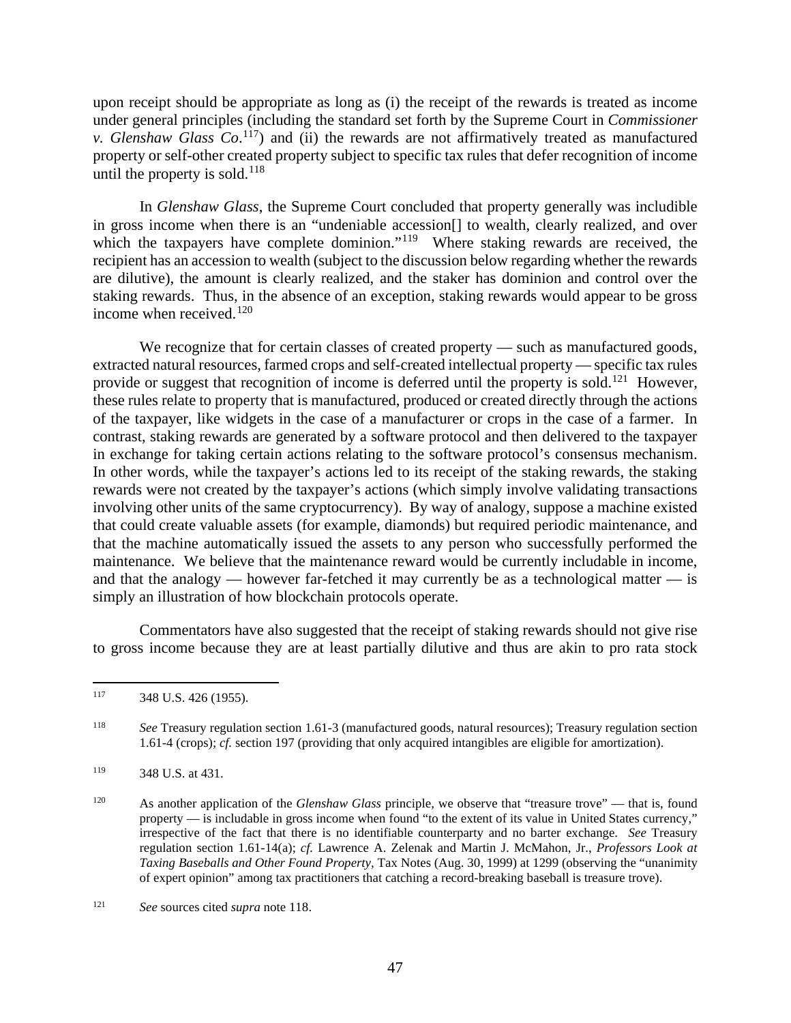upon receipt should be appropriate as long as (i) the receipt of the rewards is treated as income under general principles (including the standard set forth by the Supreme Court in *Commissioner v.* Glenshaw Glass  $Co$ .<sup>[117](#page-52-0)</sup>) and (ii) the rewards are not affirmatively treated as manufactured property or self-other created property subject to specific tax rules that defer recognition of income until the property is sold.<sup>[118](#page-52-1)</sup>

In *Glenshaw Glass*, the Supreme Court concluded that property generally was includible in gross income when there is an "undeniable accession[] to wealth, clearly realized, and over which the taxpayers have complete dominion."<sup>119</sup> Where staking rewards are received, the recipient has an accession to wealth (subject to the discussion below regarding whether the rewards are dilutive), the amount is clearly realized, and the staker has dominion and control over the staking rewards. Thus, in the absence of an exception, staking rewards would appear to be gross income when received. $120$ 

We recognize that for certain classes of created property — such as manufactured goods, extracted natural resources, farmed crops and self-created intellectual property — specific tax rules provide or suggest that recognition of income is deferred until the property is sold.<sup>[121](#page-52-4)</sup> However, these rules relate to property that is manufactured, produced or created directly through the actions of the taxpayer, like widgets in the case of a manufacturer or crops in the case of a farmer. In contrast, staking rewards are generated by a software protocol and then delivered to the taxpayer in exchange for taking certain actions relating to the software protocol's consensus mechanism. In other words, while the taxpayer's actions led to its receipt of the staking rewards, the staking rewards were not created by the taxpayer's actions (which simply involve validating transactions involving other units of the same cryptocurrency). By way of analogy, suppose a machine existed that could create valuable assets (for example, diamonds) but required periodic maintenance, and that the machine automatically issued the assets to any person who successfully performed the maintenance. We believe that the maintenance reward would be currently includable in income, and that the analogy — however far-fetched it may currently be as a technological matter — is simply an illustration of how blockchain protocols operate.

Commentators have also suggested that the receipt of staking rewards should not give rise to gross income because they are at least partially dilutive and thus are akin to pro rata stock

<span id="page-52-0"></span> $117$  348 U.S. 426 (1955).

<span id="page-52-1"></span><sup>118</sup> *See* Treasury regulation section 1.61-3 (manufactured goods, natural resources); Treasury regulation section 1.61-4 (crops); *cf.* section 197 (providing that only acquired intangibles are eligible for amortization).

<span id="page-52-2"></span><sup>119 348</sup> U.S. at 431.

<span id="page-52-3"></span><sup>120</sup> As another application of the *Glenshaw Glass* principle, we observe that "treasure trove" — that is, found property — is includable in gross income when found "to the extent of its value in United States currency," irrespective of the fact that there is no identifiable counterparty and no barter exchange. *See* Treasury regulation section 1.61-14(a); *cf.* Lawrence A. Zelenak and Martin J. McMahon, Jr., *Professors Look at Taxing Baseballs and Other Found Property*, Tax Notes (Aug. 30, 1999) at 1299 (observing the "unanimity of expert opinion" among tax practitioners that catching a record-breaking baseball is treasure trove).

<span id="page-52-4"></span><sup>121</sup> *See* sources cited *supra* note 118.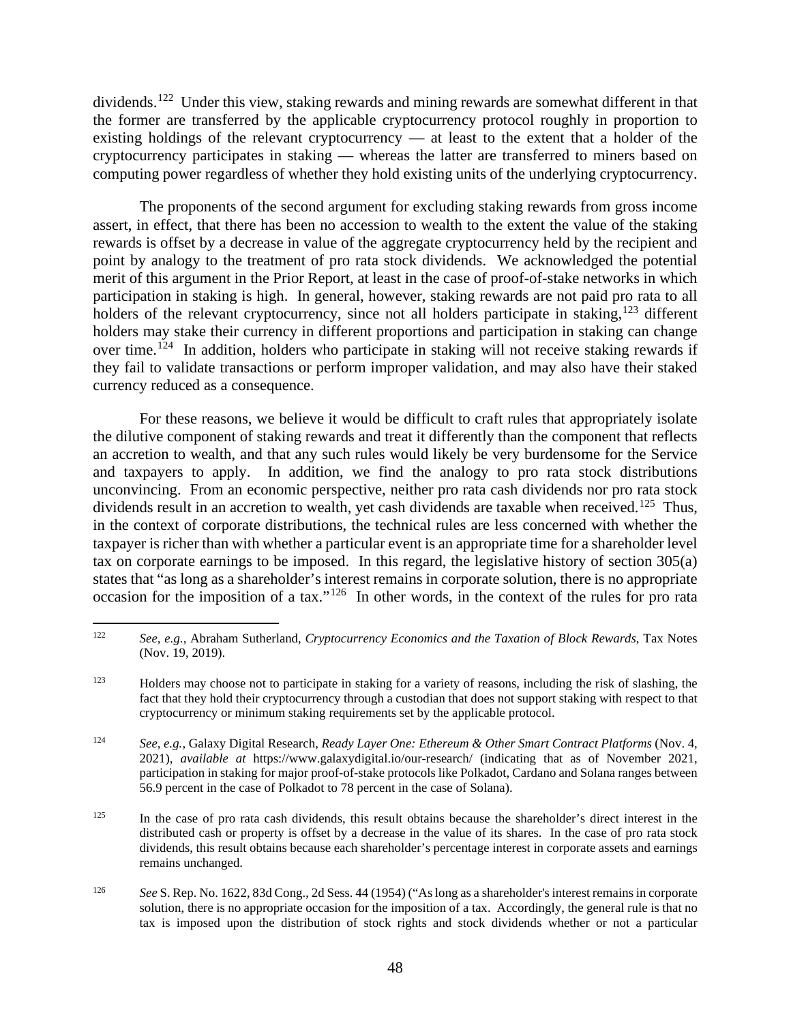dividends.<sup>[122](#page-53-0)</sup> Under this view, staking rewards and mining rewards are somewhat different in that the former are transferred by the applicable cryptocurrency protocol roughly in proportion to existing holdings of the relevant cryptocurrency — at least to the extent that a holder of the cryptocurrency participates in staking — whereas the latter are transferred to miners based on computing power regardless of whether they hold existing units of the underlying cryptocurrency.

The proponents of the second argument for excluding staking rewards from gross income assert, in effect, that there has been no accession to wealth to the extent the value of the staking rewards is offset by a decrease in value of the aggregate cryptocurrency held by the recipient and point by analogy to the treatment of pro rata stock dividends. We acknowledged the potential merit of this argument in the Prior Report, at least in the case of proof-of-stake networks in which participation in staking is high. In general, however, staking rewards are not paid pro rata to all holders of the relevant cryptocurrency, since not all holders participate in staking,<sup>[123](#page-53-1)</sup> different holders may stake their currency in different proportions and participation in staking can change over time.<sup>[124](#page-53-2)</sup> In addition, holders who participate in staking will not receive staking rewards if they fail to validate transactions or perform improper validation, and may also have their staked currency reduced as a consequence.

For these reasons, we believe it would be difficult to craft rules that appropriately isolate the dilutive component of staking rewards and treat it differently than the component that reflects an accretion to wealth, and that any such rules would likely be very burdensome for the Service and taxpayers to apply. In addition, we find the analogy to pro rata stock distributions unconvincing. From an economic perspective, neither pro rata cash dividends nor pro rata stock dividends result in an accretion to wealth, yet cash dividends are taxable when received.<sup>[125](#page-53-3)</sup> Thus, in the context of corporate distributions, the technical rules are less concerned with whether the taxpayer is richer than with whether a particular event is an appropriate time for a shareholder level tax on corporate earnings to be imposed. In this regard, the legislative history of section 305(a) states that "as long as a shareholder's interest remains in corporate solution, there is no appropriate occasion for the imposition of a tax." $126$  In other words, in the context of the rules for pro rata

<span id="page-53-0"></span><sup>122</sup> *See, e.g.*, Abraham Sutherland, *Cryptocurrency Economics and the Taxation of Block Rewards*, Tax Notes (Nov. 19, 2019).

<span id="page-53-1"></span><sup>&</sup>lt;sup>123</sup> Holders may choose not to participate in staking for a variety of reasons, including the risk of slashing, the fact that they hold their cryptocurrency through a custodian that does not support staking with respect to that cryptocurrency or minimum staking requirements set by the applicable protocol.

<span id="page-53-2"></span><sup>124</sup> *See, e.g.*, Galaxy Digital Research, *Ready Layer One: Ethereum & Other Smart Contract Platforms* (Nov. 4, 2021), *available at* https://www.galaxydigital.io/our-research/ (indicating that as of November 2021, participation in staking for major proof-of-stake protocols like Polkadot, Cardano and Solana ranges between 56.9 percent in the case of Polkadot to 78 percent in the case of Solana).

<span id="page-53-3"></span><sup>&</sup>lt;sup>125</sup> In the case of pro rata cash dividends, this result obtains because the shareholder's direct interest in the distributed cash or property is offset by a decrease in the value of its shares. In the case of pro rata stock dividends, this result obtains because each shareholder's percentage interest in corporate assets and earnings remains unchanged.

<span id="page-53-4"></span><sup>126</sup> *See* S. Rep. No. 1622, 83d Cong., 2d Sess. 44 (1954) ("As long as a shareholder's interest remains in corporate solution, there is no appropriate occasion for the imposition of a tax. Accordingly, the general rule is that no tax is imposed upon the distribution of stock rights and stock dividends whether or not a particular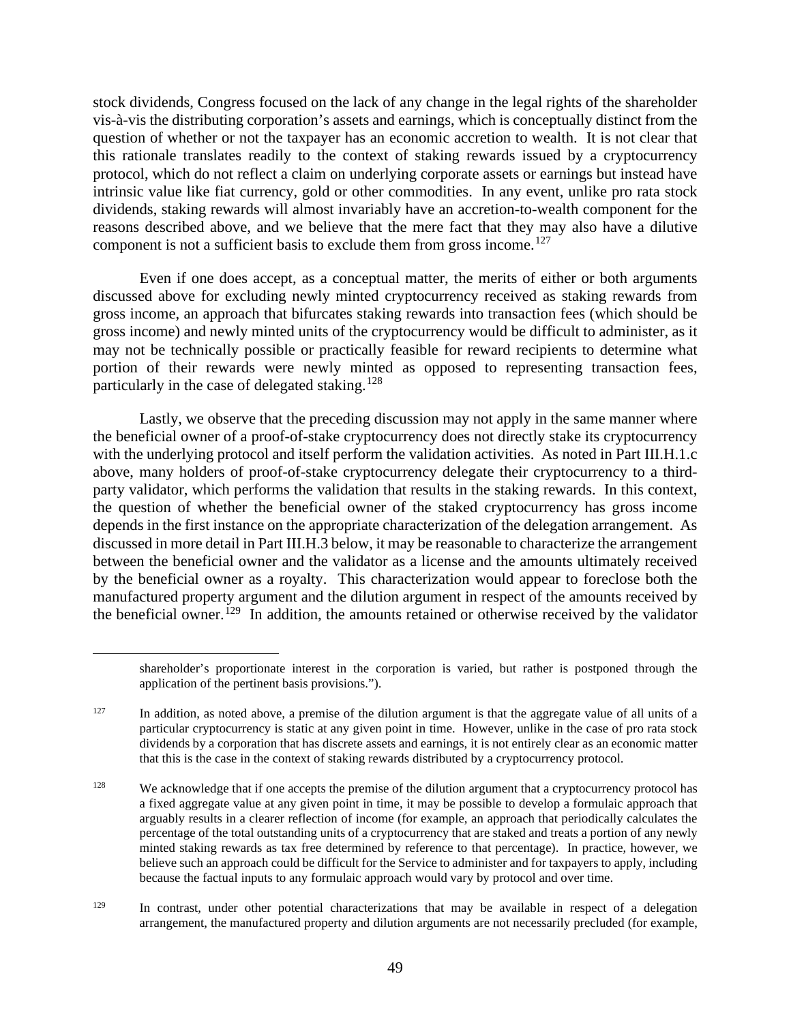stock dividends, Congress focused on the lack of any change in the legal rights of the shareholder vis-à-vis the distributing corporation's assets and earnings, which is conceptually distinct from the question of whether or not the taxpayer has an economic accretion to wealth. It is not clear that this rationale translates readily to the context of staking rewards issued by a cryptocurrency protocol, which do not reflect a claim on underlying corporate assets or earnings but instead have intrinsic value like fiat currency, gold or other commodities. In any event, unlike pro rata stock dividends, staking rewards will almost invariably have an accretion-to-wealth component for the reasons described above, and we believe that the mere fact that they may also have a dilutive component is not a sufficient basis to exclude them from gross income.<sup>[127](#page-54-0)</sup>

Even if one does accept, as a conceptual matter, the merits of either or both arguments discussed above for excluding newly minted cryptocurrency received as staking rewards from gross income, an approach that bifurcates staking rewards into transaction fees (which should be gross income) and newly minted units of the cryptocurrency would be difficult to administer, as it may not be technically possible or practically feasible for reward recipients to determine what portion of their rewards were newly minted as opposed to representing transaction fees, particularly in the case of delegated staking.<sup>[128](#page-54-1)</sup>

Lastly, we observe that the preceding discussion may not apply in the same manner where the beneficial owner of a proof-of-stake cryptocurrency does not directly stake its cryptocurrency with the underlying protocol and itself perform the validation activities. As noted in Part III.H.1.c above, many holders of proof-of-stake cryptocurrency delegate their cryptocurrency to a thirdparty validator, which performs the validation that results in the staking rewards. In this context, the question of whether the beneficial owner of the staked cryptocurrency has gross income depends in the first instance on the appropriate characterization of the delegation arrangement. As discussed in more detail in Part III.H.3 below, it may be reasonable to characterize the arrangement between the beneficial owner and the validator as a license and the amounts ultimately received by the beneficial owner as a royalty. This characterization would appear to foreclose both the manufactured property argument and the dilution argument in respect of the amounts received by the beneficial owner.<sup>[129](#page-54-2)</sup> In addition, the amounts retained or otherwise received by the validator

shareholder's proportionate interest in the corporation is varied, but rather is postponed through the application of the pertinent basis provisions.").

<span id="page-54-0"></span> $127$  In addition, as noted above, a premise of the dilution argument is that the aggregate value of all units of a particular cryptocurrency is static at any given point in time. However, unlike in the case of pro rata stock dividends by a corporation that has discrete assets and earnings, it is not entirely clear as an economic matter that this is the case in the context of staking rewards distributed by a cryptocurrency protocol.

<span id="page-54-1"></span><sup>&</sup>lt;sup>128</sup> We acknowledge that if one accepts the premise of the dilution argument that a cryptocurrency protocol has a fixed aggregate value at any given point in time, it may be possible to develop a formulaic approach that arguably results in a clearer reflection of income (for example, an approach that periodically calculates the percentage of the total outstanding units of a cryptocurrency that are staked and treats a portion of any newly minted staking rewards as tax free determined by reference to that percentage). In practice, however, we believe such an approach could be difficult for the Service to administer and for taxpayers to apply, including because the factual inputs to any formulaic approach would vary by protocol and over time.

<span id="page-54-2"></span><sup>&</sup>lt;sup>129</sup> In contrast, under other potential characterizations that may be available in respect of a delegation arrangement, the manufactured property and dilution arguments are not necessarily precluded (for example,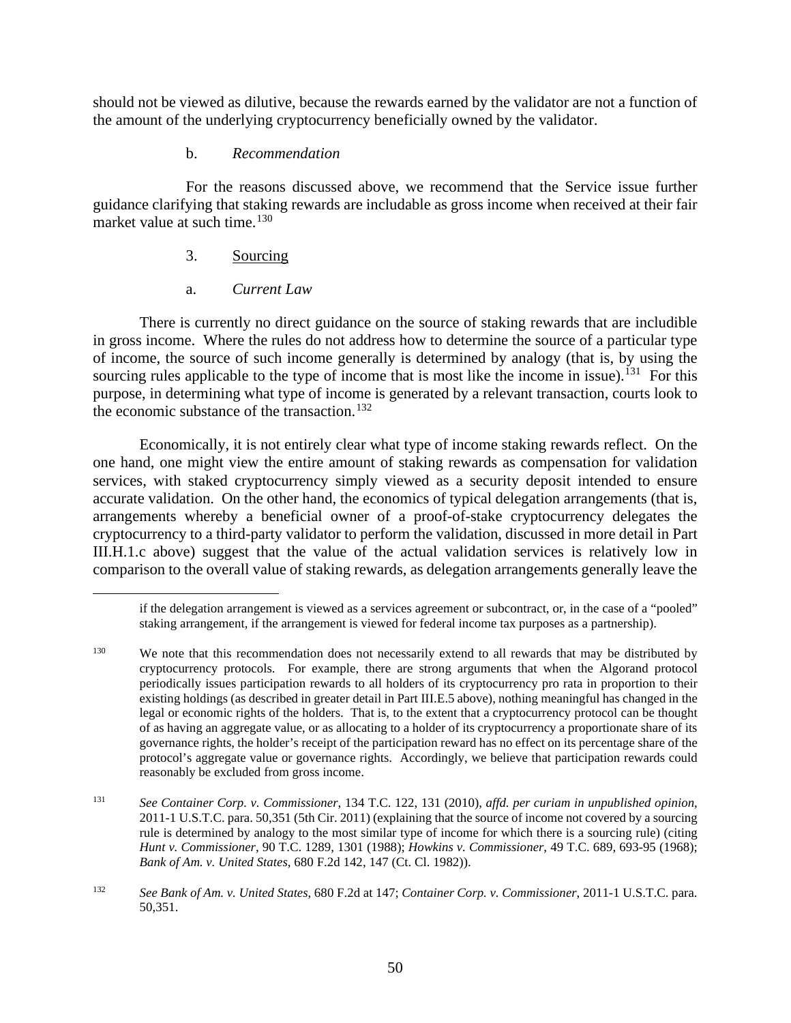should not be viewed as dilutive, because the rewards earned by the validator are not a function of the amount of the underlying cryptocurrency beneficially owned by the validator.

#### b. *Recommendation*

<span id="page-55-0"></span>For the reasons discussed above, we recommend that the Service issue further guidance clarifying that staking rewards are includable as gross income when received at their fair market value at such time. $130$ 

# 3. Sourcing

# a. *Current Law*

There is currently no direct guidance on the source of staking rewards that are includible in gross income. Where the rules do not address how to determine the source of a particular type of income, the source of such income generally is determined by analogy (that is, by using the sourcing rules applicable to the type of income that is most like the income in issue).<sup>[131](#page-55-2)</sup> For this purpose, in determining what type of income is generated by a relevant transaction, courts look to the economic substance of the transaction.<sup>[132](#page-55-3)</sup>

Economically, it is not entirely clear what type of income staking rewards reflect. On the one hand, one might view the entire amount of staking rewards as compensation for validation services, with staked cryptocurrency simply viewed as a security deposit intended to ensure accurate validation. On the other hand, the economics of typical delegation arrangements (that is, arrangements whereby a beneficial owner of a proof-of-stake cryptocurrency delegates the cryptocurrency to a third-party validator to perform the validation, discussed in more detail in Part III.H.1.c above) suggest that the value of the actual validation services is relatively low in comparison to the overall value of staking rewards, as delegation arrangements generally leave the

if the delegation arrangement is viewed as a services agreement or subcontract, or, in the case of a "pooled" staking arrangement, if the arrangement is viewed for federal income tax purposes as a partnership).

<span id="page-55-1"></span><sup>&</sup>lt;sup>130</sup> We note that this recommendation does not necessarily extend to all rewards that may be distributed by cryptocurrency protocols. For example, there are strong arguments that when the Algorand protocol periodically issues participation rewards to all holders of its cryptocurrency pro rata in proportion to their existing holdings (as described in greater detail in Part III.E.5 above), nothing meaningful has changed in the legal or economic rights of the holders. That is, to the extent that a cryptocurrency protocol can be thought of as having an aggregate value, or as allocating to a holder of its cryptocurrency a proportionate share of its governance rights, the holder's receipt of the participation reward has no effect on its percentage share of the protocol's aggregate value or governance rights. Accordingly, we believe that participation rewards could reasonably be excluded from gross income.

<span id="page-55-2"></span><sup>131</sup> *See Container Corp. v. Commissioner*, 134 T.C. 122, 131 (2010), *affd. per curiam in unpublished opinion*, 2011-1 U.S.T.C. para. 50,351 (5th Cir. 2011) (explaining that the source of income not covered by a sourcing rule is determined by analogy to the most similar type of income for which there is a sourcing rule) (citing *Hunt v. Commissioner*, 90 T.C. 1289, 1301 (1988); *Howkins v. Commissioner*, 49 T.C. 689, 693-95 (1968); *Bank of Am. v. United States*, 680 F.2d 142, 147 (Ct. Cl. 1982)).

<span id="page-55-3"></span><sup>132</sup> *See Bank of Am. v. United States*, 680 F.2d at 147; *Container Corp. v. Commissioner*, 2011-1 U.S.T.C. para. 50,351.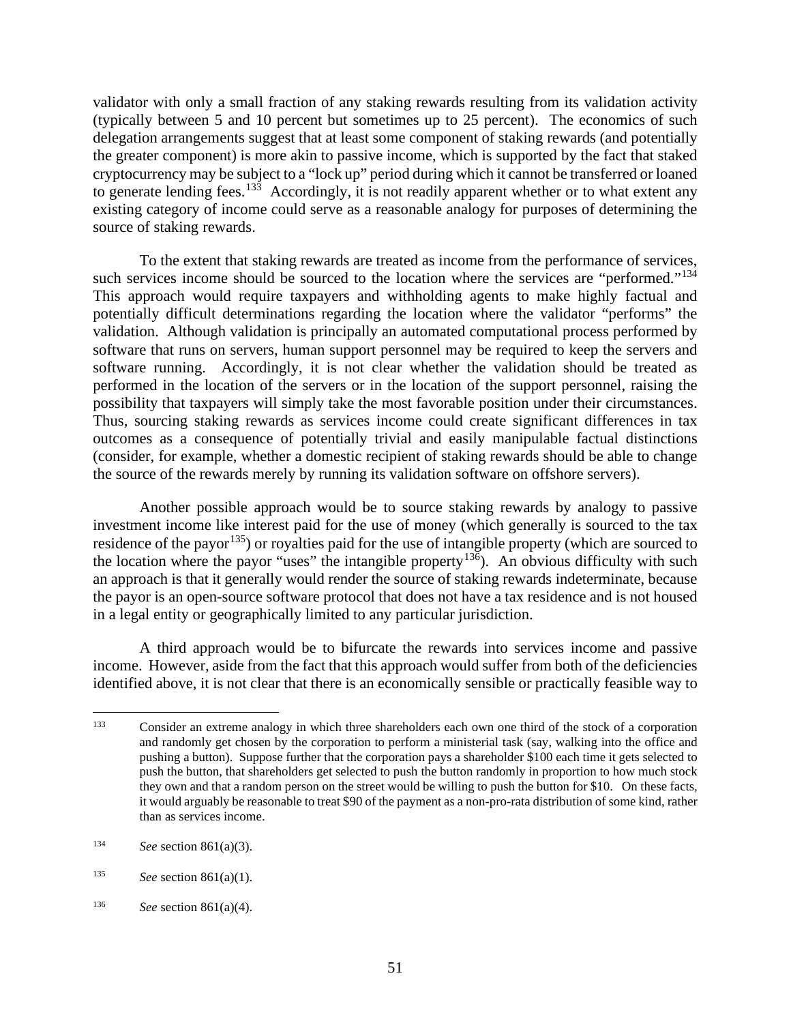validator with only a small fraction of any staking rewards resulting from its validation activity (typically between 5 and 10 percent but sometimes up to 25 percent). The economics of such delegation arrangements suggest that at least some component of staking rewards (and potentially the greater component) is more akin to passive income, which is supported by the fact that staked cryptocurrency may be subject to a "lock up" period during which it cannot be transferred or loaned to generate lending fees.<sup>133</sup> Accordingly, it is not readily apparent whether or to what extent any existing category of income could serve as a reasonable analogy for purposes of determining the source of staking rewards.

To the extent that staking rewards are treated as income from the performance of services, such services income should be sourced to the location where the services are "performed."<sup>[134](#page-56-1)</sup> This approach would require taxpayers and withholding agents to make highly factual and potentially difficult determinations regarding the location where the validator "performs" the validation. Although validation is principally an automated computational process performed by software that runs on servers, human support personnel may be required to keep the servers and software running. Accordingly, it is not clear whether the validation should be treated as performed in the location of the servers or in the location of the support personnel, raising the possibility that taxpayers will simply take the most favorable position under their circumstances. Thus, sourcing staking rewards as services income could create significant differences in tax outcomes as a consequence of potentially trivial and easily manipulable factual distinctions (consider, for example, whether a domestic recipient of staking rewards should be able to change the source of the rewards merely by running its validation software on offshore servers).

Another possible approach would be to source staking rewards by analogy to passive investment income like interest paid for the use of money (which generally is sourced to the tax residence of the payor<sup>[135](#page-56-2)</sup>) or royalties paid for the use of intangible property (which are sourced to the location where the payor "uses" the intangible property<sup>136</sup>). An obvious difficulty with such an approach is that it generally would render the source of staking rewards indeterminate, because the payor is an open-source software protocol that does not have a tax residence and is not housed in a legal entity or geographically limited to any particular jurisdiction.

A third approach would be to bifurcate the rewards into services income and passive income. However, aside from the fact that this approach would suffer from both of the deficiencies identified above, it is not clear that there is an economically sensible or practically feasible way to

<span id="page-56-0"></span><sup>133</sup> Consider an extreme analogy in which three shareholders each own one third of the stock of a corporation and randomly get chosen by the corporation to perform a ministerial task (say, walking into the office and pushing a button). Suppose further that the corporation pays a shareholder \$100 each time it gets selected to push the button, that shareholders get selected to push the button randomly in proportion to how much stock they own and that a random person on the street would be willing to push the button for \$10. On these facts, it would arguably be reasonable to treat \$90 of the payment as a non-pro-rata distribution of some kind, rather than as services income.

<span id="page-56-1"></span><sup>134</sup> *See* section 861(a)(3).

<span id="page-56-2"></span><sup>135</sup> *See* section 861(a)(1).

<span id="page-56-3"></span><sup>136</sup> *See* section 861(a)(4).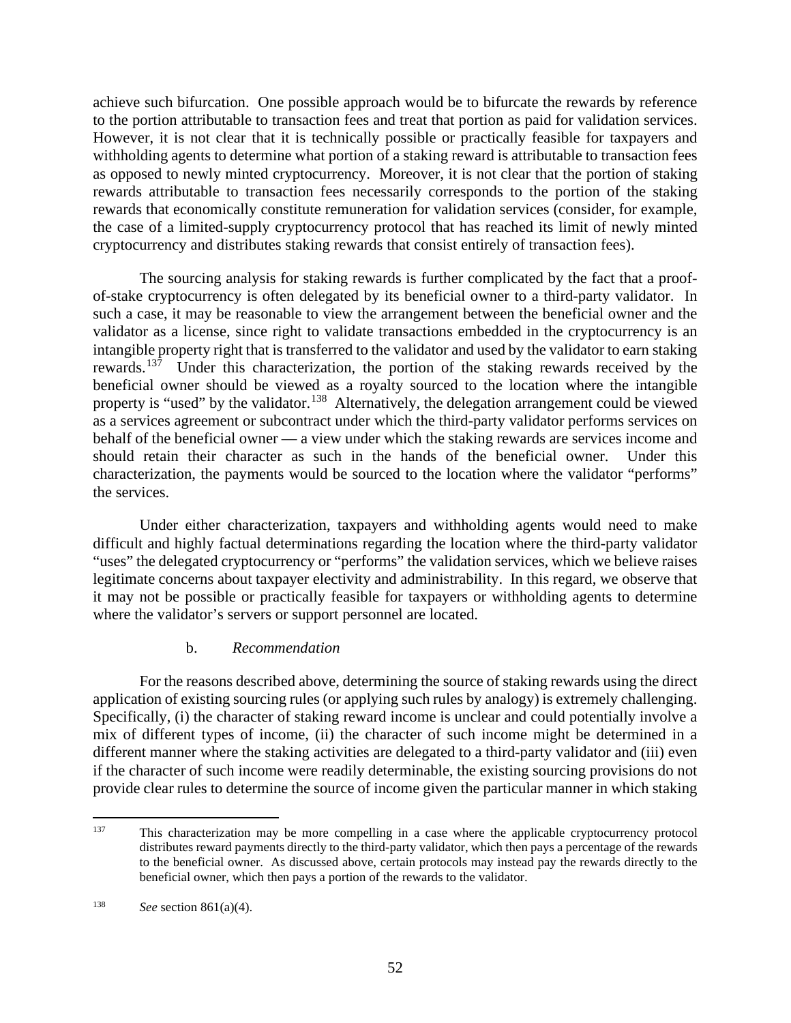achieve such bifurcation. One possible approach would be to bifurcate the rewards by reference to the portion attributable to transaction fees and treat that portion as paid for validation services. However, it is not clear that it is technically possible or practically feasible for taxpayers and withholding agents to determine what portion of a staking reward is attributable to transaction fees as opposed to newly minted cryptocurrency. Moreover, it is not clear that the portion of staking rewards attributable to transaction fees necessarily corresponds to the portion of the staking rewards that economically constitute remuneration for validation services (consider, for example, the case of a limited-supply cryptocurrency protocol that has reached its limit of newly minted cryptocurrency and distributes staking rewards that consist entirely of transaction fees).

The sourcing analysis for staking rewards is further complicated by the fact that a proofof-stake cryptocurrency is often delegated by its beneficial owner to a third-party validator. In such a case, it may be reasonable to view the arrangement between the beneficial owner and the validator as a license, since right to validate transactions embedded in the cryptocurrency is an intangible property right that is transferred to the validator and used by the validator to earn staking rewards.<sup>137</sup> Under this characterization, the portion of the staking rewards received by the beneficial owner should be viewed as a royalty sourced to the location where the intangible property is "used" by the validator.<sup>[138](#page-57-1)</sup> Alternatively, the delegation arrangement could be viewed as a services agreement or subcontract under which the third-party validator performs services on behalf of the beneficial owner — a view under which the staking rewards are services income and should retain their character as such in the hands of the beneficial owner. Under this characterization, the payments would be sourced to the location where the validator "performs" the services.

Under either characterization, taxpayers and withholding agents would need to make difficult and highly factual determinations regarding the location where the third-party validator "uses" the delegated cryptocurrency or "performs" the validation services, which we believe raises legitimate concerns about taxpayer electivity and administrability. In this regard, we observe that it may not be possible or practically feasible for taxpayers or withholding agents to determine where the validator's servers or support personnel are located.

#### b. *Recommendation*

For the reasons described above, determining the source of staking rewards using the direct application of existing sourcing rules (or applying such rules by analogy) is extremely challenging. Specifically, (i) the character of staking reward income is unclear and could potentially involve a mix of different types of income, (ii) the character of such income might be determined in a different manner where the staking activities are delegated to a third-party validator and (iii) even if the character of such income were readily determinable, the existing sourcing provisions do not provide clear rules to determine the source of income given the particular manner in which staking

<span id="page-57-0"></span><sup>&</sup>lt;sup>137</sup> This characterization may be more compelling in a case where the applicable cryptocurrency protocol distributes reward payments directly to the third-party validator, which then pays a percentage of the rewards to the beneficial owner. As discussed above, certain protocols may instead pay the rewards directly to the beneficial owner, which then pays a portion of the rewards to the validator.

<span id="page-57-1"></span><sup>138</sup> *See* section 861(a)(4).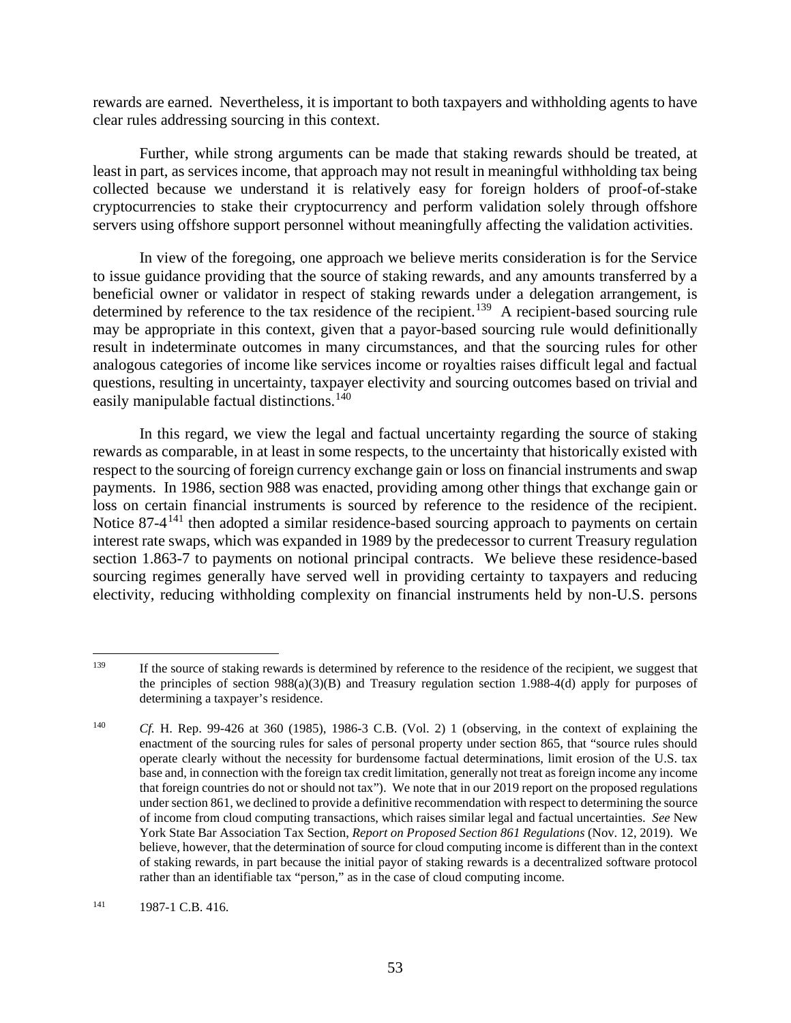rewards are earned. Nevertheless, it is important to both taxpayers and withholding agents to have clear rules addressing sourcing in this context.

Further, while strong arguments can be made that staking rewards should be treated, at least in part, as services income, that approach may not result in meaningful withholding tax being collected because we understand it is relatively easy for foreign holders of proof-of-stake cryptocurrencies to stake their cryptocurrency and perform validation solely through offshore servers using offshore support personnel without meaningfully affecting the validation activities.

In view of the foregoing, one approach we believe merits consideration is for the Service to issue guidance providing that the source of staking rewards, and any amounts transferred by a beneficial owner or validator in respect of staking rewards under a delegation arrangement, is determined by reference to the tax residence of the recipient.<sup>139</sup> A recipient-based sourcing rule may be appropriate in this context, given that a payor-based sourcing rule would definitionally result in indeterminate outcomes in many circumstances, and that the sourcing rules for other analogous categories of income like services income or royalties raises difficult legal and factual questions, resulting in uncertainty, taxpayer electivity and sourcing outcomes based on trivial and easily manipulable factual distinctions.<sup>[140](#page-58-1)</sup>

In this regard, we view the legal and factual uncertainty regarding the source of staking rewards as comparable, in at least in some respects, to the uncertainty that historically existed with respect to the sourcing of foreign currency exchange gain or loss on financial instruments and swap payments. In 1986, section 988 was enacted, providing among other things that exchange gain or loss on certain financial instruments is sourced by reference to the residence of the recipient. Notice 87-4<sup>[141](#page-58-2)</sup> then adopted a similar residence-based sourcing approach to payments on certain interest rate swaps, which was expanded in 1989 by the predecessor to current Treasury regulation section 1.863-7 to payments on notional principal contracts. We believe these residence-based sourcing regimes generally have served well in providing certainty to taxpayers and reducing electivity, reducing withholding complexity on financial instruments held by non-U.S. persons

<span id="page-58-0"></span><sup>&</sup>lt;sup>139</sup> If the source of staking rewards is determined by reference to the residence of the recipient, we suggest that the principles of section  $98( a)(3)(B)$  and Treasury regulation section 1.988-4(d) apply for purposes of determining a taxpayer's residence.

<span id="page-58-1"></span><sup>140</sup> *Cf.* H. Rep. 99-426 at 360 (1985), 1986-3 C.B. (Vol. 2) 1 (observing, in the context of explaining the enactment of the sourcing rules for sales of personal property under section 865, that "source rules should operate clearly without the necessity for burdensome factual determinations, limit erosion of the U.S. tax base and, in connection with the foreign tax credit limitation, generally not treat as foreign income any income that foreign countries do not or should not tax"). We note that in our 2019 report on the proposed regulations under section 861, we declined to provide a definitive recommendation with respect to determining the source of income from cloud computing transactions, which raises similar legal and factual uncertainties. *See* New York State Bar Association Tax Section, *Report on Proposed Section 861 Regulations* (Nov. 12, 2019). We believe, however, that the determination of source for cloud computing income is different than in the context of staking rewards, in part because the initial payor of staking rewards is a decentralized software protocol rather than an identifiable tax "person," as in the case of cloud computing income.

<span id="page-58-2"></span><sup>141 1987-1</sup> C.B. 416.